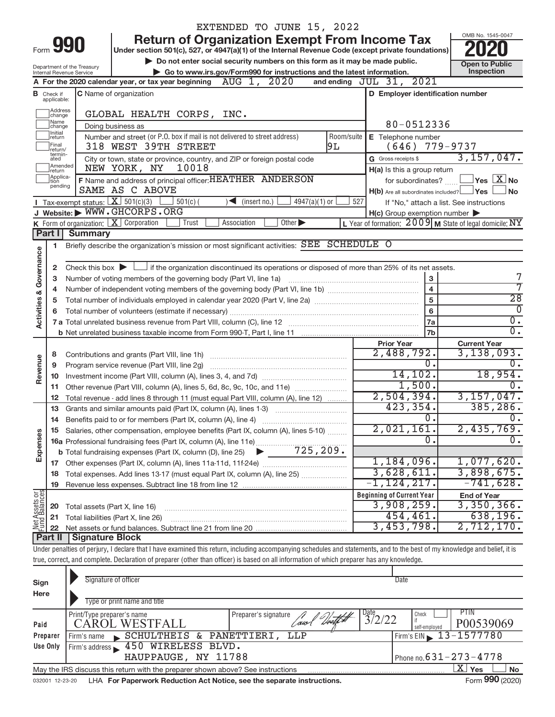|                                |                                  |                            | EXTENDED TO JUNE 15, 2022                                                                                                                                                  |            |                                                                                                                               |                                                           |
|--------------------------------|----------------------------------|----------------------------|----------------------------------------------------------------------------------------------------------------------------------------------------------------------------|------------|-------------------------------------------------------------------------------------------------------------------------------|-----------------------------------------------------------|
|                                |                                  |                            | <b>Return of Organization Exempt From Income Tax</b>                                                                                                                       |            |                                                                                                                               | OMB No. 1545-0047                                         |
|                                | Form 990                         |                            | Under section 501(c), 527, or 4947(a)(1) of the Internal Revenue Code (except private foundations)                                                                         |            |                                                                                                                               |                                                           |
|                                |                                  | Department of the Treasury | Do not enter social security numbers on this form as it may be made public.                                                                                                |            |                                                                                                                               | <b>Open to Public</b>                                     |
|                                |                                  | Internal Revenue Service   | Go to www.irs.gov/Form990 for instructions and the latest information.                                                                                                     |            |                                                                                                                               | Inspection                                                |
|                                |                                  |                            | A For the 2020 calendar year, or tax year beginning $\overline{AUG}$ 1, 2020                                                                                               |            | and ending JUL 31, 2021                                                                                                       |                                                           |
|                                | <b>B</b> Check if<br>applicable: |                            | <b>C</b> Name of organization                                                                                                                                              |            | D Employer identification number                                                                                              |                                                           |
|                                | ]Address<br>]change              |                            | GLOBAL HEALTH CORPS, INC.                                                                                                                                                  |            |                                                                                                                               |                                                           |
|                                | Name<br>change                   |                            | Doing business as                                                                                                                                                          |            | 80-0512336                                                                                                                    |                                                           |
|                                | Initial<br>]return               |                            | Number and street (or P.O. box if mail is not delivered to street address)                                                                                                 | Room/suite | E Telephone number                                                                                                            |                                                           |
|                                | <b>Final</b><br>return/          |                            | 318 WEST 39TH STREET                                                                                                                                                       | 9L         | (646)                                                                                                                         | 779-9737                                                  |
|                                | termin-<br>ated                  |                            | City or town, state or province, country, and ZIP or foreign postal code                                                                                                   |            | G Gross receipts \$                                                                                                           | 3, 157, 047.                                              |
|                                | Amended<br>Ireturn               |                            | 10018<br>NEW YORK, NY                                                                                                                                                      |            | H(a) Is this a group return                                                                                                   |                                                           |
|                                | Applica-<br>tion<br>pending      |                            | F Name and address of principal officer: HEATHER ANDERSON                                                                                                                  |            | for subordinates? L                                                                                                           | $\sqrt{}$ Yes $\left\lfloor \frac{X}{X} \right\rfloor$ No |
|                                |                                  |                            | SAME AS C ABOVE                                                                                                                                                            |            | H(b) Are all subordinates included? Ves                                                                                       | <b>No</b>                                                 |
|                                |                                  |                            | Tax-exempt status: $X \over 301(c)(3)$<br>$501(c)$ (<br>$\sqrt{\frac{1}{1}}$ (insert no.)<br>$4947(a)(1)$ or<br>J Website: WWW.GHCORPS.ORG                                 | 527        |                                                                                                                               | If "No," attach a list. See instructions                  |
|                                |                                  |                            | <b>K</b> Form of organization: $\boxed{\mathbf{X}}$ Corporation<br>Other $\blacktriangleright$<br>Trust<br>Association                                                     |            | $H(c)$ Group exemption number $\blacktriangleright$<br>L Year of formation: $2009$ M State of legal domicile: $\overline{NY}$ |                                                           |
|                                | Part I                           | <b>Summary</b>             |                                                                                                                                                                            |            |                                                                                                                               |                                                           |
|                                | 1                                |                            | Briefly describe the organization's mission or most significant activities: SEE SCHEDULE O                                                                                 |            |                                                                                                                               |                                                           |
| Governance                     |                                  |                            |                                                                                                                                                                            |            |                                                                                                                               |                                                           |
|                                | 2                                |                            | Check this box $\blacktriangleright$ $\Box$ if the organization discontinued its operations or disposed of more than 25% of its net assets.                                |            |                                                                                                                               |                                                           |
|                                | з                                |                            | Number of voting members of the governing body (Part VI, line 1a)                                                                                                          |            | $\mathbf{3}$                                                                                                                  | 7                                                         |
|                                | 4                                |                            |                                                                                                                                                                            |            | $\overline{\mathbf{4}}$                                                                                                       | 7                                                         |
| <b>Activities &amp;</b>        | 5                                |                            |                                                                                                                                                                            |            | 5                                                                                                                             | $\overline{28}$<br>$\overline{0}$                         |
|                                | 6                                |                            |                                                                                                                                                                            |            | 6                                                                                                                             | $\overline{0}$ .                                          |
|                                |                                  |                            |                                                                                                                                                                            |            | 7a<br>7 <sub>b</sub>                                                                                                          | $\overline{0}$ .                                          |
|                                |                                  |                            |                                                                                                                                                                            |            | <b>Prior Year</b>                                                                                                             | <b>Current Year</b>                                       |
|                                | 8                                |                            |                                                                                                                                                                            |            | 2,488,792.                                                                                                                    | 3,138,093.                                                |
|                                | 9                                |                            | Program service revenue (Part VIII, line 2g)                                                                                                                               |            | $\overline{0}$ .                                                                                                              | $\overline{0}$ .                                          |
| Revenue                        | 10                               |                            |                                                                                                                                                                            |            | 14, 102.                                                                                                                      | 18,954.                                                   |
|                                | 11                               |                            | Other revenue (Part VIII, column (A), lines 5, 6d, 8c, 9c, 10c, and 11e)                                                                                                   |            | 1,500.                                                                                                                        | $\overline{0}$ .                                          |
|                                | 12                               |                            | Total revenue - add lines 8 through 11 (must equal Part VIII, column (A), line 12)                                                                                         |            | 2,504,394.                                                                                                                    | 3,157,047.                                                |
|                                | 13                               |                            | Grants and similar amounts paid (Part IX, column (A), lines 1-3)                                                                                                           |            | 423, 354.                                                                                                                     | 385, 286.                                                 |
|                                |                                  |                            |                                                                                                                                                                            |            | 0.<br>2,021,161.                                                                                                              | 0.<br>2,435,769.                                          |
|                                |                                  |                            | Salaries, other compensation, employee benefits (Part IX, column (A), lines 5-10)                                                                                          |            | $\overline{0}$                                                                                                                | $\overline{0}$ .                                          |
| Expenses                       |                                  |                            |                                                                                                                                                                            |            |                                                                                                                               |                                                           |
|                                |                                  |                            |                                                                                                                                                                            |            | 1,184,096.                                                                                                                    | 1,077,620.                                                |
|                                | 18                               |                            |                                                                                                                                                                            |            | 3,628,611.                                                                                                                    | 3,898,675.                                                |
|                                | 19                               |                            |                                                                                                                                                                            |            | $-1, 124, 217.$                                                                                                               | $-741,628.$                                               |
| Net Assets or<br>Fund Balances |                                  |                            |                                                                                                                                                                            |            | <b>Beginning of Current Year</b>                                                                                              | <b>End of Year</b>                                        |
|                                | 20                               |                            | Total assets (Part X, line 16)                                                                                                                                             |            | 3,908,259.                                                                                                                    | 3,350,366.                                                |
|                                | 21                               |                            | Total liabilities (Part X, line 26)                                                                                                                                        |            | 454,461.                                                                                                                      | 638, 196.                                                 |
|                                | 22                               | <b>Signature Block</b>     |                                                                                                                                                                            |            | 3,453,798.                                                                                                                    | 2,712,170.                                                |
|                                | <b>Part II</b>                   |                            | Under penalties of perjury, I declare that I have examined this return, including accompanying schedules and statements, and to the best of my knowledge and belief, it is |            |                                                                                                                               |                                                           |
|                                |                                  |                            | true, correct, and complete. Declaration of preparer (other than officer) is based on all information of which preparer has any knowledge.                                 |            |                                                                                                                               |                                                           |
|                                |                                  |                            |                                                                                                                                                                            |            |                                                                                                                               |                                                           |
| Sign                           |                                  |                            | Signature of officer                                                                                                                                                       |            | <b>Date</b>                                                                                                                   |                                                           |
| Here                           |                                  |                            |                                                                                                                                                                            |            |                                                                                                                               |                                                           |
|                                |                                  |                            | Type or print name and title                                                                                                                                               |            |                                                                                                                               |                                                           |
|                                |                                  | Print/Type preparer's name | Preparer's signature<br>Court Vot                                                                                                                                          |            | Date $3/2/22$<br>Check                                                                                                        | PTIN                                                      |
| Paid                           |                                  |                            | <b>CAROL WESTFALL</b>                                                                                                                                                      |            | self-employed                                                                                                                 | P00539069                                                 |
|                                | Preparer<br>Use Only             | Firm's name                | PANETTIERI,<br>SCHULTHEIS &<br><b>LLP</b><br>450 WIRELESS BLVD.                                                                                                            |            | 13<br>Firm's EIN                                                                                                              | $-1577780$                                                |
|                                |                                  | Firm's address             |                                                                                                                                                                            |            |                                                                                                                               |                                                           |

| Use Only        | $1$ Firm's address $\sqrt{450}$ WIRELESS BLVD.                                  |                                |
|-----------------|---------------------------------------------------------------------------------|--------------------------------|
|                 | HAUPPAUGE, NY 11788                                                             | I Phone no. $631 - 273 - 4778$ |
|                 | May the IRS discuss this return with the preparer shown above? See instructions | ∟X ∣ Yes<br>. No               |
| 032001 12-23-20 | LHA For Paperwork Reduction Act Notice, see the separate instructions.          | Form 990 (2020)                |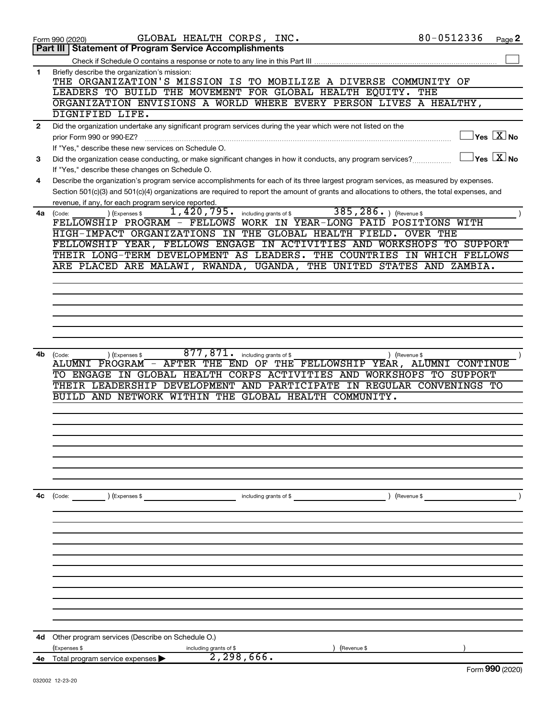|              | GLOBAL HEALTH CORPS, INC.<br>Form 990 (2020)                                                                                                                                                                                                                                         | 80-0512336<br>Page 2                                               |
|--------------|--------------------------------------------------------------------------------------------------------------------------------------------------------------------------------------------------------------------------------------------------------------------------------------|--------------------------------------------------------------------|
|              | <b>Part III   Statement of Program Service Accomplishments</b>                                                                                                                                                                                                                       |                                                                    |
|              |                                                                                                                                                                                                                                                                                      |                                                                    |
| 1            | Briefly describe the organization's mission:                                                                                                                                                                                                                                         |                                                                    |
|              | THE ORGANIZATION'S MISSION IS TO MOBILIZE A DIVERSE COMMUNITY OF                                                                                                                                                                                                                     |                                                                    |
|              | LEADERS TO BUILD THE MOVEMENT FOR GLOBAL HEALTH EQUITY. THE                                                                                                                                                                                                                          |                                                                    |
|              | ORGANIZATION ENVISIONS A WORLD WHERE EVERY PERSON LIVES A HEALTHY,                                                                                                                                                                                                                   |                                                                    |
|              | DIGNIFIED LIFE.                                                                                                                                                                                                                                                                      |                                                                    |
| $\mathbf{2}$ | Did the organization undertake any significant program services during the year which were not listed on the                                                                                                                                                                         |                                                                    |
|              | prior Form 990 or 990-EZ?                                                                                                                                                                                                                                                            | $\sqrt{\mathsf{Yes}\mathord{\;\mathbb{X}}\mathord{\;\mathsf{No}}}$ |
|              | If "Yes," describe these new services on Schedule O.                                                                                                                                                                                                                                 | $\overline{\ }$ Yes $\overline{\phantom{a}X}$ No                   |
| 3            | Did the organization cease conducting, or make significant changes in how it conducts, any program services?                                                                                                                                                                         |                                                                    |
|              | If "Yes," describe these changes on Schedule O.                                                                                                                                                                                                                                      |                                                                    |
| 4            | Describe the organization's program service accomplishments for each of its three largest program services, as measured by expenses.<br>Section 501(c)(3) and 501(c)(4) organizations are required to report the amount of grants and allocations to others, the total expenses, and |                                                                    |
|              | revenue, if any, for each program service reported.                                                                                                                                                                                                                                  |                                                                    |
|              | 385, 286. ) (Revenue \$<br>1,420,795.<br>including grants of \$<br>(Expenses \$<br>$4a$ (Code:                                                                                                                                                                                       |                                                                    |
|              | WORK IN YEAR-LONG PAID POSITIONS WITH<br>FELLOWSHIP PROGRAM - FELLOWS                                                                                                                                                                                                                |                                                                    |
|              | HIGH-IMPACT ORGANIZATIONS IN<br>THE GLOBAL HEALTH FIELD.                                                                                                                                                                                                                             | <b>OVER THE</b>                                                    |
|              | FELLOWSHIP YEAR, FELLOWS ENGAGE IN ACTIVITIES AND WORKSHOPS TO SUPPORT                                                                                                                                                                                                               |                                                                    |
|              | THEIR LONG-TERM DEVELOPMENT AS LEADERS. THE COUNTRIES                                                                                                                                                                                                                                | IN WHICH FELLOWS                                                   |
|              | ARE PLACED ARE MALAWI, RWANDA, UGANDA, THE UNITED STATES                                                                                                                                                                                                                             | AND ZAMBIA.                                                        |
|              |                                                                                                                                                                                                                                                                                      |                                                                    |
|              |                                                                                                                                                                                                                                                                                      |                                                                    |
|              |                                                                                                                                                                                                                                                                                      |                                                                    |
|              |                                                                                                                                                                                                                                                                                      |                                                                    |
|              |                                                                                                                                                                                                                                                                                      |                                                                    |
|              |                                                                                                                                                                                                                                                                                      |                                                                    |
|              |                                                                                                                                                                                                                                                                                      |                                                                    |
| 4b           | 877,871.<br>including grants of \$<br>(Expenses \$<br>(Code:<br>) (Revenue \$                                                                                                                                                                                                        |                                                                    |
|              | AFTER THE END OF THE FELLOWSHIP YEAR, ALUMNI CONTINUE<br>ALUMNI PROGRAM -                                                                                                                                                                                                            |                                                                    |
|              | ENGAGE IN GLOBAL HEALTH CORPS ACTIVITIES AND WORKSHOPS TO SUPPORT<br>TO.                                                                                                                                                                                                             |                                                                    |
|              | THEIR LEADERSHIP DEVELOPMENT AND PARTICIPATE IN REGULAR CONVENINGS TO                                                                                                                                                                                                                |                                                                    |
|              | GLOBAL HEALTH COMMUNITY.<br>BUILD AND NETWORK WITHIN<br>THE                                                                                                                                                                                                                          |                                                                    |
|              |                                                                                                                                                                                                                                                                                      |                                                                    |
|              |                                                                                                                                                                                                                                                                                      |                                                                    |
|              |                                                                                                                                                                                                                                                                                      |                                                                    |
|              |                                                                                                                                                                                                                                                                                      |                                                                    |
|              |                                                                                                                                                                                                                                                                                      |                                                                    |
|              |                                                                                                                                                                                                                                                                                      |                                                                    |
|              |                                                                                                                                                                                                                                                                                      |                                                                    |
| 4c           | ) (Expenses \$<br>) (Revenue \$<br>(Code:<br>including grants of $$$                                                                                                                                                                                                                 |                                                                    |
|              |                                                                                                                                                                                                                                                                                      |                                                                    |
|              |                                                                                                                                                                                                                                                                                      |                                                                    |
|              |                                                                                                                                                                                                                                                                                      |                                                                    |
|              |                                                                                                                                                                                                                                                                                      |                                                                    |
|              |                                                                                                                                                                                                                                                                                      |                                                                    |
|              |                                                                                                                                                                                                                                                                                      |                                                                    |
|              |                                                                                                                                                                                                                                                                                      |                                                                    |
|              |                                                                                                                                                                                                                                                                                      |                                                                    |
|              |                                                                                                                                                                                                                                                                                      |                                                                    |
|              |                                                                                                                                                                                                                                                                                      |                                                                    |
|              |                                                                                                                                                                                                                                                                                      |                                                                    |
|              |                                                                                                                                                                                                                                                                                      |                                                                    |
| 4d           | Other program services (Describe on Schedule O.)                                                                                                                                                                                                                                     |                                                                    |
|              | (Expenses \$<br>including grants of \$<br>(Revenue \$<br>2,298,666.                                                                                                                                                                                                                  |                                                                    |
| 4е           | Total program service expenses                                                                                                                                                                                                                                                       | Eorm 990 (2020)                                                    |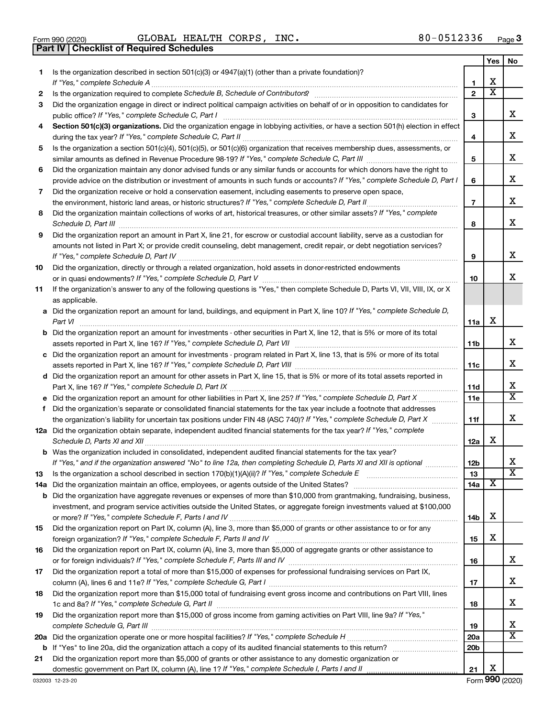|  | Form 990 (2020) |
|--|-----------------|

**Part IV Checklist of Required Schedules**

 $\frac{1}{2}$ Form 990 (2020) GLOBAL HEALTH CORPS, INC。 8 U-U D I  $2$  3 3 6  $\,$  Page  $G$ LOBAL HEALTH CORPS, INC.  $80-0512336$ 

|    |                                                                                                                                                                                                                                                           |                 | Yes | No                      |
|----|-----------------------------------------------------------------------------------------------------------------------------------------------------------------------------------------------------------------------------------------------------------|-----------------|-----|-------------------------|
| 1. | Is the organization described in section 501(c)(3) or 4947(a)(1) (other than a private foundation)?<br>If "Yes," complete Schedule A                                                                                                                      | 1               | х   |                         |
| 2  |                                                                                                                                                                                                                                                           | $\mathbf{2}$    | X   |                         |
| 3  | Did the organization engage in direct or indirect political campaign activities on behalf of or in opposition to candidates for                                                                                                                           |                 |     |                         |
|    | public office? If "Yes," complete Schedule C, Part I                                                                                                                                                                                                      | 3               |     | x.                      |
| 4  | Section 501(c)(3) organizations. Did the organization engage in lobbying activities, or have a section 501(h) election in effect                                                                                                                          | 4               |     | x                       |
| 5  | Is the organization a section 501(c)(4), 501(c)(5), or 501(c)(6) organization that receives membership dues, assessments, or                                                                                                                              |                 |     |                         |
|    |                                                                                                                                                                                                                                                           | 5               |     | х                       |
| 6  | Did the organization maintain any donor advised funds or any similar funds or accounts for which donors have the right to<br>provide advice on the distribution or investment of amounts in such funds or accounts? If "Yes," complete Schedule D, Part I | 6               |     | х                       |
| 7  | Did the organization receive or hold a conservation easement, including easements to preserve open space,                                                                                                                                                 |                 |     |                         |
|    |                                                                                                                                                                                                                                                           | 7               |     | х                       |
| 8  | Did the organization maintain collections of works of art, historical treasures, or other similar assets? If "Yes," complete                                                                                                                              | 8               |     | x                       |
| 9  | Did the organization report an amount in Part X, line 21, for escrow or custodial account liability, serve as a custodian for                                                                                                                             |                 |     |                         |
|    | amounts not listed in Part X; or provide credit counseling, debt management, credit repair, or debt negotiation services?                                                                                                                                 | 9               |     | x                       |
| 10 | Did the organization, directly or through a related organization, hold assets in donor-restricted endowments                                                                                                                                              |                 |     |                         |
|    |                                                                                                                                                                                                                                                           | 10              |     | х                       |
| 11 | If the organization's answer to any of the following questions is "Yes," then complete Schedule D, Parts VI, VII, VIII, IX, or X<br>as applicable.                                                                                                        |                 |     |                         |
|    | a Did the organization report an amount for land, buildings, and equipment in Part X, line 10? If "Yes," complete Schedule D,<br>Part VI                                                                                                                  | 11a             | х   |                         |
|    | <b>b</b> Did the organization report an amount for investments - other securities in Part X, line 12, that is 5% or more of its total                                                                                                                     | 11b             |     | x                       |
|    | c Did the organization report an amount for investments - program related in Part X, line 13, that is 5% or more of its total                                                                                                                             | 11c             |     | x                       |
|    | d Did the organization report an amount for other assets in Part X, line 15, that is 5% or more of its total assets reported in                                                                                                                           |                 |     |                         |
|    |                                                                                                                                                                                                                                                           | 11d             |     | х                       |
|    |                                                                                                                                                                                                                                                           | 11c             |     | $\overline{\text{X}}$   |
| f  | Did the organization's separate or consolidated financial statements for the tax year include a footnote that addresses                                                                                                                                   |                 |     |                         |
|    | the organization's liability for uncertain tax positions under FIN 48 (ASC 740)? If "Yes," complete Schedule D, Part X                                                                                                                                    | 11f             |     | х                       |
|    | 12a Did the organization obtain separate, independent audited financial statements for the tax year? If "Yes," complete                                                                                                                                   | 12a             | х   |                         |
|    | <b>b</b> Was the organization included in consolidated, independent audited financial statements for the tax year?<br>If "Yes," and if the organization answered "No" to line 12a, then completing Schedule D, Parts XI and XII is optional               | 12 <sub>b</sub> |     | х                       |
|    |                                                                                                                                                                                                                                                           | 13              |     | $\overline{\textbf{X}}$ |
| 13 |                                                                                                                                                                                                                                                           | 14a             | х   |                         |
|    | <b>b</b> Did the organization have aggregate revenues or expenses of more than \$10,000 from grantmaking, fundraising, business,                                                                                                                          |                 |     |                         |
|    | investment, and program service activities outside the United States, or aggregate foreign investments valued at \$100,000                                                                                                                                |                 |     |                         |
|    |                                                                                                                                                                                                                                                           | 14b             | х   |                         |
| 15 | Did the organization report on Part IX, column (A), line 3, more than \$5,000 of grants or other assistance to or for any                                                                                                                                 |                 |     |                         |
|    |                                                                                                                                                                                                                                                           | 15              | х   |                         |
| 16 | Did the organization report on Part IX, column (A), line 3, more than \$5,000 of aggregate grants or other assistance to                                                                                                                                  |                 |     | х                       |
|    |                                                                                                                                                                                                                                                           | 16              |     |                         |
| 17 | Did the organization report a total of more than \$15,000 of expenses for professional fundraising services on Part IX,                                                                                                                                   | 17              |     | х                       |
| 18 | Did the organization report more than \$15,000 total of fundraising event gross income and contributions on Part VIII, lines                                                                                                                              |                 |     |                         |
|    |                                                                                                                                                                                                                                                           | 18              |     | x                       |
| 19 | Did the organization report more than \$15,000 of gross income from gaming activities on Part VIII, line 9a? If "Yes,"                                                                                                                                    |                 |     |                         |
|    |                                                                                                                                                                                                                                                           | 19              |     | х                       |
|    |                                                                                                                                                                                                                                                           | <b>20a</b>      |     | x                       |
|    |                                                                                                                                                                                                                                                           | 20 <sub>b</sub> |     |                         |
| 21 | Did the organization report more than \$5,000 of grants or other assistance to any domestic organization or                                                                                                                                               |                 |     |                         |
|    |                                                                                                                                                                                                                                                           | 21              | х   |                         |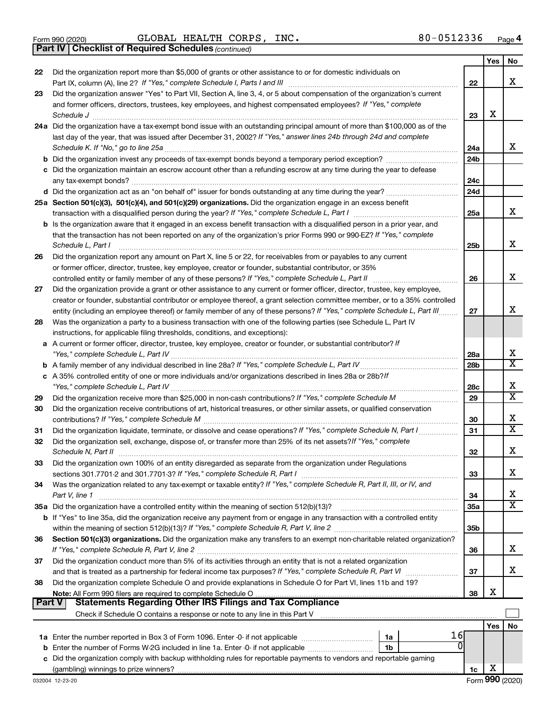- 
- Form 990 (2020) Page GLOBAL HEALTH CORPS, INC. 80-0512336

*(continued)* **Part IV Checklist of Required Schedules**

|               |                                                                                                                                                                                                               |                 | Yes | No                      |
|---------------|---------------------------------------------------------------------------------------------------------------------------------------------------------------------------------------------------------------|-----------------|-----|-------------------------|
| 22            | Did the organization report more than \$5,000 of grants or other assistance to or for domestic individuals on                                                                                                 |                 |     |                         |
|               |                                                                                                                                                                                                               | 22              |     | x                       |
| 23            | Did the organization answer "Yes" to Part VII, Section A, line 3, 4, or 5 about compensation of the organization's current                                                                                    |                 |     |                         |
|               | and former officers, directors, trustees, key employees, and highest compensated employees? If "Yes," complete                                                                                                |                 |     |                         |
|               | Schedule J                                                                                                                                                                                                    | 23              | X   |                         |
|               | 24a Did the organization have a tax-exempt bond issue with an outstanding principal amount of more than \$100,000 as of the                                                                                   |                 |     |                         |
|               | last day of the year, that was issued after December 31, 2002? If "Yes," answer lines 24b through 24d and complete                                                                                            |                 |     |                         |
|               | Schedule K. If "No," go to line 25a                                                                                                                                                                           | 24a             |     | x                       |
|               |                                                                                                                                                                                                               | 24 <sub>b</sub> |     |                         |
|               | c Did the organization maintain an escrow account other than a refunding escrow at any time during the year to defease                                                                                        |                 |     |                         |
|               | any tax-exempt bonds?                                                                                                                                                                                         | 24c             |     |                         |
|               |                                                                                                                                                                                                               | 24 <sub>d</sub> |     |                         |
|               | 25a Section 501(c)(3), 501(c)(4), and 501(c)(29) organizations. Did the organization engage in an excess benefit                                                                                              |                 |     | x                       |
|               |                                                                                                                                                                                                               | 25a             |     |                         |
|               | <b>b</b> Is the organization aware that it engaged in an excess benefit transaction with a disqualified person in a prior year, and                                                                           |                 |     |                         |
|               | that the transaction has not been reported on any of the organization's prior Forms 990 or 990-EZ? If "Yes," complete                                                                                         |                 |     | х                       |
|               | Schedule L, Part I                                                                                                                                                                                            | 25b             |     |                         |
| 26            | Did the organization report any amount on Part X, line 5 or 22, for receivables from or payables to any current                                                                                               |                 |     |                         |
|               | or former officer, director, trustee, key employee, creator or founder, substantial contributor, or 35%<br>controlled entity or family member of any of these persons? If "Yes," complete Schedule L, Part II | 26              |     | х                       |
| 27            | Did the organization provide a grant or other assistance to any current or former officer, director, trustee, key employee,                                                                                   |                 |     |                         |
|               | creator or founder, substantial contributor or employee thereof, a grant selection committee member, or to a 35% controlled                                                                                   |                 |     |                         |
|               | entity (including an employee thereof) or family member of any of these persons? If "Yes," complete Schedule L, Part III                                                                                      | 27              |     | x                       |
| 28            | Was the organization a party to a business transaction with one of the following parties (see Schedule L, Part IV                                                                                             |                 |     |                         |
|               | instructions, for applicable filing thresholds, conditions, and exceptions):                                                                                                                                  |                 |     |                         |
|               | a A current or former officer, director, trustee, key employee, creator or founder, or substantial contributor? If                                                                                            |                 |     |                         |
|               |                                                                                                                                                                                                               | 28a             |     | х                       |
|               |                                                                                                                                                                                                               | 28 <sub>b</sub> |     | $\overline{\text{X}}$   |
|               | c A 35% controlled entity of one or more individuals and/or organizations described in lines 28a or 28b?If                                                                                                    |                 |     |                         |
|               |                                                                                                                                                                                                               | 28c             |     | х                       |
| 29            |                                                                                                                                                                                                               | 29              |     | $\overline{\textbf{x}}$ |
| 30            | Did the organization receive contributions of art, historical treasures, or other similar assets, or qualified conservation                                                                                   |                 |     |                         |
|               |                                                                                                                                                                                                               | 30              |     | х                       |
| 31            | Did the organization liquidate, terminate, or dissolve and cease operations? If "Yes," complete Schedule N, Part I                                                                                            | 31              |     | $\overline{\text{x}}$   |
| 32            | Did the organization sell, exchange, dispose of, or transfer more than 25% of its net assets? If "Yes," complete                                                                                              |                 |     |                         |
|               | Schedule N, Part II                                                                                                                                                                                           | 32              |     | x                       |
| 33            | Did the organization own 100% of an entity disregarded as separate from the organization under Regulations                                                                                                    |                 |     |                         |
|               |                                                                                                                                                                                                               | 33              |     | х                       |
| 34            | Was the organization related to any tax-exempt or taxable entity? If "Yes," complete Schedule R, Part II, III, or IV, and                                                                                     |                 |     |                         |
|               | Part V, line 1                                                                                                                                                                                                | 34              |     | х                       |
|               |                                                                                                                                                                                                               | 35a             |     | $\overline{\texttt{X}}$ |
|               | b If "Yes" to line 35a, did the organization receive any payment from or engage in any transaction with a controlled entity                                                                                   |                 |     |                         |
|               |                                                                                                                                                                                                               | 35 <sub>b</sub> |     |                         |
| 36            | Section 501(c)(3) organizations. Did the organization make any transfers to an exempt non-charitable related organization?                                                                                    |                 |     |                         |
|               |                                                                                                                                                                                                               | 36              |     | x                       |
| 37            | Did the organization conduct more than 5% of its activities through an entity that is not a related organization                                                                                              |                 |     |                         |
|               | and that is treated as a partnership for federal income tax purposes? If "Yes," complete Schedule R, Part VI                                                                                                  | 37              |     | x                       |
| 38            | Did the organization complete Schedule O and provide explanations in Schedule O for Part VI, lines 11b and 19?                                                                                                |                 |     |                         |
|               |                                                                                                                                                                                                               | 38              | х   |                         |
| <b>Part V</b> | <b>Statements Regarding Other IRS Filings and Tax Compliance</b>                                                                                                                                              |                 |     |                         |
|               |                                                                                                                                                                                                               |                 |     |                         |
|               | 16                                                                                                                                                                                                            |                 | Yes | No                      |
|               | 1a<br>$\Omega$<br>1b                                                                                                                                                                                          |                 |     |                         |
|               | c Did the organization comply with backup withholding rules for reportable payments to vendors and reportable gaming                                                                                          |                 |     |                         |
|               |                                                                                                                                                                                                               | 1c              | х   |                         |
|               |                                                                                                                                                                                                               |                 |     |                         |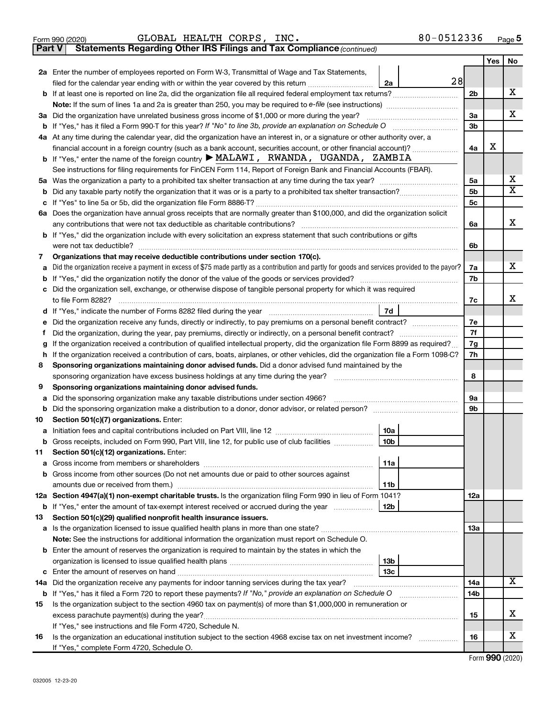|        | 80-0512336<br>GLOBAL HEALTH CORPS, INC.<br>Form 990 (2020)                                                                                                                                                                            |                |     | Page 5 |
|--------|---------------------------------------------------------------------------------------------------------------------------------------------------------------------------------------------------------------------------------------|----------------|-----|--------|
| Part V | Statements Regarding Other IRS Filings and Tax Compliance (continued)                                                                                                                                                                 |                |     |        |
|        |                                                                                                                                                                                                                                       |                | Yes | No     |
|        | 2a Enter the number of employees reported on Form W-3, Transmittal of Wage and Tax Statements,                                                                                                                                        |                |     |        |
|        | 28<br>filed for the calendar year ending with or within the year covered by this return<br>2a                                                                                                                                         |                |     |        |
|        | b If at least one is reported on line 2a, did the organization file all required federal employment tax returns?                                                                                                                      | 2b             |     | х      |
|        |                                                                                                                                                                                                                                       |                |     |        |
|        | 3a Did the organization have unrelated business gross income of \$1,000 or more during the year?                                                                                                                                      | За             |     | х      |
|        |                                                                                                                                                                                                                                       | 3b             |     |        |
|        | 4a At any time during the calendar year, did the organization have an interest in, or a signature or other authority over, a                                                                                                          |                |     |        |
|        | financial account in a foreign country (such as a bank account, securities account, or other financial account)?                                                                                                                      | 4a             | х   |        |
|        | b If "Yes," enter the name of the foreign country $\blacktriangleright$ MALAWI, RWANDA, UGANDA, ZAMBIA                                                                                                                                |                |     |        |
|        | See instructions for filing requirements for FinCEN Form 114, Report of Foreign Bank and Financial Accounts (FBAR).                                                                                                                   |                |     |        |
|        |                                                                                                                                                                                                                                       | 5a             |     | х      |
|        |                                                                                                                                                                                                                                       | 5b             |     | X      |
|        |                                                                                                                                                                                                                                       | 5 <sub>c</sub> |     |        |
|        | 6a Does the organization have annual gross receipts that are normally greater than \$100,000, and did the organization solicit                                                                                                        |                |     |        |
|        |                                                                                                                                                                                                                                       | 6a             |     | x      |
|        | <b>b</b> If "Yes," did the organization include with every solicitation an express statement that such contributions or gifts                                                                                                         |                |     |        |
|        |                                                                                                                                                                                                                                       | 6b             |     |        |
| 7      | Organizations that may receive deductible contributions under section 170(c).                                                                                                                                                         |                |     |        |
|        | a Did the organization receive a payment in excess of \$75 made partly as a contribution and partly for goods and services provided to the payor?                                                                                     | 7a             |     | х      |
|        |                                                                                                                                                                                                                                       | 7b             |     |        |
|        | c Did the organization sell, exchange, or otherwise dispose of tangible personal property for which it was required                                                                                                                   |                |     |        |
|        |                                                                                                                                                                                                                                       | 7c             |     | x      |
|        | 7d                                                                                                                                                                                                                                    |                |     |        |
| е      | Did the organization receive any funds, directly or indirectly, to pay premiums on a personal benefit contract?                                                                                                                       | 7e             |     |        |
|        | Did the organization, during the year, pay premiums, directly or indirectly, on a personal benefit contract?                                                                                                                          |                |     |        |
| g      | If the organization received a contribution of qualified intellectual property, did the organization file Form 8899 as required?                                                                                                      | 7g             |     |        |
| h      | If the organization received a contribution of cars, boats, airplanes, or other vehicles, did the organization file a Form 1098-C?                                                                                                    | 7h             |     |        |
| 8      | Sponsoring organizations maintaining donor advised funds. Did a donor advised fund maintained by the                                                                                                                                  |                |     |        |
|        |                                                                                                                                                                                                                                       | 8              |     |        |
| 9      | Sponsoring organizations maintaining donor advised funds.                                                                                                                                                                             |                |     |        |
| а      | Did the sponsoring organization make any taxable distributions under section 4966?                                                                                                                                                    | 9а             |     |        |
| b      |                                                                                                                                                                                                                                       | 9b             |     |        |
| 10     | Section 501(c)(7) organizations. Enter:                                                                                                                                                                                               |                |     |        |
|        | 10a<br>a Initiation fees and capital contributions included on Part VIII, line 12 [111] [11] [12] [11] [12] [11] [12] [11] [12] [11] [12] [11] [12] [11] [12] [11] [12] [11] [12] [11] [12] [11] [12] [11] [12] [11] [12] [11] [12] [ |                |     |        |
|        | $\sqrt{10b}$<br>Gross receipts, included on Form 990, Part VIII, line 12, for public use of club facilities                                                                                                                           |                |     |        |
| 11.    | Section 501(c)(12) organizations. Enter:                                                                                                                                                                                              |                |     |        |
|        | 11a                                                                                                                                                                                                                                   |                |     |        |
|        | <b>b</b> Gross income from other sources (Do not net amounts due or paid to other sources against                                                                                                                                     |                |     |        |
|        | 11b                                                                                                                                                                                                                                   |                |     |        |
|        | 12a Section 4947(a)(1) non-exempt charitable trusts. Is the organization filing Form 990 in lieu of Form 1041?                                                                                                                        | 12a            |     |        |
|        | 12b<br><b>b</b> If "Yes," enter the amount of tax-exempt interest received or accrued during the year                                                                                                                                 |                |     |        |
| 13     | Section 501(c)(29) qualified nonprofit health insurance issuers.                                                                                                                                                                      |                |     |        |
|        | a Is the organization licensed to issue qualified health plans in more than one state?                                                                                                                                                | 13a            |     |        |
|        | Note: See the instructions for additional information the organization must report on Schedule O.                                                                                                                                     |                |     |        |
|        | <b>b</b> Enter the amount of reserves the organization is required to maintain by the states in which the                                                                                                                             |                |     |        |
|        | 13 <sub>b</sub>                                                                                                                                                                                                                       |                |     |        |
|        | 13 <sub>c</sub>                                                                                                                                                                                                                       |                |     |        |
|        | 14a Did the organization receive any payments for indoor tanning services during the tax year?                                                                                                                                        | 14a            |     | x      |
|        | <b>b</b> If "Yes," has it filed a Form 720 to report these payments? If "No," provide an explanation on Schedule O                                                                                                                    | 14b            |     |        |
| 15     | Is the organization subject to the section 4960 tax on payment(s) of more than \$1,000,000 in remuneration or                                                                                                                         |                |     |        |
|        | excess parachute payment(s) during the year?                                                                                                                                                                                          | 15             |     | х      |
|        | If "Yes," see instructions and file Form 4720, Schedule N.                                                                                                                                                                            |                |     |        |
| 16     | Is the organization an educational institution subject to the section 4968 excise tax on net investment income?                                                                                                                       | 16             |     | х      |
|        | If "Yes," complete Form 4720, Schedule O.                                                                                                                                                                                             |                |     |        |

Form (2020) **990**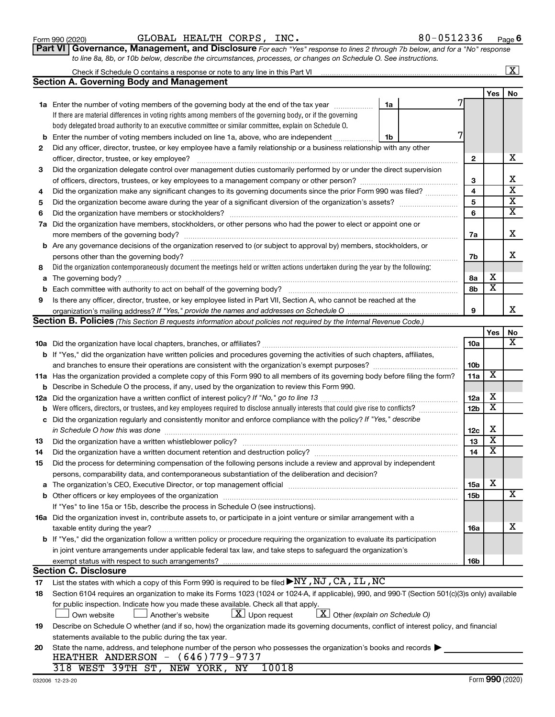|    | If there are material differences in voting rights among members of the governing body, or if the governing                                                                                                                   |                 |                         |                         |
|----|-------------------------------------------------------------------------------------------------------------------------------------------------------------------------------------------------------------------------------|-----------------|-------------------------|-------------------------|
|    | body delegated broad authority to an executive committee or similar committee, explain on Schedule O.                                                                                                                         |                 |                         |                         |
| b  | 7<br>Enter the number of voting members included on line 1a, above, who are independent<br>1b                                                                                                                                 |                 |                         |                         |
| 2  | Did any officer, director, trustee, or key employee have a family relationship or a business relationship with any other                                                                                                      |                 |                         |                         |
|    | officer, director, trustee, or key employee?                                                                                                                                                                                  | $\mathbf{2}$    |                         | х                       |
| 3  | Did the organization delegate control over management duties customarily performed by or under the direct supervision                                                                                                         |                 |                         |                         |
|    |                                                                                                                                                                                                                               | 3               |                         | х                       |
| 4  | Did the organization make any significant changes to its governing documents since the prior Form 990 was filed?                                                                                                              | 4               |                         | $\overline{\textbf{x}}$ |
| 5  |                                                                                                                                                                                                                               | 5               |                         | $\overline{\textbf{x}}$ |
| 6  |                                                                                                                                                                                                                               | 6               |                         | $\overline{\textbf{x}}$ |
| 7a | Did the organization have members, stockholders, or other persons who had the power to elect or appoint one or                                                                                                                |                 |                         |                         |
|    | more members of the governing body?                                                                                                                                                                                           | 7a              |                         | х                       |
|    | <b>b</b> Are any governance decisions of the organization reserved to (or subject to approval by) members, stockholders, or                                                                                                   |                 |                         |                         |
|    | persons other than the governing body?                                                                                                                                                                                        | 7b              |                         | X                       |
| 8  | Did the organization contemporaneously document the meetings held or written actions undertaken during the year by the following:                                                                                             |                 |                         |                         |
| а  |                                                                                                                                                                                                                               | 8а              | Х                       |                         |
| b  | Each committee with authority to act on behalf of the governing body?                                                                                                                                                         | 8b              | $\overline{\texttt{x}}$ |                         |
| 9  | Is there any officer, director, trustee, or key employee listed in Part VII, Section A, who cannot be reached at the                                                                                                          |                 |                         |                         |
|    |                                                                                                                                                                                                                               | 9               |                         | х                       |
|    | Section B. Policies (This Section B requests information about policies not required by the Internal Revenue Code.)                                                                                                           |                 |                         |                         |
|    |                                                                                                                                                                                                                               |                 | Yes                     | No                      |
|    |                                                                                                                                                                                                                               | 10a             |                         | х                       |
|    | <b>b</b> If "Yes," did the organization have written policies and procedures governing the activities of such chapters, affiliates,                                                                                           |                 |                         |                         |
|    |                                                                                                                                                                                                                               | 10 <sub>b</sub> |                         |                         |
|    | 11a Has the organization provided a complete copy of this Form 990 to all members of its governing body before filing the form?                                                                                               | 11a             | X                       |                         |
| b  | Describe in Schedule O the process, if any, used by the organization to review this Form 990.                                                                                                                                 |                 |                         |                         |
|    |                                                                                                                                                                                                                               | 12a             | Х                       |                         |
| b  |                                                                                                                                                                                                                               | 12 <sub>b</sub> | $\overline{\texttt{x}}$ |                         |
|    | Did the organization regularly and consistently monitor and enforce compliance with the policy? If "Yes," describe                                                                                                            |                 |                         |                         |
| с  |                                                                                                                                                                                                                               |                 | X                       |                         |
|    | in Schedule O how this was done manufactured and a state of the state of the state of the state of the state o                                                                                                                | 12c<br>13       | $\overline{\texttt{x}}$ |                         |
| 13 |                                                                                                                                                                                                                               | 14              | $\overline{\texttt{x}}$ |                         |
| 14 | Did the organization have a written document retention and destruction policy? [11] manufaction manufaction in                                                                                                                |                 |                         |                         |
| 15 | Did the process for determining compensation of the following persons include a review and approval by independent                                                                                                            |                 |                         |                         |
|    | persons, comparability data, and contemporaneous substantiation of the deliberation and decision?                                                                                                                             |                 | X                       |                         |
| а  | The organization's CEO, Executive Director, or top management official manufactured content content of the organization's CEO, executive Director, or top management official manufactured content of the original content of | <b>15a</b>      |                         | X                       |
|    |                                                                                                                                                                                                                               | 15b             |                         |                         |
|    | If "Yes" to line 15a or 15b, describe the process in Schedule O (see instructions).                                                                                                                                           |                 |                         |                         |
|    | 16a Did the organization invest in, contribute assets to, or participate in a joint venture or similar arrangement with a                                                                                                     |                 |                         | х                       |
|    | b If "Yes," did the organization follow a written policy or procedure requiring the organization to evaluate its participation                                                                                                | 16a             |                         |                         |
|    |                                                                                                                                                                                                                               |                 |                         |                         |
|    | in joint venture arrangements under applicable federal tax law, and take steps to safeguard the organization's                                                                                                                |                 |                         |                         |
|    | exempt status with respect to such arrangements?                                                                                                                                                                              | 16b             |                         |                         |
|    | <b>Section C. Disclosure</b>                                                                                                                                                                                                  |                 |                         |                         |
| 17 | List the states with which a copy of this Form 990 is required to be filed $\blacktriangleright$ NY, NJ, CA, IL, NC                                                                                                           |                 |                         |                         |
| 18 | Section 6104 requires an organization to make its Forms 1023 (1024 or 1024-A, if applicable), 990, and 990-T (Section 501(c)(3)s only) available                                                                              |                 |                         |                         |
|    | for public inspection. Indicate how you made these available. Check all that apply.                                                                                                                                           |                 |                         |                         |
|    | $ \underline{X} $ Upon request<br>$X$ Other (explain on Schedule O)<br>Own website<br>Another's website                                                                                                                       |                 |                         |                         |
| 19 | Describe on Schedule O whether (and if so, how) the organization made its governing documents, conflict of interest policy, and financial                                                                                     |                 |                         |                         |
|    | statements available to the public during the tax year.                                                                                                                                                                       |                 |                         |                         |
| 20 | State the name, address, and telephone number of the person who possesses the organization's books and records                                                                                                                |                 |                         |                         |
|    | HEATHER ANDERSON $-$ (646)779-9737<br>310 <u>WERE 20mH</u> am<br>10010                                                                                                                                                        |                 |                         |                         |

|  | ------------------ | ---- |  |
|--|--------------------|------|--|
|  |                    |      |  |
|  |                    |      |  |
|  |                    |      |  |

**1a** Enter the number of voting members of the governing body at the end of the tax year  $\ldots$   $\ldots$  **1a** 

Enter the number of voting members of the governing body at the end of the tax year  $\ldots$ ................

Check if Schedule O contains a response or note to any line in this Part VI

**Section A. Governing Body and Management**

| Form 990 (2020) | HEALTH<br>" CORPS,<br>GLOBAL<br>INC. | 80-0512336<br>Page 6 |
|-----------------|--------------------------------------|----------------------|
|-----------------|--------------------------------------|----------------------|

7

| --------------- |                                                                                                                               | ------- |
|-----------------|-------------------------------------------------------------------------------------------------------------------------------|---------|
|                 | Part VI   Governance, Management, and Disclosure For each "Yes" response to lines 2 through 7b below, and for a "No" response |         |
|                 | to line 8a, 8b, or 10b below, describe the circumstances, processes, or changes on Schedule O. See instructions.              |         |

318 WEST 39TH ST, NEW YORK, NY 10018

 $\boxed{\text{X}}$ 

**Yes No**

| ent. and Disclosure Fore |  |  |
|--------------------------|--|--|
|                          |  |  |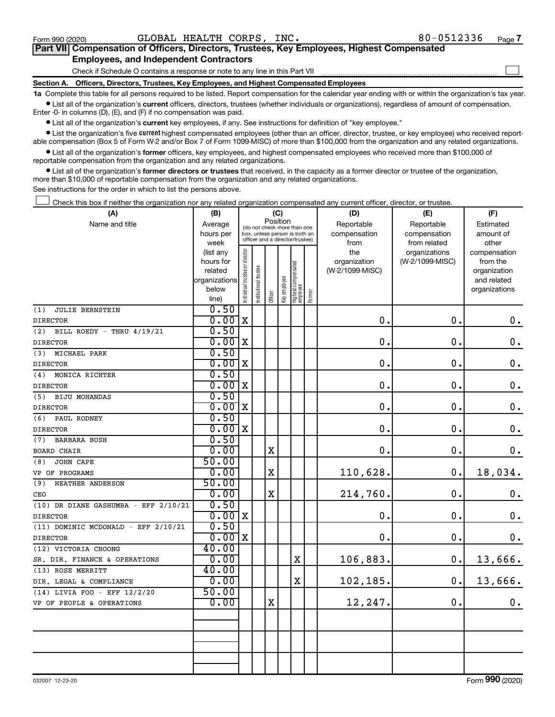$\Box$ 

| Part VII Compensation of Officers, Directors, Trustees, Key Employees, Highest Compensated |  |  |
|--------------------------------------------------------------------------------------------|--|--|
| <b>Employees, and Independent Contractors</b>                                              |  |  |

Check if Schedule O contains a response or note to any line in this Part VII

**Section A. Officers, Directors, Trustees, Key Employees, and Highest Compensated Employees**

**1a**  Complete this table for all persons required to be listed. Report compensation for the calendar year ending with or within the organization's tax year.  $\bullet$  List all of the organization's current officers, directors, trustees (whether individuals or organizations), regardless of amount of compensation.

Enter -0- in columns (D), (E), and (F) if no compensation was paid.

**•** List all of the organization's current key employees, if any. See instructions for definition of "key employee."

• List the organization's five *current* highest compensated employees (other than an officer, director, trustee, or key employee) who received reportable compensation (Box 5 of Form W-2 and/or Box 7 of Form 1099-MISC) of more than \$100,000 from the organization and any related organizations.

 $\bullet$  List all of the organization's former officers, key employees, and highest compensated employees who received more than \$100,000 of reportable compensation from the organization and any related organizations.

**•** List all of the organization's former directors or trustees that received, in the capacity as a former director or trustee of the organization, more than \$10,000 of reportable compensation from the organization and any related organizations.

See instructions for the order in which to list the persons above.

Check this box if neither the organization nor any related organization compensated any current officer, director, or trustee.  $\Box$ 

| (A)                                     | (B)                    |                                         |                                                                  | (C)         |              |                                   |        | (D)             | (E)             | (F)                          |
|-----------------------------------------|------------------------|-----------------------------------------|------------------------------------------------------------------|-------------|--------------|-----------------------------------|--------|-----------------|-----------------|------------------------------|
| Name and title                          | Average                | Position<br>(do not check more than one |                                                                  |             |              |                                   |        | Reportable      | Reportable      | Estimated                    |
|                                         | hours per              |                                         | box, unless person is both an<br>officer and a director/trustee) |             |              |                                   |        | compensation    | compensation    | amount of                    |
|                                         | week                   |                                         |                                                                  |             |              |                                   |        | from            | from related    | other                        |
|                                         | (list any              |                                         |                                                                  |             |              |                                   |        | the             | organizations   | compensation                 |
|                                         | hours for              |                                         |                                                                  |             |              |                                   |        | organization    | (W-2/1099-MISC) | from the                     |
|                                         | related                |                                         |                                                                  |             |              |                                   |        | (W-2/1099-MISC) |                 | organization                 |
|                                         | organizations<br>below |                                         |                                                                  |             |              |                                   |        |                 |                 | and related<br>organizations |
|                                         | line)                  | Individual trustee or director          | Institutional trustee                                            | Officer     | Key employee | Highest compensated<br>  employee | Former |                 |                 |                              |
| <b>JULIE BERNSTEIN</b><br>(1)           | 0.50                   |                                         |                                                                  |             |              |                                   |        |                 |                 |                              |
| <b>DIRECTOR</b>                         | 0.00                   | $\mathbf X$                             |                                                                  |             |              |                                   |        | 0.              | $\mathbf 0$ .   | $\boldsymbol{0}$ .           |
| (2)<br>BILL ROEDY - THRU 4/19/21        | 0.50                   |                                         |                                                                  |             |              |                                   |        |                 |                 |                              |
| <b>DIRECTOR</b>                         | 0.00                   | X                                       |                                                                  |             |              |                                   |        | $\mathbf 0$ .   | $\mathbf 0$ .   | $\mathbf 0$ .                |
| MICHAEL PARK<br>(3)                     | 0.50                   |                                         |                                                                  |             |              |                                   |        |                 |                 |                              |
| <b>DIRECTOR</b>                         | 0.00                   | $\mathbf X$                             |                                                                  |             |              |                                   |        | $\mathbf 0$ .   | 0.              | $\mathbf 0$ .                |
| (4)<br>MONICA RICHTER                   | 0.50                   |                                         |                                                                  |             |              |                                   |        |                 |                 |                              |
| <b>DIRECTOR</b>                         | 0.00                   | X                                       |                                                                  |             |              |                                   |        | $\mathbf 0$ .   | $\mathbf 0$ .   | $\boldsymbol{0}$ .           |
| <b>BIJU MOHANDAS</b><br>(5)             | 0.50                   |                                         |                                                                  |             |              |                                   |        |                 |                 |                              |
| <b>DIRECTOR</b>                         | 0.00                   | X                                       |                                                                  |             |              |                                   |        | 0.              | 0.              | $\mathbf 0$ .                |
| (6)<br>PAUL RODNEY                      | 0.50                   |                                         |                                                                  |             |              |                                   |        |                 |                 |                              |
| <b>DIRECTOR</b>                         | 0.00                   | $\mathbf X$                             |                                                                  |             |              |                                   |        | $\mathbf 0$ .   | 0.              | $\boldsymbol{0}$ .           |
| <b>BARBARA BUSH</b><br>(7)              | 0.50                   |                                         |                                                                  |             |              |                                   |        |                 |                 |                              |
| <b>BOARD CHAIR</b>                      | 0.00                   |                                         |                                                                  | $\mathbf X$ |              |                                   |        | 0.              | 0.              | $\mathbf 0$ .                |
| <b>JOHN CAPE</b><br>(8)                 | 50.00                  |                                         |                                                                  |             |              |                                   |        |                 |                 |                              |
| VP OF PROGRAMS                          | 0.00                   |                                         |                                                                  | $\rm X$     |              |                                   |        | 110,628.        | 0.              | 18,034.                      |
| (9)<br>HEATHER ANDERSON                 | 50.00                  |                                         |                                                                  |             |              |                                   |        |                 |                 |                              |
| CEO                                     | 0.00                   |                                         |                                                                  | $\mathbf X$ |              |                                   |        | 214,760.        | $\mathbf 0$ .   | $\boldsymbol{0}$ .           |
| (10) DR DIANE GASHUMBA - EFF 2/10/21    | 0.50                   |                                         |                                                                  |             |              |                                   |        |                 |                 |                              |
| <b>DIRECTOR</b>                         | $0.00 \, \text{X}$     |                                         |                                                                  |             |              |                                   |        | $\mathbf 0$ .   | 0.              | $\mathbf 0$ .                |
| $(11)$ DOMINIC MCDONALD - EFF $2/10/21$ | 0.50                   |                                         |                                                                  |             |              |                                   |        |                 |                 |                              |
| <b>DIRECTOR</b>                         | 0.00x                  |                                         |                                                                  |             |              |                                   |        | 0.              | $\mathbf 0$ .   | $\mathbf 0$ .                |
| (12) VICTORIA CHOONG                    | 40.00                  |                                         |                                                                  |             |              |                                   |        |                 |                 |                              |
| SR. DIR. FINANCE & OPERATIONS           | 0.00                   |                                         |                                                                  |             |              | X                                 |        | 106,883.        | 0.              | 13,666.                      |
| (13) ROSE MERRITT                       | 40.00                  |                                         |                                                                  |             |              |                                   |        |                 |                 |                              |
| DIR. LEGAL & COMPLIANCE                 | 0.00                   |                                         |                                                                  |             |              | $\mathbf x$                       |        | 102,185.        | 0.              | 13,666.                      |
| (14) LIVIA FOO - EFF 12/2/20            | 50.00                  |                                         |                                                                  |             |              |                                   |        |                 |                 |                              |
| VP OF PEOPLE & OPERATIONS               | 0.00                   |                                         |                                                                  | $\mathbf X$ |              |                                   |        | 12,247.         | 0.              | 0.                           |
|                                         |                        |                                         |                                                                  |             |              |                                   |        |                 |                 |                              |
|                                         |                        |                                         |                                                                  |             |              |                                   |        |                 |                 |                              |
|                                         |                        |                                         |                                                                  |             |              |                                   |        |                 |                 |                              |
|                                         |                        |                                         |                                                                  |             |              |                                   |        |                 |                 |                              |
|                                         |                        |                                         |                                                                  |             |              |                                   |        |                 |                 |                              |
|                                         |                        |                                         |                                                                  |             |              |                                   |        |                 |                 |                              |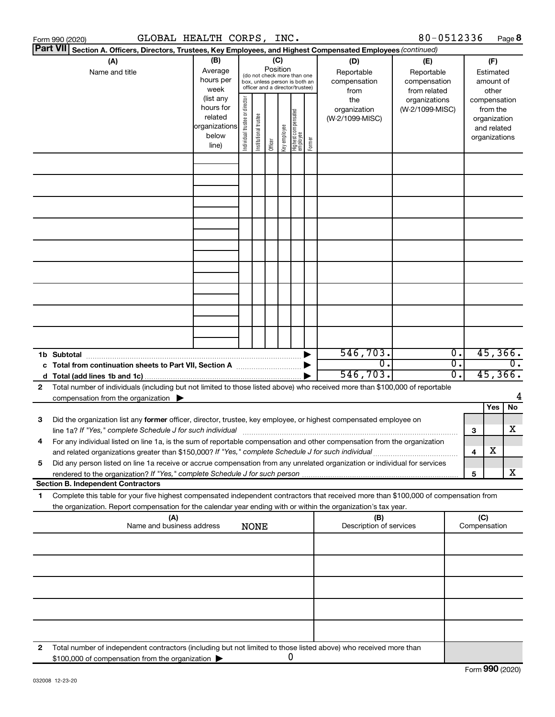| Form 990 (2020)                                                                                                                                                                                                                                                     | GLOBAL HEALTH CORPS, INC.                               |                                   |                                                                                                                    |         |                                                  |                                                                    |                                                        |                                 | 80-0512336      |                                      |                                                          | Page 8                      |
|---------------------------------------------------------------------------------------------------------------------------------------------------------------------------------------------------------------------------------------------------------------------|---------------------------------------------------------|-----------------------------------|--------------------------------------------------------------------------------------------------------------------|---------|--------------------------------------------------|--------------------------------------------------------------------|--------------------------------------------------------|---------------------------------|-----------------|--------------------------------------|----------------------------------------------------------|-----------------------------|
| <b>Part VII</b><br>Section A. Officers, Directors, Trustees, Key Employees, and Highest Compensated Employees (continued)                                                                                                                                           |                                                         |                                   |                                                                                                                    |         |                                                  |                                                                    |                                                        |                                 |                 |                                      |                                                          |                             |
| (A)<br>Name and title                                                                                                                                                                                                                                               | (B)<br>Average<br>hours per<br>week<br>(list any        |                                   | (C)<br>Position<br>(do not check more than one<br>box, unless person is both an<br>officer and a director/trustee) |         | (D)<br>Reportable<br>compensation<br>from<br>the | (E)<br>Reportable<br>compensation<br>from related<br>organizations | (F)<br>Estimated<br>amount of<br>other<br>compensation |                                 |                 |                                      |                                                          |                             |
|                                                                                                                                                                                                                                                                     | hours for<br>related<br>organizations<br>below<br>line) | director<br>Individual trustee or | Institutional trustee                                                                                              | Officer | Key employee                                     | Highest compensated<br> employee                                   | Former                                                 | organization<br>(W-2/1099-MISC) | (W-2/1099-MISC) |                                      | from the<br>organization<br>and related<br>organizations |                             |
|                                                                                                                                                                                                                                                                     |                                                         |                                   |                                                                                                                    |         |                                                  |                                                                    |                                                        |                                 |                 |                                      |                                                          |                             |
|                                                                                                                                                                                                                                                                     |                                                         |                                   |                                                                                                                    |         |                                                  |                                                                    |                                                        |                                 |                 |                                      |                                                          |                             |
|                                                                                                                                                                                                                                                                     |                                                         |                                   |                                                                                                                    |         |                                                  |                                                                    |                                                        |                                 |                 |                                      |                                                          |                             |
|                                                                                                                                                                                                                                                                     |                                                         |                                   |                                                                                                                    |         |                                                  |                                                                    |                                                        |                                 |                 |                                      |                                                          |                             |
|                                                                                                                                                                                                                                                                     |                                                         |                                   |                                                                                                                    |         |                                                  |                                                                    |                                                        |                                 |                 |                                      |                                                          |                             |
|                                                                                                                                                                                                                                                                     |                                                         |                                   |                                                                                                                    |         |                                                  |                                                                    |                                                        |                                 |                 |                                      |                                                          |                             |
|                                                                                                                                                                                                                                                                     |                                                         |                                   |                                                                                                                    |         |                                                  |                                                                    |                                                        |                                 |                 |                                      |                                                          |                             |
|                                                                                                                                                                                                                                                                     |                                                         |                                   |                                                                                                                    |         |                                                  |                                                                    |                                                        |                                 |                 |                                      |                                                          |                             |
|                                                                                                                                                                                                                                                                     |                                                         |                                   |                                                                                                                    |         |                                                  |                                                                    |                                                        |                                 |                 |                                      |                                                          |                             |
| 1b Subtotal                                                                                                                                                                                                                                                         |                                                         |                                   |                                                                                                                    |         |                                                  |                                                                    |                                                        | 546,703.<br>σ.                  |                 | $\overline{0}$ .<br>$\overline{0}$ . |                                                          | 45,366.<br>$\overline{0}$ . |
| c Total from continuation sheets to Part VII, Section A manuscreen by                                                                                                                                                                                               |                                                         |                                   |                                                                                                                    |         |                                                  |                                                                    |                                                        | 546,703.                        |                 | $\overline{0}$ .                     |                                                          | 45,366.                     |
| Total number of individuals (including but not limited to those listed above) who received more than \$100,000 of reportable<br>2                                                                                                                                   |                                                         |                                   |                                                                                                                    |         |                                                  |                                                                    |                                                        |                                 |                 |                                      |                                                          |                             |
| compensation from the organization $\blacktriangleright$                                                                                                                                                                                                            |                                                         |                                   |                                                                                                                    |         |                                                  |                                                                    |                                                        |                                 |                 |                                      |                                                          |                             |
|                                                                                                                                                                                                                                                                     |                                                         |                                   |                                                                                                                    |         |                                                  |                                                                    |                                                        |                                 |                 |                                      | Yes                                                      | No                          |
| Did the organization list any former officer, director, trustee, key employee, or highest compensated employee on<br>3<br>line 1a? If "Yes," complete Schedule J for such individual manufactured content to the successive complete schedule J for such individual |                                                         |                                   |                                                                                                                    |         |                                                  |                                                                    |                                                        |                                 |                 |                                      | 3                                                        | x                           |
| For any individual listed on line 1a, is the sum of reportable compensation and other compensation from the organization<br>and related organizations greater than \$150,000? If "Yes," complete Schedule J for such individual                                     |                                                         |                                   |                                                                                                                    |         |                                                  |                                                                    |                                                        |                                 |                 |                                      | X<br>4                                                   |                             |
| Did any person listed on line 1a receive or accrue compensation from any unrelated organization or individual for services<br>5                                                                                                                                     |                                                         |                                   |                                                                                                                    |         |                                                  |                                                                    |                                                        |                                 |                 |                                      | 5                                                        | X                           |
| <b>Section B. Independent Contractors</b>                                                                                                                                                                                                                           |                                                         |                                   |                                                                                                                    |         |                                                  |                                                                    |                                                        |                                 |                 |                                      |                                                          |                             |
| Complete this table for your five highest compensated independent contractors that received more than \$100,000 of compensation from<br>1.<br>the organization. Report compensation for the calendar year ending with or within the organization's tax year.        |                                                         |                                   |                                                                                                                    |         |                                                  |                                                                    |                                                        |                                 |                 |                                      |                                                          |                             |
| (A)<br>Name and business address                                                                                                                                                                                                                                    |                                                         |                                   | <b>NONE</b>                                                                                                        |         |                                                  |                                                                    |                                                        | (B)<br>Description of services  |                 |                                      | (C)<br>Compensation                                      |                             |
|                                                                                                                                                                                                                                                                     |                                                         |                                   |                                                                                                                    |         |                                                  |                                                                    |                                                        |                                 |                 |                                      |                                                          |                             |
|                                                                                                                                                                                                                                                                     |                                                         |                                   |                                                                                                                    |         |                                                  |                                                                    |                                                        |                                 |                 |                                      |                                                          |                             |
|                                                                                                                                                                                                                                                                     |                                                         |                                   |                                                                                                                    |         |                                                  |                                                                    |                                                        |                                 |                 |                                      |                                                          |                             |
|                                                                                                                                                                                                                                                                     |                                                         |                                   |                                                                                                                    |         |                                                  |                                                                    |                                                        |                                 |                 |                                      |                                                          |                             |
| Total number of independent contractors (including but not limited to those listed above) who received more than<br>2                                                                                                                                               |                                                         |                                   |                                                                                                                    |         |                                                  |                                                                    |                                                        |                                 |                 |                                      |                                                          |                             |
| \$100,000 of compensation from the organization                                                                                                                                                                                                                     |                                                         |                                   |                                                                                                                    |         |                                                  | 0                                                                  |                                                        |                                 |                 |                                      |                                                          |                             |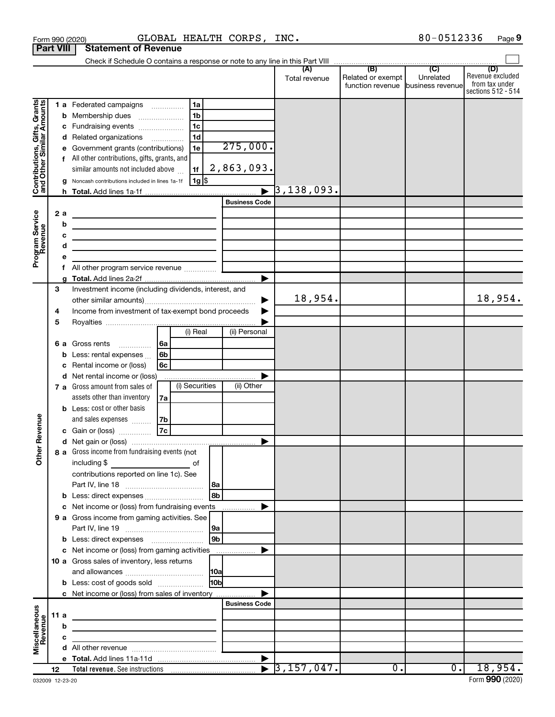|                                                           | Form 990 (2020)  | GLOBAL HEALTH CORPS, INC.                                                                                                                                |                                           | 80-0512336<br>Page 9                                                                                              |
|-----------------------------------------------------------|------------------|----------------------------------------------------------------------------------------------------------------------------------------------------------|-------------------------------------------|-------------------------------------------------------------------------------------------------------------------|
|                                                           | <b>Part VIII</b> | <b>Statement of Revenue</b>                                                                                                                              |                                           |                                                                                                                   |
|                                                           |                  |                                                                                                                                                          | (B)                                       | $\overline{C}$                                                                                                    |
|                                                           |                  |                                                                                                                                                          | (A)<br>Related or exempt<br>Total revenue | (D)<br>Revenue excluded<br>Unrelated<br>from tax under<br>function revenue business revenue<br>sections 512 - 514 |
|                                                           |                  | 1 a Federated campaigns<br>1a                                                                                                                            |                                           |                                                                                                                   |
| Contributions, Gifts, Grants<br>and Other Similar Amounts |                  | 1 <sub>b</sub><br><b>b</b> Membership dues                                                                                                               |                                           |                                                                                                                   |
|                                                           |                  | 1 <sub>c</sub><br>c Fundraising events                                                                                                                   |                                           |                                                                                                                   |
|                                                           |                  | 1 <sub>d</sub><br>d Related organizations                                                                                                                |                                           |                                                                                                                   |
|                                                           |                  | 275,000.<br>e Government grants (contributions)<br>1e                                                                                                    |                                           |                                                                                                                   |
|                                                           |                  | f All other contributions, gifts, grants, and                                                                                                            |                                           |                                                                                                                   |
|                                                           |                  | 2,863,093.<br>similar amounts not included above<br>1f                                                                                                   |                                           |                                                                                                                   |
|                                                           | g                | 1g   \$<br>Noncash contributions included in lines 1a-1f                                                                                                 | $\blacktriangleright$ 3,138,093.          |                                                                                                                   |
|                                                           |                  | <b>Business Code</b>                                                                                                                                     |                                           |                                                                                                                   |
|                                                           | 2a               |                                                                                                                                                          |                                           |                                                                                                                   |
| Program Service<br>Revenue                                | b                | the control of the control of the control of the control of the control of                                                                               |                                           |                                                                                                                   |
|                                                           | с                | the control of the control of the control of the control of the control of                                                                               |                                           |                                                                                                                   |
|                                                           | d                | the control of the control of the control of the control of the control of<br>the control of the control of the control of the control of the control of |                                           |                                                                                                                   |
|                                                           | е                |                                                                                                                                                          |                                           |                                                                                                                   |
|                                                           | f                | All other program service revenue                                                                                                                        |                                           |                                                                                                                   |
|                                                           | a                |                                                                                                                                                          |                                           |                                                                                                                   |
|                                                           | 3                | Investment income (including dividends, interest, and                                                                                                    |                                           |                                                                                                                   |
|                                                           |                  |                                                                                                                                                          | 18,954.<br>▶                              | 18,954.                                                                                                           |
|                                                           | 4                | Income from investment of tax-exempt bond proceeds                                                                                                       | ▶                                         |                                                                                                                   |
|                                                           | 5                | (i) Real<br>(ii) Personal                                                                                                                                |                                           |                                                                                                                   |
|                                                           |                  |                                                                                                                                                          |                                           |                                                                                                                   |
|                                                           | b                | 6 a Gross rents<br>6a<br>Less: rental expenses<br>6b                                                                                                     |                                           |                                                                                                                   |
|                                                           | с                | Rental income or (loss)<br>6с                                                                                                                            |                                           |                                                                                                                   |
|                                                           |                  | d Net rental income or (loss)                                                                                                                            |                                           |                                                                                                                   |
|                                                           |                  | (i) Securities<br>(ii) Other<br>7 a Gross amount from sales of                                                                                           |                                           |                                                                                                                   |
|                                                           |                  | assets other than inventory<br>7a                                                                                                                        |                                           |                                                                                                                   |
|                                                           |                  | <b>b</b> Less: cost or other basis                                                                                                                       |                                           |                                                                                                                   |
| venue                                                     |                  | and sales expenses<br>7b                                                                                                                                 |                                           |                                                                                                                   |
|                                                           |                  | $\overline{7c}$<br>c Gain or (loss)                                                                                                                      |                                           |                                                                                                                   |
| Œ                                                         |                  |                                                                                                                                                          |                                           |                                                                                                                   |
| Other                                                     |                  | 8 a Gross income from fundraising events (not                                                                                                            |                                           |                                                                                                                   |
|                                                           |                  | contributions reported on line 1c). See                                                                                                                  |                                           |                                                                                                                   |
|                                                           |                  | l 8a                                                                                                                                                     |                                           |                                                                                                                   |
|                                                           | b                | l 8bl<br>Less: direct expenses                                                                                                                           |                                           |                                                                                                                   |
|                                                           |                  | Net income or (loss) from fundraising events                                                                                                             | ▶                                         |                                                                                                                   |
|                                                           |                  | 9 a Gross income from gaming activities. See                                                                                                             |                                           |                                                                                                                   |
|                                                           |                  | 9a                                                                                                                                                       |                                           |                                                                                                                   |
|                                                           |                  | 9b                                                                                                                                                       |                                           |                                                                                                                   |
|                                                           |                  | c Net income or (loss) from gaming activities                                                                                                            | ▶                                         |                                                                                                                   |
|                                                           |                  | 10 a Gross sales of inventory, less returns                                                                                                              |                                           |                                                                                                                   |
|                                                           |                  | <b>10a</b>                                                                                                                                               |                                           |                                                                                                                   |
|                                                           |                  | 10 <sub>b</sub><br><b>b</b> Less: cost of goods sold                                                                                                     |                                           |                                                                                                                   |
|                                                           |                  | c Net income or (loss) from sales of inventory<br><b>Business Code</b>                                                                                   |                                           |                                                                                                                   |
| Miscellaneous<br>Revenue                                  | 11 a             |                                                                                                                                                          |                                           |                                                                                                                   |
|                                                           | b                | the control of the control of the control of the control of the control of                                                                               |                                           |                                                                                                                   |
|                                                           | с                | <u> 1989 - John Harry Barn, mars and de Barn, mars and de Barn, mars and de Barn, mars and de Barn, mars and de</u>                                      |                                           |                                                                                                                   |
|                                                           |                  |                                                                                                                                                          |                                           |                                                                                                                   |
|                                                           |                  |                                                                                                                                                          |                                           |                                                                                                                   |
|                                                           | 12               |                                                                                                                                                          |                                           | $\overline{0}$ .<br>$\overline{0}$ .<br>18,954.                                                                   |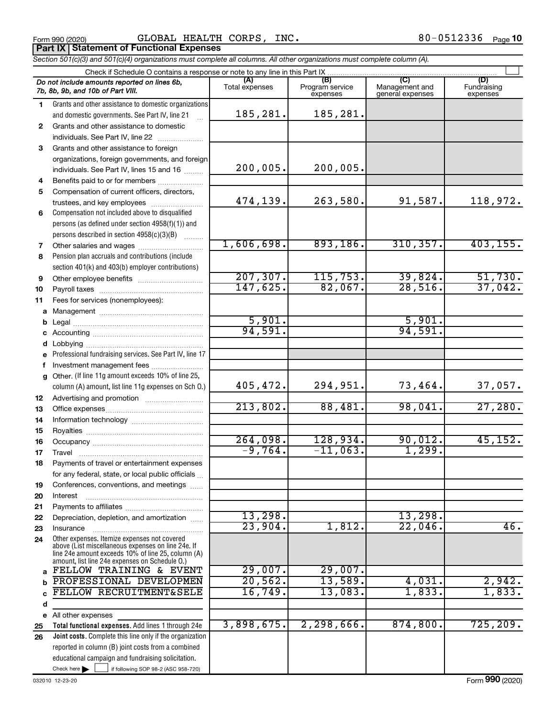Form 990 (2020) Page GLOBAL HEALTH CORPS, INC. 80-0512336 **Part IX Statement of Functional Expenses**

*Section 501(c)(3) and 501(c)(4) organizations must complete all columns. All other organizations must complete column (A).*

|    | Check if Schedule O contains a response or note to any line in this Part IX                                                                                                                                |                       |                                    |                                    |                                |
|----|------------------------------------------------------------------------------------------------------------------------------------------------------------------------------------------------------------|-----------------------|------------------------------------|------------------------------------|--------------------------------|
|    | Do not include amounts reported on lines 6b,<br>7b, 8b, 9b, and 10b of Part VIII.                                                                                                                          | (A)<br>Total expenses | (B)<br>Program service<br>expenses | Management and<br>general expenses | (D)<br>Fundraising<br>expenses |
| 1. | Grants and other assistance to domestic organizations                                                                                                                                                      |                       |                                    |                                    |                                |
|    | and domestic governments. See Part IV, line 21                                                                                                                                                             | 185,281.              | 185,281.                           |                                    |                                |
| 2  | Grants and other assistance to domestic                                                                                                                                                                    |                       |                                    |                                    |                                |
|    | individuals. See Part IV, line 22                                                                                                                                                                          |                       |                                    |                                    |                                |
| 3  | Grants and other assistance to foreign                                                                                                                                                                     |                       |                                    |                                    |                                |
|    | organizations, foreign governments, and foreign                                                                                                                                                            |                       |                                    |                                    |                                |
|    | individuals. See Part IV, lines 15 and 16                                                                                                                                                                  | 200,005.              | 200,005.                           |                                    |                                |
| 4  | Benefits paid to or for members                                                                                                                                                                            |                       |                                    |                                    |                                |
| 5  | Compensation of current officers, directors,                                                                                                                                                               |                       |                                    |                                    |                                |
|    | trustees, and key employees                                                                                                                                                                                | 474,139.              | 263,580.                           | 91,587.                            | 118,972.                       |
| 6  | Compensation not included above to disqualified                                                                                                                                                            |                       |                                    |                                    |                                |
|    | persons (as defined under section 4958(f)(1)) and                                                                                                                                                          |                       |                                    |                                    |                                |
|    | persons described in section 4958(c)(3)(B)                                                                                                                                                                 |                       |                                    |                                    |                                |
| 7  |                                                                                                                                                                                                            | 1,606,698.            | 893,186.                           | 310, 357.                          | 403, 155.                      |
| 8  | Pension plan accruals and contributions (include                                                                                                                                                           |                       |                                    |                                    |                                |
|    | section 401(k) and 403(b) employer contributions)                                                                                                                                                          |                       |                                    |                                    |                                |
| 9  |                                                                                                                                                                                                            | 207, 307.<br>147,625. | 115,753.<br>82,067.                | 39,824.<br>28,516.                 | 51,730.<br>37,042.             |
| 10 |                                                                                                                                                                                                            |                       |                                    |                                    |                                |
| 11 | Fees for services (nonemployees):                                                                                                                                                                          |                       |                                    |                                    |                                |
| а  |                                                                                                                                                                                                            | 5,901.                |                                    | 5,901.                             |                                |
| b  |                                                                                                                                                                                                            | 94,591.               |                                    | 94,591.                            |                                |
| c  |                                                                                                                                                                                                            |                       |                                    |                                    |                                |
| d  | Professional fundraising services. See Part IV, line 17                                                                                                                                                    |                       |                                    |                                    |                                |
| f  | Investment management fees                                                                                                                                                                                 |                       |                                    |                                    |                                |
| g  | Other. (If line 11g amount exceeds 10% of line 25,                                                                                                                                                         |                       |                                    |                                    |                                |
|    | column (A) amount, list line 11g expenses on Sch O.)                                                                                                                                                       | 405,472.              | 294,951.                           | 73,464.                            | 37,057.                        |
| 12 |                                                                                                                                                                                                            |                       |                                    |                                    |                                |
| 13 |                                                                                                                                                                                                            | 213,802.              | 88,481.                            | 98,041.                            | 27,280.                        |
| 14 |                                                                                                                                                                                                            |                       |                                    |                                    |                                |
| 15 |                                                                                                                                                                                                            |                       |                                    |                                    |                                |
| 16 |                                                                                                                                                                                                            | 264,098.              | 128,934.                           | 90,012.                            | 45, 152.                       |
| 17 |                                                                                                                                                                                                            | $-9,764.$             | $-11,063.$                         | 1,299.                             |                                |
| 18 | Payments of travel or entertainment expenses                                                                                                                                                               |                       |                                    |                                    |                                |
|    | for any federal, state, or local public officials                                                                                                                                                          |                       |                                    |                                    |                                |
| 19 | Conferences, conventions, and meetings                                                                                                                                                                     |                       |                                    |                                    |                                |
| 20 | Interest                                                                                                                                                                                                   |                       |                                    |                                    |                                |
| 21 |                                                                                                                                                                                                            |                       |                                    |                                    |                                |
| 22 | Depreciation, depletion, and amortization                                                                                                                                                                  | 13,298.               |                                    | 13,298.                            |                                |
| 23 | Insurance                                                                                                                                                                                                  | 23,904.               | 1,812.                             | 22,046                             | 46.                            |
| 24 | Other expenses. Itemize expenses not covered<br>above (List miscellaneous expenses on line 24e. If<br>line 24e amount exceeds 10% of line 25, column (A)<br>amount, list line 24e expenses on Schedule O.) |                       |                                    |                                    |                                |
| a  | FELLOW TRAINING & EVENT                                                                                                                                                                                    | 29,007.               | 29,007.                            |                                    |                                |
| b  | PROFESSIONAL DEVELOPMEN                                                                                                                                                                                    | 20,562.               | 13,589.                            | 4,031.                             | 2,942.                         |
|    | FELLOW RECRUITMENT&SELE                                                                                                                                                                                    | 16,749                | 13,083.                            | 1,833.                             | 1,833.                         |
| d  |                                                                                                                                                                                                            |                       |                                    |                                    |                                |
| е  | All other expenses                                                                                                                                                                                         |                       |                                    |                                    |                                |
| 25 | Total functional expenses. Add lines 1 through 24e                                                                                                                                                         | 3,898,675.            | 2, 298, 666.                       | 874, 800.                          | 725, 209.                      |
| 26 | Joint costs. Complete this line only if the organization                                                                                                                                                   |                       |                                    |                                    |                                |
|    | reported in column (B) joint costs from a combined                                                                                                                                                         |                       |                                    |                                    |                                |
|    | educational campaign and fundraising solicitation.                                                                                                                                                         |                       |                                    |                                    |                                |
|    | Check here $\blacktriangleright$<br>if following SOP 98-2 (ASC 958-720)                                                                                                                                    |                       |                                    |                                    |                                |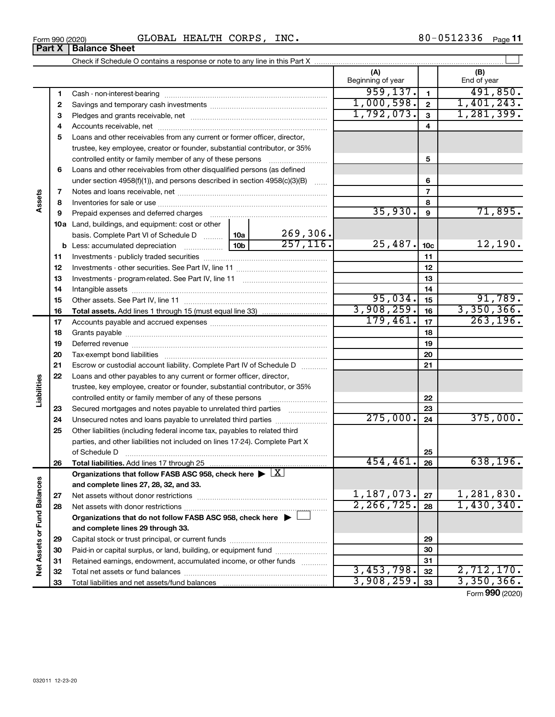| 512336<br>80-<br>CORPS,<br>HEALTH<br>GLOBAL<br>INC.<br>⊥05<br>Form 990 (2020) | Page |
|-------------------------------------------------------------------------------|------|
|-------------------------------------------------------------------------------|------|

|                             |    |                                                                                                        |     |           | (A)<br>Beginning of year   |                          | (B)<br>End of year       |
|-----------------------------|----|--------------------------------------------------------------------------------------------------------|-----|-----------|----------------------------|--------------------------|--------------------------|
|                             | 1  |                                                                                                        |     |           | 959, 137.                  | $\mathbf{1}$             | 491,850.                 |
|                             | 2  |                                                                                                        |     |           | 1,000,598.                 | $\mathbf{2}$             | 1,401,243.               |
|                             | 3  |                                                                                                        |     |           | 1,792,073.                 | $\mathbf{3}$             | 1,281,399.               |
|                             | 4  |                                                                                                        |     |           |                            | 4                        |                          |
|                             | 5  | Loans and other receivables from any current or former officer, director,                              |     |           |                            |                          |                          |
|                             |    | trustee, key employee, creator or founder, substantial contributor, or 35%                             |     |           |                            |                          |                          |
|                             |    | controlled entity or family member of any of these persons                                             |     |           |                            | 5                        |                          |
|                             | 6  | Loans and other receivables from other disqualified persons (as defined                                |     |           |                            |                          |                          |
|                             |    | under section $4958(f)(1)$ , and persons described in section $4958(c)(3)(B)$                          |     | $\sim$    |                            | 6                        |                          |
|                             | 7  |                                                                                                        |     |           |                            | $\overline{\phantom{a}}$ |                          |
| Assets                      | 8  |                                                                                                        |     |           |                            | 8                        |                          |
|                             | 9  | Prepaid expenses and deferred charges                                                                  |     |           | 35,930.                    | 9                        | 71,895.                  |
|                             |    | <b>10a</b> Land, buildings, and equipment: cost or other                                               |     |           |                            |                          |                          |
|                             |    | basis. Complete Part VI of Schedule D  10a                                                             |     | 269,306.  |                            |                          |                          |
|                             |    |                                                                                                        | 10b | 257, 116. | 25,487.                    | 10 <sub>c</sub>          | 12,190.                  |
|                             | 11 |                                                                                                        |     |           |                            | 11                       |                          |
|                             | 12 |                                                                                                        |     |           |                            | 12                       |                          |
|                             | 13 |                                                                                                        |     |           |                            | 13                       |                          |
|                             | 14 |                                                                                                        |     |           |                            | 14                       |                          |
|                             | 15 |                                                                                                        |     |           | 95,034.                    | 15                       | 91,789.                  |
|                             | 16 |                                                                                                        |     |           | 3,908,259.                 | 16                       | 3,350,366.               |
|                             | 17 |                                                                                                        |     |           | 179,461.                   | 17                       | 263, 196.                |
|                             | 18 |                                                                                                        |     |           |                            | 18                       |                          |
|                             | 19 |                                                                                                        |     |           |                            | 19                       |                          |
|                             | 20 |                                                                                                        |     |           |                            | 20                       |                          |
|                             | 21 | Escrow or custodial account liability. Complete Part IV of Schedule D                                  |     |           |                            | 21                       |                          |
|                             | 22 | Loans and other payables to any current or former officer, director,                                   |     |           |                            |                          |                          |
| Liabilities                 |    | trustee, key employee, creator or founder, substantial contributor, or 35%                             |     |           |                            |                          |                          |
|                             |    | controlled entity or family member of any of these persons                                             |     |           |                            | 22                       |                          |
|                             | 23 | Secured mortgages and notes payable to unrelated third parties                                         |     |           |                            | 23                       |                          |
|                             | 24 | Unsecured notes and loans payable to unrelated third parties                                           |     |           | 275,000.                   | 24                       | 375,000.                 |
|                             | 25 | Other liabilities (including federal income tax, payables to related third                             |     |           |                            |                          |                          |
|                             |    | parties, and other liabilities not included on lines 17-24). Complete Part X                           |     |           |                            |                          |                          |
|                             |    | of Schedule D                                                                                          |     |           |                            | 25                       |                          |
|                             | 26 |                                                                                                        |     |           | 454,461.                   | 26                       | 638, 196.                |
|                             |    | Organizations that follow FASB ASC 958, check here $\blacktriangleright \lfloor \underline{X} \rfloor$ |     |           |                            |                          |                          |
|                             |    | and complete lines 27, 28, 32, and 33.                                                                 |     |           |                            |                          |                          |
|                             | 27 | Net assets without donor restrictions                                                                  |     |           | 1,187,073.<br>2, 266, 725. | 27                       | 1,281,830.<br>1,430,340. |
|                             | 28 |                                                                                                        |     |           |                            | 28                       |                          |
|                             |    | Organizations that do not follow FASB ASC 958, check here $\blacktriangleright$                        |     |           |                            |                          |                          |
| Net Assets or Fund Balances |    | and complete lines 29 through 33.                                                                      |     |           |                            |                          |                          |
|                             | 29 |                                                                                                        |     |           |                            | 29                       |                          |
|                             | 30 | Paid-in or capital surplus, or land, building, or equipment fund                                       |     |           |                            | 30                       |                          |
|                             | 31 | Retained earnings, endowment, accumulated income, or other funds                                       |     |           | 3,453,798.                 | 31                       | 2,712,170.               |
|                             | 32 |                                                                                                        |     |           | 3,908,259.                 | 32                       | 3,350,366.               |
|                             | 33 |                                                                                                        |     |           |                            | 33                       |                          |

Form (2020) **990**

## **Part X Balance Sheet**

| Form 990 (2020 |  |
|----------------|--|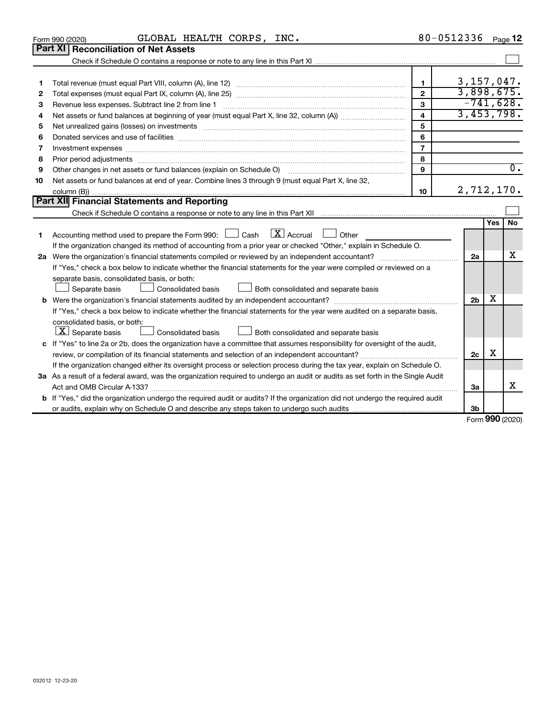|    | GLOBAL HEALTH CORPS, INC.<br>Form 990 (2020)                                                                                                                                                                                   |                | 80-0512336 Page 12 |                     |                  |
|----|--------------------------------------------------------------------------------------------------------------------------------------------------------------------------------------------------------------------------------|----------------|--------------------|---------------------|------------------|
|    | Part XI<br><b>Reconciliation of Net Assets</b>                                                                                                                                                                                 |                |                    |                     |                  |
|    |                                                                                                                                                                                                                                |                |                    |                     |                  |
|    |                                                                                                                                                                                                                                |                |                    |                     |                  |
| 1  |                                                                                                                                                                                                                                | 1              | 3, 157, 047.       |                     |                  |
| 2  |                                                                                                                                                                                                                                | $\overline{2}$ | 3,898,675.         |                     |                  |
| З  | Revenue less expenses. Subtract line 2 from line 1                                                                                                                                                                             | 3              | $-741,628.$        |                     |                  |
| 4  |                                                                                                                                                                                                                                | 4              | 3,453,798.         |                     |                  |
| 5  |                                                                                                                                                                                                                                | 5              |                    |                     |                  |
| 6  |                                                                                                                                                                                                                                | 6              |                    |                     |                  |
| 7  | Investment expenses [[11] has a series and a series of the series of the series and series and series and series and series and series and series and series and series and series and series and series and series and series | $\overline{7}$ |                    |                     |                  |
| 8  | Prior period adjustments www.communication.communication.communication.com/                                                                                                                                                    | 8              |                    |                     |                  |
| 9  | Other changes in net assets or fund balances (explain on Schedule O) manufactured control of the system of the                                                                                                                 | 9              |                    |                     | $\overline{0}$ . |
| 10 | Net assets or fund balances at end of year. Combine lines 3 through 9 (must equal Part X, line 32,                                                                                                                             |                |                    |                     |                  |
|    |                                                                                                                                                                                                                                | 10             | 2,712,170.         |                     |                  |
|    | Part XII Financial Statements and Reporting                                                                                                                                                                                    |                |                    |                     |                  |
|    |                                                                                                                                                                                                                                |                |                    |                     |                  |
|    |                                                                                                                                                                                                                                |                |                    | Yes                 | <b>No</b>        |
| 1  | $\boxed{\mathbf{X}}$ Accrual $\boxed{\phantom{1}}$ Other<br>Accounting method used to prepare the Form 990: $\Box$ Cash                                                                                                        |                |                    |                     |                  |
|    | If the organization changed its method of accounting from a prior year or checked "Other," explain in Schedule O.                                                                                                              |                |                    |                     |                  |
|    | 2a Were the organization's financial statements compiled or reviewed by an independent accountant?                                                                                                                             |                | 2a                 |                     | X                |
|    | If "Yes," check a box below to indicate whether the financial statements for the year were compiled or reviewed on a                                                                                                           |                |                    |                     |                  |
|    | separate basis, consolidated basis, or both:                                                                                                                                                                                   |                |                    |                     |                  |
|    | Both consolidated and separate basis<br>Separate basis<br>Consolidated basis                                                                                                                                                   |                |                    |                     |                  |
|    |                                                                                                                                                                                                                                |                | 2 <sub>b</sub>     | X                   |                  |
|    | If "Yes," check a box below to indicate whether the financial statements for the year were audited on a separate basis,                                                                                                        |                |                    |                     |                  |
|    | consolidated basis, or both:                                                                                                                                                                                                   |                |                    |                     |                  |
|    | $ \mathbf{X} $ Separate basis<br>Consolidated basis<br>Both consolidated and separate basis                                                                                                                                    |                |                    |                     |                  |
|    | c If "Yes" to line 2a or 2b, does the organization have a committee that assumes responsibility for oversight of the audit,                                                                                                    |                |                    |                     |                  |
|    |                                                                                                                                                                                                                                |                | 2c                 | х                   |                  |
|    | If the organization changed either its oversight process or selection process during the tax year, explain on Schedule O.                                                                                                      |                |                    |                     |                  |
|    | 3a As a result of a federal award, was the organization required to undergo an audit or audits as set forth in the Single Audit                                                                                                |                |                    |                     |                  |
|    | Act and OMB Circular A-133?                                                                                                                                                                                                    |                | 3a                 |                     | x                |
|    | <b>b</b> If "Yes," did the organization undergo the required audit or audits? If the organization did not undergo the required audit                                                                                           |                |                    |                     |                  |
|    |                                                                                                                                                                                                                                |                | 3b                 |                     |                  |
|    |                                                                                                                                                                                                                                |                |                    | $000 \text{ hours}$ |                  |

Form (2020) **990**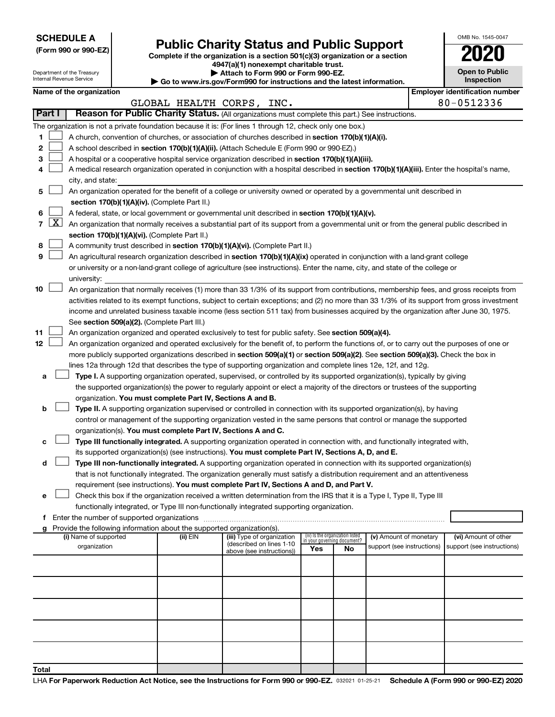**SCHEDULE A**

Department of the Treasury Internal Revenue Service

| (Form 990 or 990-EZ) |  |  |  |
|----------------------|--|--|--|
|----------------------|--|--|--|

# Form 990 or 990-EZ) **Public Charity Status and Public Support**<br>
Complete if the organization is a section 501(c)(3) organization or a section<br> **2020**

**4947(a)(1) nonexempt charitable trust. | Attach to Form 990 or Form 990-EZ.** 

| <b>P</b> Allach to Form you of Form you Let                              |
|--------------------------------------------------------------------------|
| ▶ Go to www.irs.gov/Form990 for instructions and the latest information. |
|                                                                          |

| <b>Open to Public</b><br>Inspection |
|-------------------------------------|
|                                     |

OMB No. 1545-0047

|               | Name of the organization |                           |                                                                                                         | <b>Employer identification number</b> |
|---------------|--------------------------|---------------------------|---------------------------------------------------------------------------------------------------------|---------------------------------------|
|               |                          | GLOBAL HEALTH CORPS, INC. |                                                                                                         | 80-0512336                            |
| <b>Part I</b> |                          |                           | <b>Reason for Public Charity Status.</b> (All organizations must complete this part.) See instructions. |                                       |

|    | Part I     | Reason for Public Charity Status. (All organizations must complete this part.) See instructions.                                                                                                |          |                            |                                 |    |                            |                            |  |  |
|----|------------|-------------------------------------------------------------------------------------------------------------------------------------------------------------------------------------------------|----------|----------------------------|---------------------------------|----|----------------------------|----------------------------|--|--|
|    |            | The organization is not a private foundation because it is: (For lines 1 through 12, check only one box.)                                                                                       |          |                            |                                 |    |                            |                            |  |  |
| 1  |            |                                                                                                                                                                                                 |          |                            |                                 |    |                            |                            |  |  |
| 2  |            | A church, convention of churches, or association of churches described in section 170(b)(1)(A)(i).<br>A school described in section 170(b)(1)(A)(ii). (Attach Schedule E (Form 990 or 990-EZ).) |          |                            |                                 |    |                            |                            |  |  |
| 3  |            | A hospital or a cooperative hospital service organization described in section 170(b)(1)(A)(iii).                                                                                               |          |                            |                                 |    |                            |                            |  |  |
|    |            | A medical research organization operated in conjunction with a hospital described in section 170(b)(1)(A)(iii). Enter the hospital's name,                                                      |          |                            |                                 |    |                            |                            |  |  |
|    |            | city, and state:                                                                                                                                                                                |          |                            |                                 |    |                            |                            |  |  |
| 5  |            | An organization operated for the benefit of a college or university owned or operated by a governmental unit described in                                                                       |          |                            |                                 |    |                            |                            |  |  |
|    |            |                                                                                                                                                                                                 |          |                            |                                 |    |                            |                            |  |  |
|    |            | section 170(b)(1)(A)(iv). (Complete Part II.)                                                                                                                                                   |          |                            |                                 |    |                            |                            |  |  |
| 6  |            | A federal, state, or local government or governmental unit described in section 170(b)(1)(A)(v).                                                                                                |          |                            |                                 |    |                            |                            |  |  |
| 7  | <u>X  </u> | An organization that normally receives a substantial part of its support from a governmental unit or from the general public described in                                                       |          |                            |                                 |    |                            |                            |  |  |
|    |            | section 170(b)(1)(A)(vi). (Complete Part II.)                                                                                                                                                   |          |                            |                                 |    |                            |                            |  |  |
| 8  |            | A community trust described in section 170(b)(1)(A)(vi). (Complete Part II.)                                                                                                                    |          |                            |                                 |    |                            |                            |  |  |
| 9  |            | An agricultural research organization described in section 170(b)(1)(A)(ix) operated in conjunction with a land-grant college                                                                   |          |                            |                                 |    |                            |                            |  |  |
|    |            | or university or a non-land-grant college of agriculture (see instructions). Enter the name, city, and state of the college or                                                                  |          |                            |                                 |    |                            |                            |  |  |
|    |            | university:                                                                                                                                                                                     |          |                            |                                 |    |                            |                            |  |  |
| 10 |            | An organization that normally receives (1) more than 33 1/3% of its support from contributions, membership fees, and gross receipts from                                                        |          |                            |                                 |    |                            |                            |  |  |
|    |            | activities related to its exempt functions, subject to certain exceptions; and (2) no more than 33 1/3% of its support from gross investment                                                    |          |                            |                                 |    |                            |                            |  |  |
|    |            | income and unrelated business taxable income (less section 511 tax) from businesses acquired by the organization after June 30, 1975.                                                           |          |                            |                                 |    |                            |                            |  |  |
|    |            | See section 509(a)(2). (Complete Part III.)                                                                                                                                                     |          |                            |                                 |    |                            |                            |  |  |
| 11 |            | An organization organized and operated exclusively to test for public safety. See section 509(a)(4).                                                                                            |          |                            |                                 |    |                            |                            |  |  |
| 12 |            | An organization organized and operated exclusively for the benefit of, to perform the functions of, or to carry out the purposes of one or                                                      |          |                            |                                 |    |                            |                            |  |  |
|    |            | more publicly supported organizations described in section 509(a)(1) or section 509(a)(2). See section 509(a)(3). Check the box in                                                              |          |                            |                                 |    |                            |                            |  |  |
|    |            | lines 12a through 12d that describes the type of supporting organization and complete lines 12e, 12f, and 12g.                                                                                  |          |                            |                                 |    |                            |                            |  |  |
| a  |            | Type I. A supporting organization operated, supervised, or controlled by its supported organization(s), typically by giving                                                                     |          |                            |                                 |    |                            |                            |  |  |
|    |            | the supported organization(s) the power to regularly appoint or elect a majority of the directors or trustees of the supporting                                                                 |          |                            |                                 |    |                            |                            |  |  |
|    |            | organization. You must complete Part IV, Sections A and B.                                                                                                                                      |          |                            |                                 |    |                            |                            |  |  |
| b  |            | Type II. A supporting organization supervised or controlled in connection with its supported organization(s), by having                                                                         |          |                            |                                 |    |                            |                            |  |  |
|    |            | control or management of the supporting organization vested in the same persons that control or manage the supported                                                                            |          |                            |                                 |    |                            |                            |  |  |
|    |            | organization(s). You must complete Part IV, Sections A and C.                                                                                                                                   |          |                            |                                 |    |                            |                            |  |  |
|    |            | Type III functionally integrated. A supporting organization operated in connection with, and functionally integrated with,                                                                      |          |                            |                                 |    |                            |                            |  |  |
|    |            | its supported organization(s) (see instructions). You must complete Part IV, Sections A, D, and E.                                                                                              |          |                            |                                 |    |                            |                            |  |  |
| d  |            | Type III non-functionally integrated. A supporting organization operated in connection with its supported organization(s)                                                                       |          |                            |                                 |    |                            |                            |  |  |
|    |            | that is not functionally integrated. The organization generally must satisfy a distribution requirement and an attentiveness                                                                    |          |                            |                                 |    |                            |                            |  |  |
|    |            |                                                                                                                                                                                                 |          |                            |                                 |    |                            |                            |  |  |
|    |            | requirement (see instructions). You must complete Part IV, Sections A and D, and Part V.                                                                                                        |          |                            |                                 |    |                            |                            |  |  |
| е  |            | Check this box if the organization received a written determination from the IRS that it is a Type I, Type II, Type III                                                                         |          |                            |                                 |    |                            |                            |  |  |
|    |            | functionally integrated, or Type III non-functionally integrated supporting organization.                                                                                                       |          |                            |                                 |    |                            |                            |  |  |
| Ť. |            | Enter the number of supported organizations                                                                                                                                                     |          |                            |                                 |    |                            |                            |  |  |
|    |            | g Provide the following information about the supported organization(s).<br>(i) Name of supported                                                                                               | (ii) EIN | (iii) Type of organization | (iv) Is the organization listed |    | (v) Amount of monetary     | (vi) Amount of other       |  |  |
|    |            | organization                                                                                                                                                                                    |          | (described on lines 1-10   | in your governing document?     |    | support (see instructions) | support (see instructions) |  |  |
|    |            |                                                                                                                                                                                                 |          | above (see instructions))  | Yes                             | No |                            |                            |  |  |
|    |            |                                                                                                                                                                                                 |          |                            |                                 |    |                            |                            |  |  |
|    |            |                                                                                                                                                                                                 |          |                            |                                 |    |                            |                            |  |  |
|    |            |                                                                                                                                                                                                 |          |                            |                                 |    |                            |                            |  |  |
|    |            |                                                                                                                                                                                                 |          |                            |                                 |    |                            |                            |  |  |
|    |            |                                                                                                                                                                                                 |          |                            |                                 |    |                            |                            |  |  |
|    |            |                                                                                                                                                                                                 |          |                            |                                 |    |                            |                            |  |  |
|    |            |                                                                                                                                                                                                 |          |                            |                                 |    |                            |                            |  |  |
|    |            |                                                                                                                                                                                                 |          |                            |                                 |    |                            |                            |  |  |
|    |            |                                                                                                                                                                                                 |          |                            |                                 |    |                            |                            |  |  |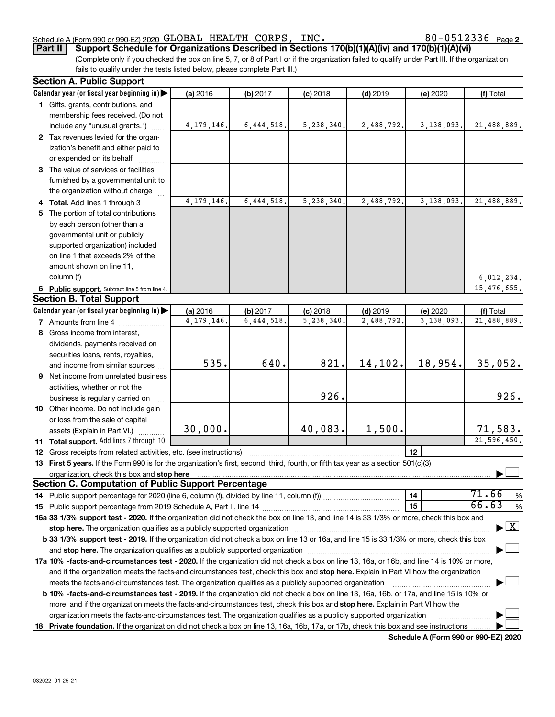### Schedule A (Form 990 or 990-EZ) 2020 Page GLOBAL HEALTH CORPS, INC. 80-0512336

80-0512336 Page 2

**Part II Support Schedule for Organizations Described in Sections 170(b)(1)(A)(iv) and 170(b)(1)(A)(vi)**

(Complete only if you checked the box on line 5, 7, or 8 of Part I or if the organization failed to qualify under Part III. If the organization fails to qualify under the tests listed below, please complete Part III.)

| <b>Section A. Public Support</b>                                                                                                                                                                                               |                         |                         |                         |                         |                        |                                          |
|--------------------------------------------------------------------------------------------------------------------------------------------------------------------------------------------------------------------------------|-------------------------|-------------------------|-------------------------|-------------------------|------------------------|------------------------------------------|
| Calendar year (or fiscal year beginning in)                                                                                                                                                                                    | (a) 2016                | (b) 2017                | $(c)$ 2018              | $(d)$ 2019              | (e) 2020               | (f) Total                                |
| 1 Gifts, grants, contributions, and                                                                                                                                                                                            |                         |                         |                         |                         |                        |                                          |
| membership fees received. (Do not                                                                                                                                                                                              |                         |                         |                         |                         |                        |                                          |
| include any "unusual grants.")                                                                                                                                                                                                 | 4, 179, 146.            | 6,444,518               | 5,238,340.              | 2,488,792.              | 3,138,093.             | 21,488,889.                              |
| 2 Tax revenues levied for the organ-                                                                                                                                                                                           |                         |                         |                         |                         |                        |                                          |
| ization's benefit and either paid to                                                                                                                                                                                           |                         |                         |                         |                         |                        |                                          |
| or expended on its behalf                                                                                                                                                                                                      |                         |                         |                         |                         |                        |                                          |
| 3 The value of services or facilities                                                                                                                                                                                          |                         |                         |                         |                         |                        |                                          |
| furnished by a governmental unit to                                                                                                                                                                                            |                         |                         |                         |                         |                        |                                          |
| the organization without charge                                                                                                                                                                                                |                         |                         |                         |                         |                        |                                          |
| 4 Total. Add lines 1 through 3                                                                                                                                                                                                 | 4, 179, 146             | 6, 444, 518             | 5,238,340               | 2,488,792               | 3,138,093.             | 21,488,889.                              |
| 5 The portion of total contributions                                                                                                                                                                                           |                         |                         |                         |                         |                        |                                          |
| by each person (other than a                                                                                                                                                                                                   |                         |                         |                         |                         |                        |                                          |
| governmental unit or publicly                                                                                                                                                                                                  |                         |                         |                         |                         |                        |                                          |
| supported organization) included                                                                                                                                                                                               |                         |                         |                         |                         |                        |                                          |
| on line 1 that exceeds 2% of the                                                                                                                                                                                               |                         |                         |                         |                         |                        |                                          |
| amount shown on line 11,                                                                                                                                                                                                       |                         |                         |                         |                         |                        |                                          |
| column (f)                                                                                                                                                                                                                     |                         |                         |                         |                         |                        | 6,012,234.                               |
|                                                                                                                                                                                                                                |                         |                         |                         |                         |                        | 15,476,655.                              |
| 6 Public support. Subtract line 5 from line 4.<br><b>Section B. Total Support</b>                                                                                                                                              |                         |                         |                         |                         |                        |                                          |
| Calendar year (or fiscal year beginning in)                                                                                                                                                                                    |                         |                         |                         |                         |                        |                                          |
|                                                                                                                                                                                                                                | (a) 2016<br>4, 179, 146 | (b) 2017<br>6, 444, 518 | $(c)$ 2018<br>5,238,340 | $(d)$ 2019<br>2,488,792 | (e) 2020<br>3,138,093. | (f) Total<br>21,488,889.                 |
| <b>7</b> Amounts from line 4                                                                                                                                                                                                   |                         |                         |                         |                         |                        |                                          |
| 8 Gross income from interest,                                                                                                                                                                                                  |                         |                         |                         |                         |                        |                                          |
| dividends, payments received on                                                                                                                                                                                                |                         |                         |                         |                         |                        |                                          |
| securities loans, rents, royalties,                                                                                                                                                                                            |                         |                         |                         |                         |                        |                                          |
| and income from similar sources                                                                                                                                                                                                | 535.                    | 640.                    | 821.                    | 14,102.                 | 18,954.                | 35,052.                                  |
| 9 Net income from unrelated business                                                                                                                                                                                           |                         |                         |                         |                         |                        |                                          |
| activities, whether or not the                                                                                                                                                                                                 |                         |                         |                         |                         |                        |                                          |
| business is regularly carried on                                                                                                                                                                                               |                         |                         | 926.                    |                         |                        | 926.                                     |
| 10 Other income. Do not include gain                                                                                                                                                                                           |                         |                         |                         |                         |                        |                                          |
| or loss from the sale of capital                                                                                                                                                                                               |                         |                         |                         |                         |                        |                                          |
| assets (Explain in Part VI.)                                                                                                                                                                                                   | 30,000.                 |                         | 40,083.                 | 1,500.                  |                        | 71,583.                                  |
| 11 Total support. Add lines 7 through 10                                                                                                                                                                                       |                         |                         |                         |                         |                        | 21,596,450.                              |
| <b>12</b> Gross receipts from related activities, etc. (see instructions)                                                                                                                                                      |                         |                         |                         |                         | 12                     |                                          |
| 13 First 5 years. If the Form 990 is for the organization's first, second, third, fourth, or fifth tax year as a section 501(c)(3)                                                                                             |                         |                         |                         |                         |                        |                                          |
| organization, check this box and stop here international content to the content of the content of the content of the content of the content of the content of the content of the content of the content of the content of the  |                         |                         |                         |                         |                        |                                          |
| <b>Section C. Computation of Public Support Percentage</b>                                                                                                                                                                     |                         |                         |                         |                         |                        |                                          |
|                                                                                                                                                                                                                                |                         |                         |                         |                         | 14                     | 71.66<br>%                               |
|                                                                                                                                                                                                                                |                         |                         |                         |                         | 15                     | 66.63<br>$\%$                            |
| 16a 33 1/3% support test - 2020. If the organization did not check the box on line 13, and line 14 is 33 1/3% or more, check this box and                                                                                      |                         |                         |                         |                         |                        |                                          |
| stop here. The organization qualifies as a publicly supported organization manufaction manufacture or manufacture or the organization manufacture or the state of the state of the state of the state of the state of the stat |                         |                         |                         |                         |                        | $\blacktriangleright$ $\boxed{\text{X}}$ |
| b 33 1/3% support test - 2019. If the organization did not check a box on line 13 or 16a, and line 15 is 33 1/3% or more, check this box                                                                                       |                         |                         |                         |                         |                        |                                          |
|                                                                                                                                                                                                                                |                         |                         |                         |                         |                        |                                          |
| 17a 10% -facts-and-circumstances test - 2020. If the organization did not check a box on line 13, 16a, or 16b, and line 14 is 10% or more,                                                                                     |                         |                         |                         |                         |                        |                                          |
| and if the organization meets the facts-and-circumstances test, check this box and stop here. Explain in Part VI how the organization                                                                                          |                         |                         |                         |                         |                        |                                          |
| meets the facts-and-circumstances test. The organization qualifies as a publicly supported organization                                                                                                                        |                         |                         |                         |                         |                        |                                          |
| <b>b 10% -facts-and-circumstances test - 2019.</b> If the organization did not check a box on line 13, 16a, 16b, or 17a, and line 15 is 10% or                                                                                 |                         |                         |                         |                         |                        |                                          |
| more, and if the organization meets the facts-and-circumstances test, check this box and stop here. Explain in Part VI how the                                                                                                 |                         |                         |                         |                         |                        |                                          |
| organization meets the facts-and-circumstances test. The organization qualifies as a publicly supported organization                                                                                                           |                         |                         |                         |                         |                        |                                          |
| 18 Private foundation. If the organization did not check a box on line 13, 16a, 16b, 17a, or 17b, check this box and see instructions                                                                                          |                         |                         |                         |                         |                        |                                          |
|                                                                                                                                                                                                                                |                         |                         |                         |                         |                        |                                          |

**Schedule A (Form 990 or 990-EZ) 2020**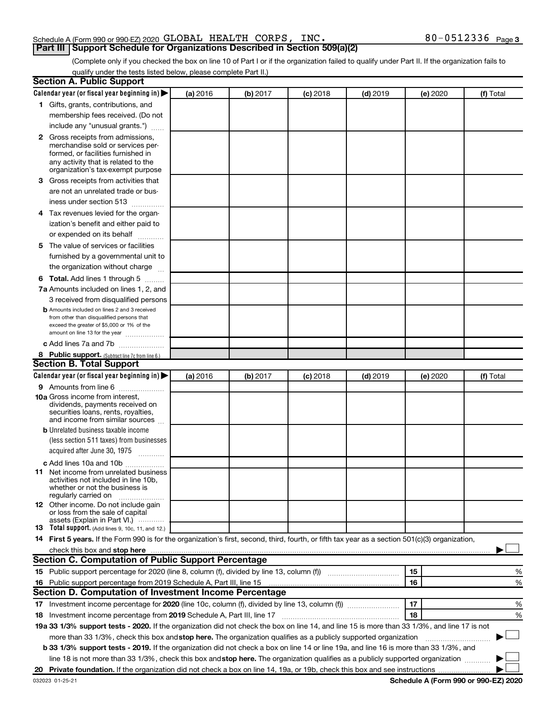### Schedule A (Form 990 or 990-EZ) 2020 Page GLOBAL HEALTH CORPS, INC. 80-0512336**Part III Support Schedule for Organizations Described in Section 509(a)(2)**

(Complete only if you checked the box on line 10 of Part I or if the organization failed to qualify under Part II. If the organization fails to qualify under the tests listed below, please complete Part II.)

| <b>Section A. Public Support</b>                                                                                                                 |          |          |            |            |          |           |
|--------------------------------------------------------------------------------------------------------------------------------------------------|----------|----------|------------|------------|----------|-----------|
| Calendar year (or fiscal year beginning in)                                                                                                      | (a) 2016 | (b) 2017 | $(c)$ 2018 | $(d)$ 2019 | (e) 2020 | (f) Total |
| 1 Gifts, grants, contributions, and                                                                                                              |          |          |            |            |          |           |
| membership fees received. (Do not                                                                                                                |          |          |            |            |          |           |
| include any "unusual grants.")                                                                                                                   |          |          |            |            |          |           |
| 2 Gross receipts from admissions,                                                                                                                |          |          |            |            |          |           |
| merchandise sold or services per-                                                                                                                |          |          |            |            |          |           |
| formed, or facilities furnished in                                                                                                               |          |          |            |            |          |           |
| any activity that is related to the<br>organization's tax-exempt purpose                                                                         |          |          |            |            |          |           |
| 3 Gross receipts from activities that                                                                                                            |          |          |            |            |          |           |
| are not an unrelated trade or bus-                                                                                                               |          |          |            |            |          |           |
| iness under section 513                                                                                                                          |          |          |            |            |          |           |
| 4 Tax revenues levied for the organ-                                                                                                             |          |          |            |            |          |           |
| ization's benefit and either paid to                                                                                                             |          |          |            |            |          |           |
| or expended on its behalf                                                                                                                        |          |          |            |            |          |           |
| 5 The value of services or facilities                                                                                                            |          |          |            |            |          |           |
| furnished by a governmental unit to                                                                                                              |          |          |            |            |          |           |
| the organization without charge                                                                                                                  |          |          |            |            |          |           |
|                                                                                                                                                  |          |          |            |            |          |           |
| <b>6 Total.</b> Add lines 1 through 5<br>7a Amounts included on lines 1, 2, and                                                                  |          |          |            |            |          |           |
|                                                                                                                                                  |          |          |            |            |          |           |
| 3 received from disqualified persons<br><b>b</b> Amounts included on lines 2 and 3 received                                                      |          |          |            |            |          |           |
| from other than disqualified persons that                                                                                                        |          |          |            |            |          |           |
| exceed the greater of \$5,000 or 1% of the                                                                                                       |          |          |            |            |          |           |
| amount on line 13 for the year                                                                                                                   |          |          |            |            |          |           |
| c Add lines 7a and 7b                                                                                                                            |          |          |            |            |          |           |
| 8 Public support. (Subtract line 7c from line 6.)<br><b>Section B. Total Support</b>                                                             |          |          |            |            |          |           |
|                                                                                                                                                  |          |          |            |            |          |           |
| Calendar year (or fiscal year beginning in)                                                                                                      | (a) 2016 | (b) 2017 | (c) 2018   | $(d)$ 2019 | (e) 2020 | (f) Total |
| 9 Amounts from line 6                                                                                                                            |          |          |            |            |          |           |
| <b>10a</b> Gross income from interest,<br>dividends, payments received on                                                                        |          |          |            |            |          |           |
| securities loans, rents, royalties,                                                                                                              |          |          |            |            |          |           |
| and income from similar sources                                                                                                                  |          |          |            |            |          |           |
| <b>b</b> Unrelated business taxable income                                                                                                       |          |          |            |            |          |           |
| (less section 511 taxes) from businesses                                                                                                         |          |          |            |            |          |           |
| acquired after June 30, 1975<br>$\frac{1}{2}$                                                                                                    |          |          |            |            |          |           |
| c Add lines 10a and 10b                                                                                                                          |          |          |            |            |          |           |
| 11 Net income from unrelated business                                                                                                            |          |          |            |            |          |           |
| activities not included in line 10b.<br>whether or not the business is                                                                           |          |          |            |            |          |           |
| regularly carried on                                                                                                                             |          |          |            |            |          |           |
| <b>12</b> Other income. Do not include gain                                                                                                      |          |          |            |            |          |           |
| or loss from the sale of capital<br>assets (Explain in Part VI.)                                                                                 |          |          |            |            |          |           |
| <b>13</b> Total support. (Add lines 9, 10c, 11, and 12.)                                                                                         |          |          |            |            |          |           |
| 14 First 5 years. If the Form 990 is for the organization's first, second, third, fourth, or fifth tax year as a section 501(c)(3) organization, |          |          |            |            |          |           |
|                                                                                                                                                  |          |          |            |            |          |           |
| Section C. Computation of Public Support Percentage                                                                                              |          |          |            |            |          |           |
|                                                                                                                                                  |          |          |            |            | 15       | %         |
| 16 Public support percentage from 2019 Schedule A, Part III, line 15                                                                             |          |          |            |            | 16       | %         |
| Section D. Computation of Investment Income Percentage                                                                                           |          |          |            |            |          |           |
|                                                                                                                                                  |          |          |            |            | 17       | %         |
| 18 Investment income percentage from 2019 Schedule A, Part III, line 17                                                                          |          |          |            |            | 18       | %         |
| 19a 33 1/3% support tests - 2020. If the organization did not check the box on line 14, and line 15 is more than 33 1/3%, and line 17 is not     |          |          |            |            |          |           |
| more than 33 1/3%, check this box and stop here. The organization qualifies as a publicly supported organization                                 |          |          |            |            |          |           |
| b 33 1/3% support tests - 2019. If the organization did not check a box on line 14 or line 19a, and line 16 is more than 33 1/3%, and            |          |          |            |            |          |           |
| line 18 is not more than 33 1/3%, check this box and stop here. The organization qualifies as a publicly supported organization                  |          |          |            |            |          |           |
|                                                                                                                                                  |          |          |            |            |          |           |
|                                                                                                                                                  |          |          |            |            |          |           |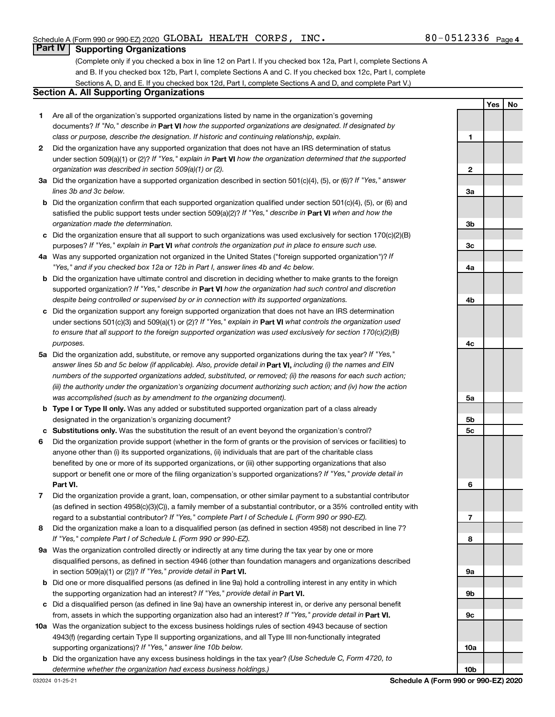### **Part IV Supporting Organizations**

(Complete only if you checked a box in line 12 on Part I. If you checked box 12a, Part I, complete Sections A and B. If you checked box 12b, Part I, complete Sections A and C. If you checked box 12c, Part I, complete Sections A, D, and E. If you checked box 12d, Part I, complete Sections A and D, and complete Part V.)

### **Section A. All Supporting Organizations**

- **1** Are all of the organization's supported organizations listed by name in the organization's governing documents? If "No," describe in Part VI how the supported organizations are designated. If designated by *class or purpose, describe the designation. If historic and continuing relationship, explain.*
- **2** Did the organization have any supported organization that does not have an IRS determination of status under section 509(a)(1) or (2)? If "Yes," explain in Part **VI** how the organization determined that the supported *organization was described in section 509(a)(1) or (2).*
- **3a** Did the organization have a supported organization described in section 501(c)(4), (5), or (6)? If "Yes," answer *lines 3b and 3c below.*
- **b** Did the organization confirm that each supported organization qualified under section 501(c)(4), (5), or (6) and satisfied the public support tests under section 509(a)(2)? If "Yes," describe in Part VI when and how the *organization made the determination.*
- **c** Did the organization ensure that all support to such organizations was used exclusively for section 170(c)(2)(B) purposes? If "Yes," explain in Part VI what controls the organization put in place to ensure such use.
- **4 a** *If* Was any supported organization not organized in the United States ("foreign supported organization")? *"Yes," and if you checked box 12a or 12b in Part I, answer lines 4b and 4c below.*
- **b** Did the organization have ultimate control and discretion in deciding whether to make grants to the foreign supported organization? If "Yes," describe in Part VI how the organization had such control and discretion *despite being controlled or supervised by or in connection with its supported organizations.*
- **c** Did the organization support any foreign supported organization that does not have an IRS determination under sections 501(c)(3) and 509(a)(1) or (2)? If "Yes," explain in Part VI what controls the organization used *to ensure that all support to the foreign supported organization was used exclusively for section 170(c)(2)(B) purposes.*
- **5a** Did the organization add, substitute, or remove any supported organizations during the tax year? If "Yes," answer lines 5b and 5c below (if applicable). Also, provide detail in **Part VI,** including (i) the names and EIN *numbers of the supported organizations added, substituted, or removed; (ii) the reasons for each such action; (iii) the authority under the organization's organizing document authorizing such action; and (iv) how the action was accomplished (such as by amendment to the organizing document).*
- **b** Type I or Type II only. Was any added or substituted supported organization part of a class already designated in the organization's organizing document?
- **c Substitutions only.**  Was the substitution the result of an event beyond the organization's control?
- **6** Did the organization provide support (whether in the form of grants or the provision of services or facilities) to **Part VI.** support or benefit one or more of the filing organization's supported organizations? If "Yes," provide detail in anyone other than (i) its supported organizations, (ii) individuals that are part of the charitable class benefited by one or more of its supported organizations, or (iii) other supporting organizations that also
- **7** Did the organization provide a grant, loan, compensation, or other similar payment to a substantial contributor regard to a substantial contributor? If "Yes," complete Part I of Schedule L (Form 990 or 990-EZ). (as defined in section 4958(c)(3)(C)), a family member of a substantial contributor, or a 35% controlled entity with
- **8** Did the organization make a loan to a disqualified person (as defined in section 4958) not described in line 7? *If "Yes," complete Part I of Schedule L (Form 990 or 990-EZ).*
- **9 a** Was the organization controlled directly or indirectly at any time during the tax year by one or more in section 509(a)(1) or (2))? If "Yes," provide detail in **Part VI.** disqualified persons, as defined in section 4946 (other than foundation managers and organizations described
- **b** Did one or more disqualified persons (as defined in line 9a) hold a controlling interest in any entity in which the supporting organization had an interest? If "Yes," provide detail in Part VI.
- **c** Did a disqualified person (as defined in line 9a) have an ownership interest in, or derive any personal benefit from, assets in which the supporting organization also had an interest? If "Yes," provide detail in Part VI.
- **10 a** Was the organization subject to the excess business holdings rules of section 4943 because of section supporting organizations)? If "Yes," answer line 10b below. 4943(f) (regarding certain Type II supporting organizations, and all Type III non-functionally integrated
	- **b** Did the organization have any excess business holdings in the tax year? (Use Schedule C, Form 4720, to *determine whether the organization had excess business holdings.)*

**Yes No 1 2 3a 3b 3c 4a 4b 4c 5a 5b 5c 6 7 8 9a 9b 9c 10a 10b**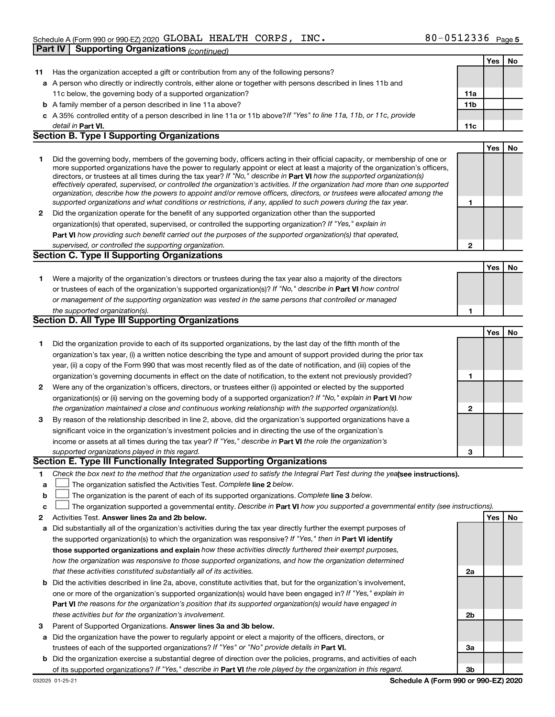|              |                                                                                                                                                                                                                                                           |                 | Yes | No |
|--------------|-----------------------------------------------------------------------------------------------------------------------------------------------------------------------------------------------------------------------------------------------------------|-----------------|-----|----|
| 11           | Has the organization accepted a gift or contribution from any of the following persons?                                                                                                                                                                   |                 |     |    |
|              | a A person who directly or indirectly controls, either alone or together with persons described in lines 11b and                                                                                                                                          |                 |     |    |
|              | 11c below, the governing body of a supported organization?                                                                                                                                                                                                | 11a             |     |    |
|              | <b>b</b> A family member of a person described in line 11a above?                                                                                                                                                                                         | 11 <sub>b</sub> |     |    |
|              | c A 35% controlled entity of a person described in line 11a or 11b above? If "Yes" to line 11a, 11b, or 11c, provide                                                                                                                                      |                 |     |    |
|              | detail in Part VI.                                                                                                                                                                                                                                        | 11c             |     |    |
|              | <b>Section B. Type I Supporting Organizations</b>                                                                                                                                                                                                         |                 |     |    |
|              |                                                                                                                                                                                                                                                           |                 | Yes | No |
| 1            | Did the governing body, members of the governing body, officers acting in their official capacity, or membership of one or                                                                                                                                |                 |     |    |
|              | more supported organizations have the power to regularly appoint or elect at least a majority of the organization's officers,                                                                                                                             |                 |     |    |
|              | directors, or trustees at all times during the tax year? If "No," describe in Part VI how the supported organization(s)<br>effectively operated, supervised, or controlled the organization's activities. If the organization had more than one supported |                 |     |    |
|              | organization, describe how the powers to appoint and/or remove officers, directors, or trustees were allocated among the                                                                                                                                  |                 |     |    |
|              | supported organizations and what conditions or restrictions, if any, applied to such powers during the tax year.                                                                                                                                          | 1               |     |    |
| $\mathbf{2}$ | Did the organization operate for the benefit of any supported organization other than the supported                                                                                                                                                       |                 |     |    |
|              | organization(s) that operated, supervised, or controlled the supporting organization? If "Yes," explain in                                                                                                                                                |                 |     |    |
|              | Part VI how providing such benefit carried out the purposes of the supported organization(s) that operated,                                                                                                                                               |                 |     |    |
|              | supervised, or controlled the supporting organization.                                                                                                                                                                                                    | $\mathbf{2}$    |     |    |
|              | Section C. Type II Supporting Organizations                                                                                                                                                                                                               |                 |     |    |
|              |                                                                                                                                                                                                                                                           |                 | Yes | No |
| 1.           | Were a majority of the organization's directors or trustees during the tax year also a majority of the directors                                                                                                                                          |                 |     |    |
|              | or trustees of each of the organization's supported organization(s)? If "No," describe in Part VI how control                                                                                                                                             |                 |     |    |
|              | or management of the supporting organization was vested in the same persons that controlled or managed                                                                                                                                                    |                 |     |    |
|              | the supported organization(s).                                                                                                                                                                                                                            | 1               |     |    |
|              | Section D. All Type III Supporting Organizations                                                                                                                                                                                                          |                 |     |    |
|              |                                                                                                                                                                                                                                                           |                 | Yes | No |
| 1            | Did the organization provide to each of its supported organizations, by the last day of the fifth month of the                                                                                                                                            |                 |     |    |
|              | organization's tax year, (i) a written notice describing the type and amount of support provided during the prior tax                                                                                                                                     |                 |     |    |
|              | year, (ii) a copy of the Form 990 that was most recently filed as of the date of notification, and (iii) copies of the                                                                                                                                    |                 |     |    |
|              | organization's governing documents in effect on the date of notification, to the extent not previously provided?                                                                                                                                          | 1               |     |    |
| 2            | Were any of the organization's officers, directors, or trustees either (i) appointed or elected by the supported                                                                                                                                          |                 |     |    |
|              | organization(s) or (ii) serving on the governing body of a supported organization? If "No," explain in Part VI how                                                                                                                                        |                 |     |    |
|              | the organization maintained a close and continuous working relationship with the supported organization(s).                                                                                                                                               | 2               |     |    |
| 3            | By reason of the relationship described in line 2, above, did the organization's supported organizations have a                                                                                                                                           |                 |     |    |
|              | significant voice in the organization's investment policies and in directing the use of the organization's                                                                                                                                                |                 |     |    |
|              | income or assets at all times during the tax year? If "Yes," describe in Part VI the role the organization's                                                                                                                                              |                 |     |    |
|              | supported organizations played in this regard.<br>Section E. Type III Functionally Integrated Supporting Organizations                                                                                                                                    | 3               |     |    |
|              |                                                                                                                                                                                                                                                           |                 |     |    |
| 1            | Check the box next to the method that the organization used to satisfy the Integral Part Test during the yealsee instructions).                                                                                                                           |                 |     |    |
| a            | The organization satisfied the Activities Test. Complete line 2 below.<br>The organization is the parent of each of its supported organizations. Complete line 3 below.                                                                                   |                 |     |    |
| b            | The organization supported a governmental entity. Describe in Part VI how you supported a governmental entity (see instructions).                                                                                                                         |                 |     |    |
| с<br>2       | Activities Test. Answer lines 2a and 2b below.                                                                                                                                                                                                            |                 | Yes | No |
|              | Did substantially all of the organization's activities during the tax year directly further the exempt purposes of                                                                                                                                        |                 |     |    |
| а            | the supported organization(s) to which the organization was responsive? If "Yes," then in Part VI identify                                                                                                                                                |                 |     |    |
|              | those supported organizations and explain how these activities directly furthered their exempt purposes,                                                                                                                                                  |                 |     |    |
|              | how the organization was responsive to those supported organizations, and how the organization determined                                                                                                                                                 |                 |     |    |
|              | that these activities constituted substantially all of its activities.                                                                                                                                                                                    | 2a              |     |    |
| b            | Did the activities described in line 2a, above, constitute activities that, but for the organization's involvement,                                                                                                                                       |                 |     |    |
|              | one or more of the organization's supported organization(s) would have been engaged in? If "Yes," explain in                                                                                                                                              |                 |     |    |
|              | Part VI the reasons for the organization's position that its supported organization(s) would have engaged in                                                                                                                                              |                 |     |    |
|              | these activities but for the organization's involvement.                                                                                                                                                                                                  | 2 <sub>b</sub>  |     |    |
| З            | Parent of Supported Organizations. Answer lines 3a and 3b below.                                                                                                                                                                                          |                 |     |    |
| а            | Did the organization have the power to regularly appoint or elect a majority of the officers, directors, or                                                                                                                                               |                 |     |    |
|              | trustees of each of the supported organizations? If "Yes" or "No" provide details in Part VI.                                                                                                                                                             | За              |     |    |
|              | b Did the organization exercise a substantial degree of direction over the policies, programs, and activities of each                                                                                                                                     |                 |     |    |
|              | of its supported organizations? If "Yes," describe in Part VI the role played by the organization in this regard.                                                                                                                                         | 3 <sub>b</sub>  |     |    |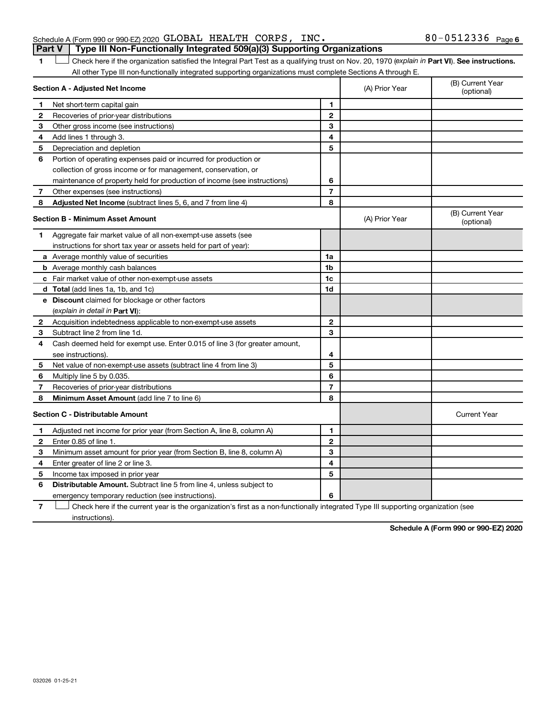## **Part V Type III Non-Functionally Integrated 509(a)(3) Supporting Organizations**

1 **Letter See instructions.** Check here if the organization satisfied the Integral Part Test as a qualifying trust on Nov. 20, 1970 (*explain in* Part **VI**). See instructions. All other Type III non-functionally integrated supporting organizations must complete Sections A through E.

|              | Section A - Adjusted Net Income                                             |                | (A) Prior Year | (B) Current Year<br>(optional) |
|--------------|-----------------------------------------------------------------------------|----------------|----------------|--------------------------------|
| 1            | Net short-term capital gain                                                 | 1              |                |                                |
| 2            | Recoveries of prior-year distributions                                      | 2              |                |                                |
| З            | Other gross income (see instructions)                                       | 3              |                |                                |
| 4            | Add lines 1 through 3.                                                      | 4              |                |                                |
| 5            | Depreciation and depletion                                                  | 5              |                |                                |
| 6            | Portion of operating expenses paid or incurred for production or            |                |                |                                |
|              | collection of gross income or for management, conservation, or              |                |                |                                |
|              | maintenance of property held for production of income (see instructions)    | 6              |                |                                |
| 7            | Other expenses (see instructions)                                           | $\overline{7}$ |                |                                |
| 8            | Adjusted Net Income (subtract lines 5, 6, and 7 from line 4)                | 8              |                |                                |
|              | <b>Section B - Minimum Asset Amount</b>                                     |                | (A) Prior Year | (B) Current Year<br>(optional) |
| 1            | Aggregate fair market value of all non-exempt-use assets (see               |                |                |                                |
|              | instructions for short tax year or assets held for part of year):           |                |                |                                |
|              | a Average monthly value of securities                                       | 1a             |                |                                |
|              | <b>b</b> Average monthly cash balances                                      | 1b             |                |                                |
|              | <b>c</b> Fair market value of other non-exempt-use assets                   | 1c             |                |                                |
|              | d Total (add lines 1a, 1b, and 1c)                                          | 1 <sub>d</sub> |                |                                |
|              | e Discount claimed for blockage or other factors                            |                |                |                                |
|              | (explain in detail in <b>Part VI</b> ):                                     |                |                |                                |
|              | 2 Acquisition indebtedness applicable to non-exempt-use assets              | $\mathbf{2}$   |                |                                |
| 3            | Subtract line 2 from line 1d.                                               | 3              |                |                                |
| 4            | Cash deemed held for exempt use. Enter 0.015 of line 3 (for greater amount, |                |                |                                |
|              | see instructions).                                                          | 4              |                |                                |
| 5            | Net value of non-exempt-use assets (subtract line 4 from line 3)            | 5              |                |                                |
| 6            | Multiply line 5 by 0.035.                                                   | 6              |                |                                |
| 7            | Recoveries of prior-year distributions                                      | $\overline{7}$ |                |                                |
| 8            | <b>Minimum Asset Amount (add line 7 to line 6)</b>                          | 8              |                |                                |
|              | <b>Section C - Distributable Amount</b>                                     |                |                | <b>Current Year</b>            |
| 1            | Adjusted net income for prior year (from Section A, line 8, column A)       | 1              |                |                                |
| $\mathbf{2}$ | Enter 0.85 of line 1.                                                       | $\overline{2}$ |                |                                |
| 3            | Minimum asset amount for prior year (from Section B, line 8, column A)      | 3              |                |                                |
| 4            | Enter greater of line 2 or line 3.                                          | 4              |                |                                |
| 5            | Income tax imposed in prior year                                            | 5              |                |                                |
| 6            | <b>Distributable Amount.</b> Subtract line 5 from line 4, unless subject to |                |                |                                |
|              | emergency temporary reduction (see instructions).                           | 6              |                |                                |
|              |                                                                             |                |                |                                |

**7** Check here if the current year is the organization's first as a non-functionally integrated Type III supporting organization (see † instructions).

**Schedule A (Form 990 or 990-EZ) 2020**

Schedule A (Form 990 or 990-EZ) 2020 Page GLOBAL HEALTH CORPS, INC. 80-0512336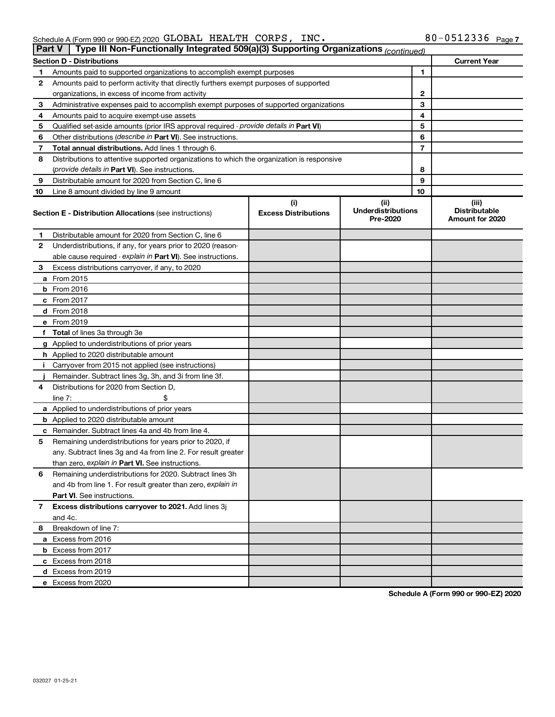| rart v | Type in Non-Functionally integrated 509(a)(5) Supporting Organizations <i>(continued)</i>                  |                                    |                                               |    |                                                  |
|--------|------------------------------------------------------------------------------------------------------------|------------------------------------|-----------------------------------------------|----|--------------------------------------------------|
|        | <b>Section D - Distributions</b>                                                                           |                                    |                                               |    | <b>Current Year</b>                              |
| 1.     | Amounts paid to supported organizations to accomplish exempt purposes                                      |                                    | 1                                             |    |                                                  |
| 2      | Amounts paid to perform activity that directly furthers exempt purposes of supported                       |                                    |                                               |    |                                                  |
|        | organizations, in excess of income from activity                                                           |                                    | 2                                             |    |                                                  |
| 3      | Administrative expenses paid to accomplish exempt purposes of supported organizations                      |                                    | 3                                             |    |                                                  |
| 4      | Amounts paid to acquire exempt-use assets                                                                  |                                    |                                               | 4  |                                                  |
| 5      | Qualified set-aside amounts (prior IRS approval required - provide details in Part VI)                     |                                    |                                               | 5  |                                                  |
| 6      | Other distributions (describe in Part VI). See instructions.                                               |                                    |                                               | 6  |                                                  |
| 7      | <b>Total annual distributions.</b> Add lines 1 through 6.                                                  |                                    |                                               | 7  |                                                  |
| 8      | Distributions to attentive supported organizations to which the organization is responsive                 |                                    |                                               |    |                                                  |
|        | (provide details in Part VI). See instructions.                                                            |                                    |                                               | 8  |                                                  |
| 9      | Distributable amount for 2020 from Section C, line 6                                                       |                                    |                                               | 9  |                                                  |
| 10     | Line 8 amount divided by line 9 amount                                                                     |                                    |                                               | 10 |                                                  |
|        | <b>Section E - Distribution Allocations (see instructions)</b>                                             | (i)<br><b>Excess Distributions</b> | (ii)<br><b>Underdistributions</b><br>Pre-2020 |    | (iii)<br><b>Distributable</b><br>Amount for 2020 |
| 1.     | Distributable amount for 2020 from Section C, line 6                                                       |                                    |                                               |    |                                                  |
| 2      | Underdistributions, if any, for years prior to 2020 (reason-                                               |                                    |                                               |    |                                                  |
|        | able cause required - explain in Part VI). See instructions.                                               |                                    |                                               |    |                                                  |
| 3      | Excess distributions carryover, if any, to 2020                                                            |                                    |                                               |    |                                                  |
|        | a From 2015                                                                                                |                                    |                                               |    |                                                  |
|        | <b>b</b> From 2016                                                                                         |                                    |                                               |    |                                                  |
|        | $c$ From 2017                                                                                              |                                    |                                               |    |                                                  |
|        | d From 2018                                                                                                |                                    |                                               |    |                                                  |
|        | e From 2019                                                                                                |                                    |                                               |    |                                                  |
|        | f Total of lines 3a through 3e                                                                             |                                    |                                               |    |                                                  |
|        | g Applied to underdistributions of prior years                                                             |                                    |                                               |    |                                                  |
|        | h Applied to 2020 distributable amount                                                                     |                                    |                                               |    |                                                  |
|        | <i>i</i> Carryover from 2015 not applied (see instructions)                                                |                                    |                                               |    |                                                  |
|        | Remainder. Subtract lines 3g, 3h, and 3i from line 3f.                                                     |                                    |                                               |    |                                                  |
| 4      | Distributions for 2020 from Section D,                                                                     |                                    |                                               |    |                                                  |
|        | line $7:$<br>\$                                                                                            |                                    |                                               |    |                                                  |
|        | a Applied to underdistributions of prior years                                                             |                                    |                                               |    |                                                  |
|        | <b>b</b> Applied to 2020 distributable amount<br><b>c</b> Remainder. Subtract lines 4a and 4b from line 4. |                                    |                                               |    |                                                  |
| 5      | Remaining underdistributions for years prior to 2020, if                                                   |                                    |                                               |    |                                                  |
|        | any. Subtract lines 3g and 4a from line 2. For result greater                                              |                                    |                                               |    |                                                  |
|        | than zero, explain in Part VI. See instructions.                                                           |                                    |                                               |    |                                                  |
| 6      | Remaining underdistributions for 2020. Subtract lines 3h                                                   |                                    |                                               |    |                                                  |
|        | and 4b from line 1. For result greater than zero, explain in                                               |                                    |                                               |    |                                                  |
|        | Part VI. See instructions.                                                                                 |                                    |                                               |    |                                                  |
| 7      | Excess distributions carryover to 2021. Add lines 3j                                                       |                                    |                                               |    |                                                  |
|        | and 4c.                                                                                                    |                                    |                                               |    |                                                  |
| 8      | Breakdown of line 7:                                                                                       |                                    |                                               |    |                                                  |
|        | a Excess from 2016                                                                                         |                                    |                                               |    |                                                  |
|        | <b>b</b> Excess from 2017                                                                                  |                                    |                                               |    |                                                  |
|        | c Excess from 2018                                                                                         |                                    |                                               |    |                                                  |
|        | d Excess from 2019                                                                                         |                                    |                                               |    |                                                  |
|        | e Excess from 2020                                                                                         |                                    |                                               |    |                                                  |

**Schedule A (Form 990 or 990-EZ) 2020**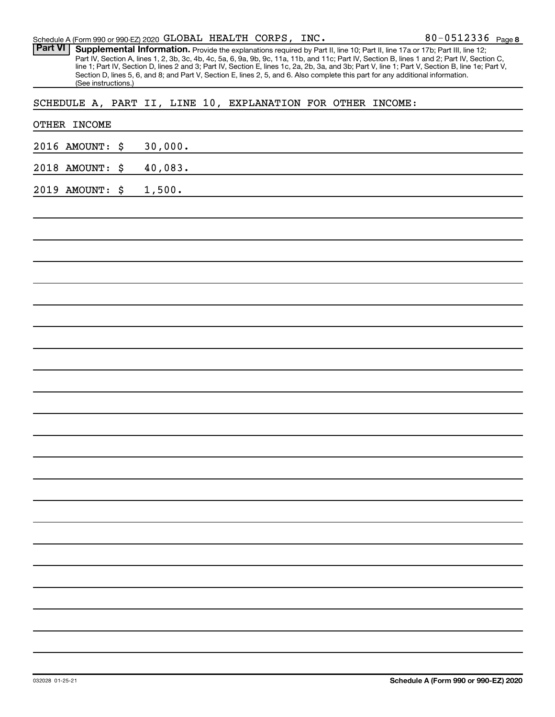|  | Schedule A (Form 990 or 990-EZ) 2020 $GLOBAL$ HEALTH $CORPS$ , $INC$ . |  |  |  |  | 80-0512336 $_{Page8}$ |
|--|------------------------------------------------------------------------|--|--|--|--|-----------------------|
|--|------------------------------------------------------------------------|--|--|--|--|-----------------------|

Provide the explanations required by Part II, line 10; Part II, line 17a or 17b; Part III, line 12; Part IV, Section A, lines 1, 2, 3b, 3c, 4b, 4c, 5a, 6, 9a, 9b, 9c, 11a, 11b, and 11c; Part IV, Section B, lines 1 and 2; Part IV, Section C, line 1; Part IV, Section D, lines 2 and 3; Part IV, Section E, lines 1c, 2a, 2b, 3a, and 3b; Part V, line 1; Part V, Section B, line 1e; Part V, Section D, lines 5, 6, and 8; and Part V, Section E, lines 2, 5, and 6. Also complete this part for any additional information. (See instructions.) **Part VI Supplemental Information.** 

SCHEDULE A, PART II, LINE 10, EXPLANATION FOR OTHER INCOME:

| OTHER INCOME    |         |
|-----------------|---------|
| 2016 AMOUNT: \$ | 30,000. |
| 2018 AMOUNT: \$ | 40,083. |
| 2019 AMOUNT: \$ | 1,500.  |
|                 |         |
|                 |         |
|                 |         |
|                 |         |
|                 |         |
|                 |         |
|                 |         |
|                 |         |
|                 |         |
|                 |         |
|                 |         |
|                 |         |
|                 |         |
|                 |         |
|                 |         |
|                 |         |
|                 |         |
|                 |         |
|                 |         |
|                 |         |
|                 |         |
|                 |         |
|                 |         |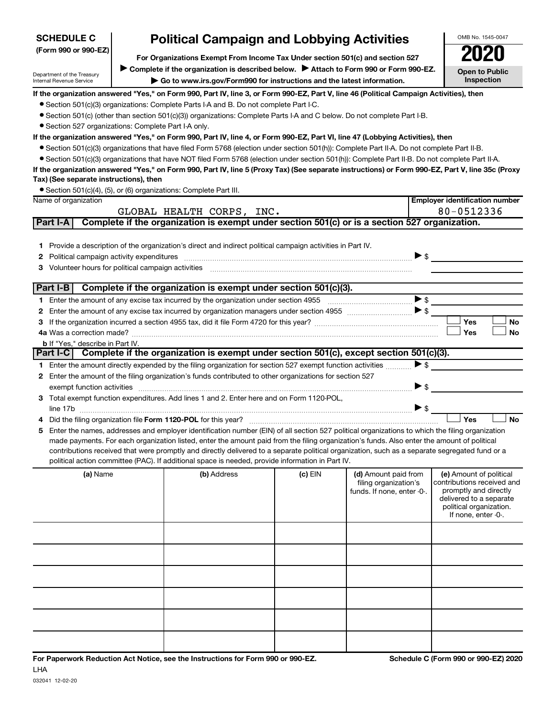| For Organizations Exempt From Income Tax Under section 501(c) and section 527<br>Complete if the organization is described below. > Attach to Form 990 or Form 990-EZ.<br><b>Open to Public</b><br>Department of the Treasury<br>Inspection<br>Go to www.irs.gov/Form990 for instructions and the latest information.<br>Internal Revenue Service<br>If the organization answered "Yes," on Form 990, Part IV, line 3, or Form 990-EZ, Part V, line 46 (Political Campaign Activities), then<br>• Section 501(c)(3) organizations: Complete Parts I-A and B. Do not complete Part I-C.<br>● Section 501(c) (other than section 501(c)(3)) organizations: Complete Parts I-A and C below. Do not complete Part I-B.<br>• Section 527 organizations: Complete Part I-A only.<br>If the organization answered "Yes," on Form 990, Part IV, line 4, or Form 990-EZ, Part VI, line 47 (Lobbying Activities), then<br>• Section 501(c)(3) organizations that have filed Form 5768 (election under section 501(h)): Complete Part II-A. Do not complete Part II-B.<br>• Section 501(c)(3) organizations that have NOT filed Form 5768 (election under section 501(h)): Complete Part II-B. Do not complete Part II-A.<br>If the organization answered "Yes," on Form 990, Part IV, line 5 (Proxy Tax) (See separate instructions) or Form 990-EZ, Part V, line 35c (Proxy<br>Tax) (See separate instructions), then<br>• Section 501(c)(4), (5), or (6) organizations: Complete Part III.<br><b>Employer identification number</b><br>Name of organization<br>80-0512336<br>GLOBAL HEALTH CORPS, INC.<br>Complete if the organization is exempt under section 501(c) or is a section 527 organization.<br>Part I-A<br>Provide a description of the organization's direct and indirect political campaign activities in Part IV.<br>1.<br>$\triangleright$ \$<br>2<br>Volunteer hours for political campaign activities<br>3<br>Part I-B $\vert$ Complete if the organization is exempt under section 501(c)(3).<br>2<br>Yes<br>No<br>з<br><b>Yes</b><br>No<br><b>b</b> If "Yes," describe in Part IV.<br>Part I-C Complete if the organization is exempt under section 501(c), except section 501(c)(3).<br>$\triangleright$ s<br>1 Enter the amount directly expended by the filing organization for section 527 exempt function activities<br>Enter the amount of the filing organization's funds contributed to other organizations for section 527<br>2<br>▶ \$<br>exempt function activities<br>Total exempt function expenditures. Add lines 1 and 2. Enter here and on Form 1120-POL,<br>З<br>$\triangleright$ \$<br>Yes<br><b>No</b><br>Did the filing organization file Form 1120-POL for this year?<br>4<br>Enter the names, addresses and employer identification number (EIN) of all section 527 political organizations to which the filing organization<br>5<br>made payments. For each organization listed, enter the amount paid from the filing organization's funds. Also enter the amount of political<br>contributions received that were promptly and directly delivered to a separate political organization, such as a separate segregated fund or a<br>political action committee (PAC). If additional space is needed, provide information in Part IV.<br>(b) Address<br>(c) EIN<br>(a) Name<br>(d) Amount paid from<br>(e) Amount of political<br>contributions received and<br>filing organization's<br>promptly and directly<br>funds. If none, enter -0-.<br>delivered to a separate<br>political organization.<br>If none, enter -0-. | <b>SCHEDULE C</b>    | <b>Political Campaign and Lobbying Activities</b> |  |  |  |  |  | OMB No. 1545-0047 |
|--------------------------------------------------------------------------------------------------------------------------------------------------------------------------------------------------------------------------------------------------------------------------------------------------------------------------------------------------------------------------------------------------------------------------------------------------------------------------------------------------------------------------------------------------------------------------------------------------------------------------------------------------------------------------------------------------------------------------------------------------------------------------------------------------------------------------------------------------------------------------------------------------------------------------------------------------------------------------------------------------------------------------------------------------------------------------------------------------------------------------------------------------------------------------------------------------------------------------------------------------------------------------------------------------------------------------------------------------------------------------------------------------------------------------------------------------------------------------------------------------------------------------------------------------------------------------------------------------------------------------------------------------------------------------------------------------------------------------------------------------------------------------------------------------------------------------------------------------------------------------------------------------------------------------------------------------------------------------------------------------------------------------------------------------------------------------------------------------------------------------------------------------------------------------------------------------------------------------------------------------------------------------------------------------------------------------------------------------------------------------------------------------------------------------------------------------------------------------------------------------------------------------------------------------------------------------------------------------------------------------------------------------------------------------------------------------------------------------------------------------------------------------------------------------------------------------------------------------------------------------------------------------------------------------------------------------------------------------------------------------------------------------------------------------------------------------------------------------------------------------------------------------------------------------------------------------------------------------------------------------------------------------------------------------------------------------------------------------------------------------------------------------------------------------------------------------------------------------------------------------------------------------------------------------------------|----------------------|---------------------------------------------------|--|--|--|--|--|-------------------|
|                                                                                                                                                                                                                                                                                                                                                                                                                                                                                                                                                                                                                                                                                                                                                                                                                                                                                                                                                                                                                                                                                                                                                                                                                                                                                                                                                                                                                                                                                                                                                                                                                                                                                                                                                                                                                                                                                                                                                                                                                                                                                                                                                                                                                                                                                                                                                                                                                                                                                                                                                                                                                                                                                                                                                                                                                                                                                                                                                                                                                                                                                                                                                                                                                                                                                                                                                                                                                                                                                                                                                              | (Form 990 or 990-EZ) |                                                   |  |  |  |  |  |                   |
|                                                                                                                                                                                                                                                                                                                                                                                                                                                                                                                                                                                                                                                                                                                                                                                                                                                                                                                                                                                                                                                                                                                                                                                                                                                                                                                                                                                                                                                                                                                                                                                                                                                                                                                                                                                                                                                                                                                                                                                                                                                                                                                                                                                                                                                                                                                                                                                                                                                                                                                                                                                                                                                                                                                                                                                                                                                                                                                                                                                                                                                                                                                                                                                                                                                                                                                                                                                                                                                                                                                                                              |                      |                                                   |  |  |  |  |  |                   |
|                                                                                                                                                                                                                                                                                                                                                                                                                                                                                                                                                                                                                                                                                                                                                                                                                                                                                                                                                                                                                                                                                                                                                                                                                                                                                                                                                                                                                                                                                                                                                                                                                                                                                                                                                                                                                                                                                                                                                                                                                                                                                                                                                                                                                                                                                                                                                                                                                                                                                                                                                                                                                                                                                                                                                                                                                                                                                                                                                                                                                                                                                                                                                                                                                                                                                                                                                                                                                                                                                                                                                              |                      |                                                   |  |  |  |  |  |                   |
|                                                                                                                                                                                                                                                                                                                                                                                                                                                                                                                                                                                                                                                                                                                                                                                                                                                                                                                                                                                                                                                                                                                                                                                                                                                                                                                                                                                                                                                                                                                                                                                                                                                                                                                                                                                                                                                                                                                                                                                                                                                                                                                                                                                                                                                                                                                                                                                                                                                                                                                                                                                                                                                                                                                                                                                                                                                                                                                                                                                                                                                                                                                                                                                                                                                                                                                                                                                                                                                                                                                                                              |                      |                                                   |  |  |  |  |  |                   |
|                                                                                                                                                                                                                                                                                                                                                                                                                                                                                                                                                                                                                                                                                                                                                                                                                                                                                                                                                                                                                                                                                                                                                                                                                                                                                                                                                                                                                                                                                                                                                                                                                                                                                                                                                                                                                                                                                                                                                                                                                                                                                                                                                                                                                                                                                                                                                                                                                                                                                                                                                                                                                                                                                                                                                                                                                                                                                                                                                                                                                                                                                                                                                                                                                                                                                                                                                                                                                                                                                                                                                              |                      |                                                   |  |  |  |  |  |                   |
|                                                                                                                                                                                                                                                                                                                                                                                                                                                                                                                                                                                                                                                                                                                                                                                                                                                                                                                                                                                                                                                                                                                                                                                                                                                                                                                                                                                                                                                                                                                                                                                                                                                                                                                                                                                                                                                                                                                                                                                                                                                                                                                                                                                                                                                                                                                                                                                                                                                                                                                                                                                                                                                                                                                                                                                                                                                                                                                                                                                                                                                                                                                                                                                                                                                                                                                                                                                                                                                                                                                                                              |                      |                                                   |  |  |  |  |  |                   |
|                                                                                                                                                                                                                                                                                                                                                                                                                                                                                                                                                                                                                                                                                                                                                                                                                                                                                                                                                                                                                                                                                                                                                                                                                                                                                                                                                                                                                                                                                                                                                                                                                                                                                                                                                                                                                                                                                                                                                                                                                                                                                                                                                                                                                                                                                                                                                                                                                                                                                                                                                                                                                                                                                                                                                                                                                                                                                                                                                                                                                                                                                                                                                                                                                                                                                                                                                                                                                                                                                                                                                              |                      |                                                   |  |  |  |  |  |                   |
|                                                                                                                                                                                                                                                                                                                                                                                                                                                                                                                                                                                                                                                                                                                                                                                                                                                                                                                                                                                                                                                                                                                                                                                                                                                                                                                                                                                                                                                                                                                                                                                                                                                                                                                                                                                                                                                                                                                                                                                                                                                                                                                                                                                                                                                                                                                                                                                                                                                                                                                                                                                                                                                                                                                                                                                                                                                                                                                                                                                                                                                                                                                                                                                                                                                                                                                                                                                                                                                                                                                                                              |                      |                                                   |  |  |  |  |  |                   |
|                                                                                                                                                                                                                                                                                                                                                                                                                                                                                                                                                                                                                                                                                                                                                                                                                                                                                                                                                                                                                                                                                                                                                                                                                                                                                                                                                                                                                                                                                                                                                                                                                                                                                                                                                                                                                                                                                                                                                                                                                                                                                                                                                                                                                                                                                                                                                                                                                                                                                                                                                                                                                                                                                                                                                                                                                                                                                                                                                                                                                                                                                                                                                                                                                                                                                                                                                                                                                                                                                                                                                              |                      |                                                   |  |  |  |  |  |                   |
|                                                                                                                                                                                                                                                                                                                                                                                                                                                                                                                                                                                                                                                                                                                                                                                                                                                                                                                                                                                                                                                                                                                                                                                                                                                                                                                                                                                                                                                                                                                                                                                                                                                                                                                                                                                                                                                                                                                                                                                                                                                                                                                                                                                                                                                                                                                                                                                                                                                                                                                                                                                                                                                                                                                                                                                                                                                                                                                                                                                                                                                                                                                                                                                                                                                                                                                                                                                                                                                                                                                                                              |                      |                                                   |  |  |  |  |  |                   |
|                                                                                                                                                                                                                                                                                                                                                                                                                                                                                                                                                                                                                                                                                                                                                                                                                                                                                                                                                                                                                                                                                                                                                                                                                                                                                                                                                                                                                                                                                                                                                                                                                                                                                                                                                                                                                                                                                                                                                                                                                                                                                                                                                                                                                                                                                                                                                                                                                                                                                                                                                                                                                                                                                                                                                                                                                                                                                                                                                                                                                                                                                                                                                                                                                                                                                                                                                                                                                                                                                                                                                              |                      |                                                   |  |  |  |  |  |                   |
|                                                                                                                                                                                                                                                                                                                                                                                                                                                                                                                                                                                                                                                                                                                                                                                                                                                                                                                                                                                                                                                                                                                                                                                                                                                                                                                                                                                                                                                                                                                                                                                                                                                                                                                                                                                                                                                                                                                                                                                                                                                                                                                                                                                                                                                                                                                                                                                                                                                                                                                                                                                                                                                                                                                                                                                                                                                                                                                                                                                                                                                                                                                                                                                                                                                                                                                                                                                                                                                                                                                                                              |                      |                                                   |  |  |  |  |  |                   |
|                                                                                                                                                                                                                                                                                                                                                                                                                                                                                                                                                                                                                                                                                                                                                                                                                                                                                                                                                                                                                                                                                                                                                                                                                                                                                                                                                                                                                                                                                                                                                                                                                                                                                                                                                                                                                                                                                                                                                                                                                                                                                                                                                                                                                                                                                                                                                                                                                                                                                                                                                                                                                                                                                                                                                                                                                                                                                                                                                                                                                                                                                                                                                                                                                                                                                                                                                                                                                                                                                                                                                              |                      |                                                   |  |  |  |  |  |                   |
|                                                                                                                                                                                                                                                                                                                                                                                                                                                                                                                                                                                                                                                                                                                                                                                                                                                                                                                                                                                                                                                                                                                                                                                                                                                                                                                                                                                                                                                                                                                                                                                                                                                                                                                                                                                                                                                                                                                                                                                                                                                                                                                                                                                                                                                                                                                                                                                                                                                                                                                                                                                                                                                                                                                                                                                                                                                                                                                                                                                                                                                                                                                                                                                                                                                                                                                                                                                                                                                                                                                                                              |                      |                                                   |  |  |  |  |  |                   |
|                                                                                                                                                                                                                                                                                                                                                                                                                                                                                                                                                                                                                                                                                                                                                                                                                                                                                                                                                                                                                                                                                                                                                                                                                                                                                                                                                                                                                                                                                                                                                                                                                                                                                                                                                                                                                                                                                                                                                                                                                                                                                                                                                                                                                                                                                                                                                                                                                                                                                                                                                                                                                                                                                                                                                                                                                                                                                                                                                                                                                                                                                                                                                                                                                                                                                                                                                                                                                                                                                                                                                              |                      |                                                   |  |  |  |  |  |                   |
|                                                                                                                                                                                                                                                                                                                                                                                                                                                                                                                                                                                                                                                                                                                                                                                                                                                                                                                                                                                                                                                                                                                                                                                                                                                                                                                                                                                                                                                                                                                                                                                                                                                                                                                                                                                                                                                                                                                                                                                                                                                                                                                                                                                                                                                                                                                                                                                                                                                                                                                                                                                                                                                                                                                                                                                                                                                                                                                                                                                                                                                                                                                                                                                                                                                                                                                                                                                                                                                                                                                                                              |                      |                                                   |  |  |  |  |  |                   |
|                                                                                                                                                                                                                                                                                                                                                                                                                                                                                                                                                                                                                                                                                                                                                                                                                                                                                                                                                                                                                                                                                                                                                                                                                                                                                                                                                                                                                                                                                                                                                                                                                                                                                                                                                                                                                                                                                                                                                                                                                                                                                                                                                                                                                                                                                                                                                                                                                                                                                                                                                                                                                                                                                                                                                                                                                                                                                                                                                                                                                                                                                                                                                                                                                                                                                                                                                                                                                                                                                                                                                              |                      |                                                   |  |  |  |  |  |                   |
|                                                                                                                                                                                                                                                                                                                                                                                                                                                                                                                                                                                                                                                                                                                                                                                                                                                                                                                                                                                                                                                                                                                                                                                                                                                                                                                                                                                                                                                                                                                                                                                                                                                                                                                                                                                                                                                                                                                                                                                                                                                                                                                                                                                                                                                                                                                                                                                                                                                                                                                                                                                                                                                                                                                                                                                                                                                                                                                                                                                                                                                                                                                                                                                                                                                                                                                                                                                                                                                                                                                                                              |                      |                                                   |  |  |  |  |  |                   |
|                                                                                                                                                                                                                                                                                                                                                                                                                                                                                                                                                                                                                                                                                                                                                                                                                                                                                                                                                                                                                                                                                                                                                                                                                                                                                                                                                                                                                                                                                                                                                                                                                                                                                                                                                                                                                                                                                                                                                                                                                                                                                                                                                                                                                                                                                                                                                                                                                                                                                                                                                                                                                                                                                                                                                                                                                                                                                                                                                                                                                                                                                                                                                                                                                                                                                                                                                                                                                                                                                                                                                              |                      |                                                   |  |  |  |  |  |                   |
|                                                                                                                                                                                                                                                                                                                                                                                                                                                                                                                                                                                                                                                                                                                                                                                                                                                                                                                                                                                                                                                                                                                                                                                                                                                                                                                                                                                                                                                                                                                                                                                                                                                                                                                                                                                                                                                                                                                                                                                                                                                                                                                                                                                                                                                                                                                                                                                                                                                                                                                                                                                                                                                                                                                                                                                                                                                                                                                                                                                                                                                                                                                                                                                                                                                                                                                                                                                                                                                                                                                                                              |                      |                                                   |  |  |  |  |  |                   |
|                                                                                                                                                                                                                                                                                                                                                                                                                                                                                                                                                                                                                                                                                                                                                                                                                                                                                                                                                                                                                                                                                                                                                                                                                                                                                                                                                                                                                                                                                                                                                                                                                                                                                                                                                                                                                                                                                                                                                                                                                                                                                                                                                                                                                                                                                                                                                                                                                                                                                                                                                                                                                                                                                                                                                                                                                                                                                                                                                                                                                                                                                                                                                                                                                                                                                                                                                                                                                                                                                                                                                              |                      |                                                   |  |  |  |  |  |                   |
|                                                                                                                                                                                                                                                                                                                                                                                                                                                                                                                                                                                                                                                                                                                                                                                                                                                                                                                                                                                                                                                                                                                                                                                                                                                                                                                                                                                                                                                                                                                                                                                                                                                                                                                                                                                                                                                                                                                                                                                                                                                                                                                                                                                                                                                                                                                                                                                                                                                                                                                                                                                                                                                                                                                                                                                                                                                                                                                                                                                                                                                                                                                                                                                                                                                                                                                                                                                                                                                                                                                                                              |                      |                                                   |  |  |  |  |  |                   |
|                                                                                                                                                                                                                                                                                                                                                                                                                                                                                                                                                                                                                                                                                                                                                                                                                                                                                                                                                                                                                                                                                                                                                                                                                                                                                                                                                                                                                                                                                                                                                                                                                                                                                                                                                                                                                                                                                                                                                                                                                                                                                                                                                                                                                                                                                                                                                                                                                                                                                                                                                                                                                                                                                                                                                                                                                                                                                                                                                                                                                                                                                                                                                                                                                                                                                                                                                                                                                                                                                                                                                              |                      |                                                   |  |  |  |  |  |                   |
|                                                                                                                                                                                                                                                                                                                                                                                                                                                                                                                                                                                                                                                                                                                                                                                                                                                                                                                                                                                                                                                                                                                                                                                                                                                                                                                                                                                                                                                                                                                                                                                                                                                                                                                                                                                                                                                                                                                                                                                                                                                                                                                                                                                                                                                                                                                                                                                                                                                                                                                                                                                                                                                                                                                                                                                                                                                                                                                                                                                                                                                                                                                                                                                                                                                                                                                                                                                                                                                                                                                                                              |                      |                                                   |  |  |  |  |  |                   |
|                                                                                                                                                                                                                                                                                                                                                                                                                                                                                                                                                                                                                                                                                                                                                                                                                                                                                                                                                                                                                                                                                                                                                                                                                                                                                                                                                                                                                                                                                                                                                                                                                                                                                                                                                                                                                                                                                                                                                                                                                                                                                                                                                                                                                                                                                                                                                                                                                                                                                                                                                                                                                                                                                                                                                                                                                                                                                                                                                                                                                                                                                                                                                                                                                                                                                                                                                                                                                                                                                                                                                              |                      |                                                   |  |  |  |  |  |                   |
|                                                                                                                                                                                                                                                                                                                                                                                                                                                                                                                                                                                                                                                                                                                                                                                                                                                                                                                                                                                                                                                                                                                                                                                                                                                                                                                                                                                                                                                                                                                                                                                                                                                                                                                                                                                                                                                                                                                                                                                                                                                                                                                                                                                                                                                                                                                                                                                                                                                                                                                                                                                                                                                                                                                                                                                                                                                                                                                                                                                                                                                                                                                                                                                                                                                                                                                                                                                                                                                                                                                                                              |                      |                                                   |  |  |  |  |  |                   |
|                                                                                                                                                                                                                                                                                                                                                                                                                                                                                                                                                                                                                                                                                                                                                                                                                                                                                                                                                                                                                                                                                                                                                                                                                                                                                                                                                                                                                                                                                                                                                                                                                                                                                                                                                                                                                                                                                                                                                                                                                                                                                                                                                                                                                                                                                                                                                                                                                                                                                                                                                                                                                                                                                                                                                                                                                                                                                                                                                                                                                                                                                                                                                                                                                                                                                                                                                                                                                                                                                                                                                              |                      |                                                   |  |  |  |  |  |                   |
|                                                                                                                                                                                                                                                                                                                                                                                                                                                                                                                                                                                                                                                                                                                                                                                                                                                                                                                                                                                                                                                                                                                                                                                                                                                                                                                                                                                                                                                                                                                                                                                                                                                                                                                                                                                                                                                                                                                                                                                                                                                                                                                                                                                                                                                                                                                                                                                                                                                                                                                                                                                                                                                                                                                                                                                                                                                                                                                                                                                                                                                                                                                                                                                                                                                                                                                                                                                                                                                                                                                                                              |                      |                                                   |  |  |  |  |  |                   |
|                                                                                                                                                                                                                                                                                                                                                                                                                                                                                                                                                                                                                                                                                                                                                                                                                                                                                                                                                                                                                                                                                                                                                                                                                                                                                                                                                                                                                                                                                                                                                                                                                                                                                                                                                                                                                                                                                                                                                                                                                                                                                                                                                                                                                                                                                                                                                                                                                                                                                                                                                                                                                                                                                                                                                                                                                                                                                                                                                                                                                                                                                                                                                                                                                                                                                                                                                                                                                                                                                                                                                              |                      |                                                   |  |  |  |  |  |                   |
|                                                                                                                                                                                                                                                                                                                                                                                                                                                                                                                                                                                                                                                                                                                                                                                                                                                                                                                                                                                                                                                                                                                                                                                                                                                                                                                                                                                                                                                                                                                                                                                                                                                                                                                                                                                                                                                                                                                                                                                                                                                                                                                                                                                                                                                                                                                                                                                                                                                                                                                                                                                                                                                                                                                                                                                                                                                                                                                                                                                                                                                                                                                                                                                                                                                                                                                                                                                                                                                                                                                                                              |                      |                                                   |  |  |  |  |  |                   |
|                                                                                                                                                                                                                                                                                                                                                                                                                                                                                                                                                                                                                                                                                                                                                                                                                                                                                                                                                                                                                                                                                                                                                                                                                                                                                                                                                                                                                                                                                                                                                                                                                                                                                                                                                                                                                                                                                                                                                                                                                                                                                                                                                                                                                                                                                                                                                                                                                                                                                                                                                                                                                                                                                                                                                                                                                                                                                                                                                                                                                                                                                                                                                                                                                                                                                                                                                                                                                                                                                                                                                              |                      |                                                   |  |  |  |  |  |                   |
|                                                                                                                                                                                                                                                                                                                                                                                                                                                                                                                                                                                                                                                                                                                                                                                                                                                                                                                                                                                                                                                                                                                                                                                                                                                                                                                                                                                                                                                                                                                                                                                                                                                                                                                                                                                                                                                                                                                                                                                                                                                                                                                                                                                                                                                                                                                                                                                                                                                                                                                                                                                                                                                                                                                                                                                                                                                                                                                                                                                                                                                                                                                                                                                                                                                                                                                                                                                                                                                                                                                                                              |                      |                                                   |  |  |  |  |  |                   |
|                                                                                                                                                                                                                                                                                                                                                                                                                                                                                                                                                                                                                                                                                                                                                                                                                                                                                                                                                                                                                                                                                                                                                                                                                                                                                                                                                                                                                                                                                                                                                                                                                                                                                                                                                                                                                                                                                                                                                                                                                                                                                                                                                                                                                                                                                                                                                                                                                                                                                                                                                                                                                                                                                                                                                                                                                                                                                                                                                                                                                                                                                                                                                                                                                                                                                                                                                                                                                                                                                                                                                              |                      |                                                   |  |  |  |  |  |                   |
|                                                                                                                                                                                                                                                                                                                                                                                                                                                                                                                                                                                                                                                                                                                                                                                                                                                                                                                                                                                                                                                                                                                                                                                                                                                                                                                                                                                                                                                                                                                                                                                                                                                                                                                                                                                                                                                                                                                                                                                                                                                                                                                                                                                                                                                                                                                                                                                                                                                                                                                                                                                                                                                                                                                                                                                                                                                                                                                                                                                                                                                                                                                                                                                                                                                                                                                                                                                                                                                                                                                                                              |                      |                                                   |  |  |  |  |  |                   |
|                                                                                                                                                                                                                                                                                                                                                                                                                                                                                                                                                                                                                                                                                                                                                                                                                                                                                                                                                                                                                                                                                                                                                                                                                                                                                                                                                                                                                                                                                                                                                                                                                                                                                                                                                                                                                                                                                                                                                                                                                                                                                                                                                                                                                                                                                                                                                                                                                                                                                                                                                                                                                                                                                                                                                                                                                                                                                                                                                                                                                                                                                                                                                                                                                                                                                                                                                                                                                                                                                                                                                              |                      |                                                   |  |  |  |  |  |                   |
|                                                                                                                                                                                                                                                                                                                                                                                                                                                                                                                                                                                                                                                                                                                                                                                                                                                                                                                                                                                                                                                                                                                                                                                                                                                                                                                                                                                                                                                                                                                                                                                                                                                                                                                                                                                                                                                                                                                                                                                                                                                                                                                                                                                                                                                                                                                                                                                                                                                                                                                                                                                                                                                                                                                                                                                                                                                                                                                                                                                                                                                                                                                                                                                                                                                                                                                                                                                                                                                                                                                                                              |                      |                                                   |  |  |  |  |  |                   |
|                                                                                                                                                                                                                                                                                                                                                                                                                                                                                                                                                                                                                                                                                                                                                                                                                                                                                                                                                                                                                                                                                                                                                                                                                                                                                                                                                                                                                                                                                                                                                                                                                                                                                                                                                                                                                                                                                                                                                                                                                                                                                                                                                                                                                                                                                                                                                                                                                                                                                                                                                                                                                                                                                                                                                                                                                                                                                                                                                                                                                                                                                                                                                                                                                                                                                                                                                                                                                                                                                                                                                              |                      |                                                   |  |  |  |  |  |                   |
|                                                                                                                                                                                                                                                                                                                                                                                                                                                                                                                                                                                                                                                                                                                                                                                                                                                                                                                                                                                                                                                                                                                                                                                                                                                                                                                                                                                                                                                                                                                                                                                                                                                                                                                                                                                                                                                                                                                                                                                                                                                                                                                                                                                                                                                                                                                                                                                                                                                                                                                                                                                                                                                                                                                                                                                                                                                                                                                                                                                                                                                                                                                                                                                                                                                                                                                                                                                                                                                                                                                                                              |                      |                                                   |  |  |  |  |  |                   |
|                                                                                                                                                                                                                                                                                                                                                                                                                                                                                                                                                                                                                                                                                                                                                                                                                                                                                                                                                                                                                                                                                                                                                                                                                                                                                                                                                                                                                                                                                                                                                                                                                                                                                                                                                                                                                                                                                                                                                                                                                                                                                                                                                                                                                                                                                                                                                                                                                                                                                                                                                                                                                                                                                                                                                                                                                                                                                                                                                                                                                                                                                                                                                                                                                                                                                                                                                                                                                                                                                                                                                              |                      |                                                   |  |  |  |  |  |                   |
|                                                                                                                                                                                                                                                                                                                                                                                                                                                                                                                                                                                                                                                                                                                                                                                                                                                                                                                                                                                                                                                                                                                                                                                                                                                                                                                                                                                                                                                                                                                                                                                                                                                                                                                                                                                                                                                                                                                                                                                                                                                                                                                                                                                                                                                                                                                                                                                                                                                                                                                                                                                                                                                                                                                                                                                                                                                                                                                                                                                                                                                                                                                                                                                                                                                                                                                                                                                                                                                                                                                                                              |                      |                                                   |  |  |  |  |  |                   |
|                                                                                                                                                                                                                                                                                                                                                                                                                                                                                                                                                                                                                                                                                                                                                                                                                                                                                                                                                                                                                                                                                                                                                                                                                                                                                                                                                                                                                                                                                                                                                                                                                                                                                                                                                                                                                                                                                                                                                                                                                                                                                                                                                                                                                                                                                                                                                                                                                                                                                                                                                                                                                                                                                                                                                                                                                                                                                                                                                                                                                                                                                                                                                                                                                                                                                                                                                                                                                                                                                                                                                              |                      |                                                   |  |  |  |  |  |                   |
|                                                                                                                                                                                                                                                                                                                                                                                                                                                                                                                                                                                                                                                                                                                                                                                                                                                                                                                                                                                                                                                                                                                                                                                                                                                                                                                                                                                                                                                                                                                                                                                                                                                                                                                                                                                                                                                                                                                                                                                                                                                                                                                                                                                                                                                                                                                                                                                                                                                                                                                                                                                                                                                                                                                                                                                                                                                                                                                                                                                                                                                                                                                                                                                                                                                                                                                                                                                                                                                                                                                                                              |                      |                                                   |  |  |  |  |  |                   |
|                                                                                                                                                                                                                                                                                                                                                                                                                                                                                                                                                                                                                                                                                                                                                                                                                                                                                                                                                                                                                                                                                                                                                                                                                                                                                                                                                                                                                                                                                                                                                                                                                                                                                                                                                                                                                                                                                                                                                                                                                                                                                                                                                                                                                                                                                                                                                                                                                                                                                                                                                                                                                                                                                                                                                                                                                                                                                                                                                                                                                                                                                                                                                                                                                                                                                                                                                                                                                                                                                                                                                              |                      |                                                   |  |  |  |  |  |                   |
|                                                                                                                                                                                                                                                                                                                                                                                                                                                                                                                                                                                                                                                                                                                                                                                                                                                                                                                                                                                                                                                                                                                                                                                                                                                                                                                                                                                                                                                                                                                                                                                                                                                                                                                                                                                                                                                                                                                                                                                                                                                                                                                                                                                                                                                                                                                                                                                                                                                                                                                                                                                                                                                                                                                                                                                                                                                                                                                                                                                                                                                                                                                                                                                                                                                                                                                                                                                                                                                                                                                                                              |                      |                                                   |  |  |  |  |  |                   |
|                                                                                                                                                                                                                                                                                                                                                                                                                                                                                                                                                                                                                                                                                                                                                                                                                                                                                                                                                                                                                                                                                                                                                                                                                                                                                                                                                                                                                                                                                                                                                                                                                                                                                                                                                                                                                                                                                                                                                                                                                                                                                                                                                                                                                                                                                                                                                                                                                                                                                                                                                                                                                                                                                                                                                                                                                                                                                                                                                                                                                                                                                                                                                                                                                                                                                                                                                                                                                                                                                                                                                              |                      |                                                   |  |  |  |  |  |                   |
|                                                                                                                                                                                                                                                                                                                                                                                                                                                                                                                                                                                                                                                                                                                                                                                                                                                                                                                                                                                                                                                                                                                                                                                                                                                                                                                                                                                                                                                                                                                                                                                                                                                                                                                                                                                                                                                                                                                                                                                                                                                                                                                                                                                                                                                                                                                                                                                                                                                                                                                                                                                                                                                                                                                                                                                                                                                                                                                                                                                                                                                                                                                                                                                                                                                                                                                                                                                                                                                                                                                                                              |                      |                                                   |  |  |  |  |  |                   |
|                                                                                                                                                                                                                                                                                                                                                                                                                                                                                                                                                                                                                                                                                                                                                                                                                                                                                                                                                                                                                                                                                                                                                                                                                                                                                                                                                                                                                                                                                                                                                                                                                                                                                                                                                                                                                                                                                                                                                                                                                                                                                                                                                                                                                                                                                                                                                                                                                                                                                                                                                                                                                                                                                                                                                                                                                                                                                                                                                                                                                                                                                                                                                                                                                                                                                                                                                                                                                                                                                                                                                              |                      |                                                   |  |  |  |  |  |                   |
|                                                                                                                                                                                                                                                                                                                                                                                                                                                                                                                                                                                                                                                                                                                                                                                                                                                                                                                                                                                                                                                                                                                                                                                                                                                                                                                                                                                                                                                                                                                                                                                                                                                                                                                                                                                                                                                                                                                                                                                                                                                                                                                                                                                                                                                                                                                                                                                                                                                                                                                                                                                                                                                                                                                                                                                                                                                                                                                                                                                                                                                                                                                                                                                                                                                                                                                                                                                                                                                                                                                                                              |                      |                                                   |  |  |  |  |  |                   |
|                                                                                                                                                                                                                                                                                                                                                                                                                                                                                                                                                                                                                                                                                                                                                                                                                                                                                                                                                                                                                                                                                                                                                                                                                                                                                                                                                                                                                                                                                                                                                                                                                                                                                                                                                                                                                                                                                                                                                                                                                                                                                                                                                                                                                                                                                                                                                                                                                                                                                                                                                                                                                                                                                                                                                                                                                                                                                                                                                                                                                                                                                                                                                                                                                                                                                                                                                                                                                                                                                                                                                              |                      |                                                   |  |  |  |  |  |                   |
|                                                                                                                                                                                                                                                                                                                                                                                                                                                                                                                                                                                                                                                                                                                                                                                                                                                                                                                                                                                                                                                                                                                                                                                                                                                                                                                                                                                                                                                                                                                                                                                                                                                                                                                                                                                                                                                                                                                                                                                                                                                                                                                                                                                                                                                                                                                                                                                                                                                                                                                                                                                                                                                                                                                                                                                                                                                                                                                                                                                                                                                                                                                                                                                                                                                                                                                                                                                                                                                                                                                                                              |                      |                                                   |  |  |  |  |  |                   |
|                                                                                                                                                                                                                                                                                                                                                                                                                                                                                                                                                                                                                                                                                                                                                                                                                                                                                                                                                                                                                                                                                                                                                                                                                                                                                                                                                                                                                                                                                                                                                                                                                                                                                                                                                                                                                                                                                                                                                                                                                                                                                                                                                                                                                                                                                                                                                                                                                                                                                                                                                                                                                                                                                                                                                                                                                                                                                                                                                                                                                                                                                                                                                                                                                                                                                                                                                                                                                                                                                                                                                              |                      |                                                   |  |  |  |  |  |                   |
|                                                                                                                                                                                                                                                                                                                                                                                                                                                                                                                                                                                                                                                                                                                                                                                                                                                                                                                                                                                                                                                                                                                                                                                                                                                                                                                                                                                                                                                                                                                                                                                                                                                                                                                                                                                                                                                                                                                                                                                                                                                                                                                                                                                                                                                                                                                                                                                                                                                                                                                                                                                                                                                                                                                                                                                                                                                                                                                                                                                                                                                                                                                                                                                                                                                                                                                                                                                                                                                                                                                                                              |                      |                                                   |  |  |  |  |  |                   |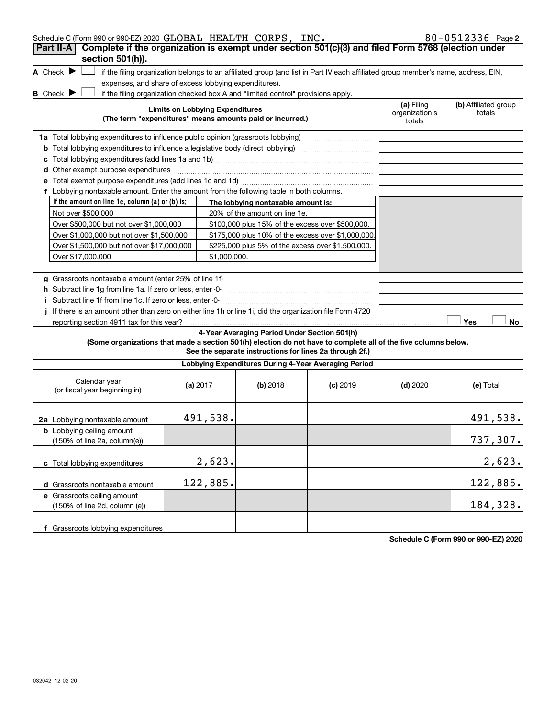| Schedule C (Form 990 or 990-EZ) 2020 GLOBAL HEALTH CORPS, INC.                                                  |                                        |              |                                                                                  |                                                                                                                                   |                          | 80-0512336 Page 2    |
|-----------------------------------------------------------------------------------------------------------------|----------------------------------------|--------------|----------------------------------------------------------------------------------|-----------------------------------------------------------------------------------------------------------------------------------|--------------------------|----------------------|
| Complete if the organization is exempt under section 501(c)(3) and filed Form 5768 (election under<br>Part II-A |                                        |              |                                                                                  |                                                                                                                                   |                          |                      |
| section 501(h)).                                                                                                |                                        |              |                                                                                  |                                                                                                                                   |                          |                      |
| A Check $\blacktriangleright$                                                                                   |                                        |              |                                                                                  | if the filing organization belongs to an affiliated group (and list in Part IV each affiliated group member's name, address, EIN, |                          |                      |
| expenses, and share of excess lobbying expenditures).                                                           |                                        |              |                                                                                  |                                                                                                                                   |                          |                      |
| <b>B</b> Check $\blacktriangleright$                                                                            |                                        |              | if the filing organization checked box A and "limited control" provisions apply. |                                                                                                                                   |                          |                      |
|                                                                                                                 | <b>Limits on Lobbying Expenditures</b> |              |                                                                                  |                                                                                                                                   | (a) Filing               | (b) Affiliated group |
|                                                                                                                 |                                        |              | (The term "expenditures" means amounts paid or incurred.)                        |                                                                                                                                   | organization's<br>totals | totals               |
|                                                                                                                 |                                        |              |                                                                                  |                                                                                                                                   |                          |                      |
| 1a Total lobbying expenditures to influence public opinion (grassroots lobbying) [[[[[[[[[[[[[[[[[[[[[[[[[[[[   |                                        |              |                                                                                  |                                                                                                                                   |                          |                      |
| <b>b</b> Total lobbying expenditures to influence a legislative body (direct lobbying) <i>manumanomes</i>       |                                        |              |                                                                                  |                                                                                                                                   |                          |                      |
|                                                                                                                 |                                        |              |                                                                                  |                                                                                                                                   |                          |                      |
| d Other exempt purpose expenditures                                                                             |                                        |              |                                                                                  |                                                                                                                                   |                          |                      |
|                                                                                                                 |                                        |              |                                                                                  |                                                                                                                                   |                          |                      |
| f Lobbying nontaxable amount. Enter the amount from the following table in both columns.                        |                                        |              |                                                                                  |                                                                                                                                   |                          |                      |
| If the amount on line 1e, column $(a)$ or $(b)$ is:                                                             |                                        |              | The lobbying nontaxable amount is:                                               |                                                                                                                                   |                          |                      |
| Not over \$500,000                                                                                              |                                        |              | 20% of the amount on line 1e.                                                    |                                                                                                                                   |                          |                      |
| Over \$500,000 but not over \$1,000,000                                                                         |                                        |              | \$100,000 plus 15% of the excess over \$500,000.                                 |                                                                                                                                   |                          |                      |
| Over \$1,000,000 but not over \$1,500,000                                                                       |                                        |              | \$175,000 plus 10% of the excess over \$1,000,000                                |                                                                                                                                   |                          |                      |
| Over \$1,500,000 but not over \$17,000,000                                                                      |                                        |              | \$225,000 plus 5% of the excess over \$1,500,000.                                |                                                                                                                                   |                          |                      |
| Over \$17,000,000                                                                                               |                                        | \$1,000,000. |                                                                                  |                                                                                                                                   |                          |                      |
|                                                                                                                 |                                        |              |                                                                                  |                                                                                                                                   |                          |                      |
| g Grassroots nontaxable amount (enter 25% of line 1f)                                                           |                                        |              |                                                                                  |                                                                                                                                   |                          |                      |
| h Subtract line 1g from line 1a. If zero or less, enter -0-                                                     |                                        |              |                                                                                  |                                                                                                                                   |                          |                      |
|                                                                                                                 |                                        |              |                                                                                  |                                                                                                                                   |                          |                      |
| If there is an amount other than zero on either line 1h or line 1i, did the organization file Form 4720         |                                        |              |                                                                                  |                                                                                                                                   |                          |                      |
| reporting section 4911 tax for this year?                                                                       |                                        |              |                                                                                  |                                                                                                                                   |                          | Yes<br>No            |
|                                                                                                                 |                                        |              | 4-Year Averaging Period Under Section 501(h)                                     |                                                                                                                                   |                          |                      |
| (Some organizations that made a section 501(h) election do not have to complete all of the five columns below.  |                                        |              | See the separate instructions for lines 2a through 2f.)                          |                                                                                                                                   |                          |                      |
|                                                                                                                 |                                        |              |                                                                                  |                                                                                                                                   |                          |                      |
|                                                                                                                 |                                        |              | Lobbying Expenditures During 4-Year Averaging Period                             |                                                                                                                                   |                          |                      |
| Calendar year<br>(or fiscal year beginning in)                                                                  | (a) 2017                               |              | (b) 2018                                                                         | $(c)$ 2019                                                                                                                        | $(d)$ 2020               | (e) Total            |
| 2a Lobbying nontaxable amount                                                                                   |                                        | 491,538.     |                                                                                  |                                                                                                                                   |                          | 491,538.             |
| <b>b</b> Lobbying ceiling amount<br>(150% of line 2a, column(e))                                                |                                        |              |                                                                                  |                                                                                                                                   |                          | 737,307.             |
| c Total lobbying expenditures                                                                                   |                                        | 2,623.       |                                                                                  |                                                                                                                                   |                          | 2,623.               |
| d Grassroots nontaxable amount                                                                                  |                                        | 122,885.     |                                                                                  |                                                                                                                                   |                          | 122,885.             |
| e Grassroots ceiling amount<br>(150% of line 2d, column (e))                                                    |                                        |              |                                                                                  |                                                                                                                                   |                          | 184,328.             |
| f Grassroots lobbying expenditures                                                                              |                                        |              |                                                                                  |                                                                                                                                   |                          |                      |

**Schedule C (Form 990 or 990-EZ) 2020**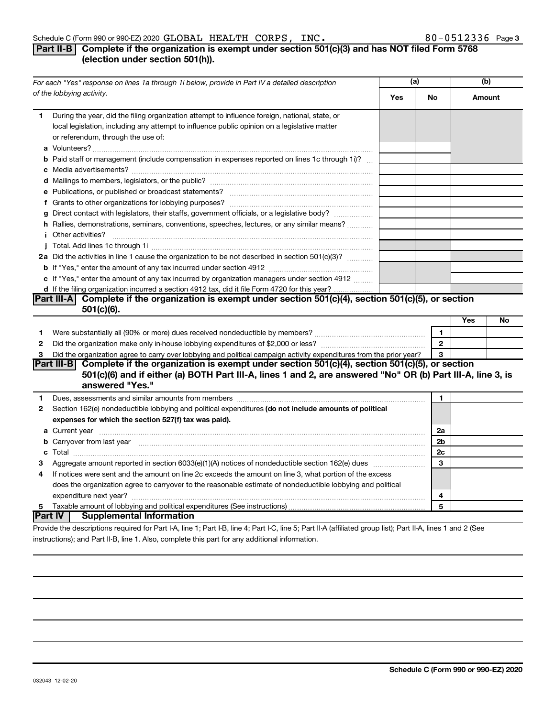### **Part II-B Complete if the organization is exempt under section 501(c)(3) and has NOT filed Form 5768 (election under section 501(h)).**

| For each "Yes" response on lines 1a through 1i below, provide in Part IV a detailed description |                                                                                                                                                                                                                                                  | (a) |                | (b)    |    |
|-------------------------------------------------------------------------------------------------|--------------------------------------------------------------------------------------------------------------------------------------------------------------------------------------------------------------------------------------------------|-----|----------------|--------|----|
|                                                                                                 | of the lobbying activity.                                                                                                                                                                                                                        | Yes | No             | Amount |    |
| 1                                                                                               | During the year, did the filing organization attempt to influence foreign, national, state, or<br>local legislation, including any attempt to influence public opinion on a legislative matter<br>or referendum, through the use of:             |     |                |        |    |
|                                                                                                 | <b>b</b> Paid staff or management (include compensation in expenses reported on lines 1c through 1i)?                                                                                                                                            |     |                |        |    |
|                                                                                                 |                                                                                                                                                                                                                                                  |     |                |        |    |
|                                                                                                 |                                                                                                                                                                                                                                                  |     |                |        |    |
|                                                                                                 |                                                                                                                                                                                                                                                  |     |                |        |    |
|                                                                                                 |                                                                                                                                                                                                                                                  |     |                |        |    |
|                                                                                                 | g Direct contact with legislators, their staffs, government officials, or a legislative body?                                                                                                                                                    |     |                |        |    |
|                                                                                                 | h Rallies, demonstrations, seminars, conventions, speeches, lectures, or any similar means?                                                                                                                                                      |     |                |        |    |
|                                                                                                 |                                                                                                                                                                                                                                                  |     |                |        |    |
|                                                                                                 |                                                                                                                                                                                                                                                  |     |                |        |    |
|                                                                                                 | 2a Did the activities in line 1 cause the organization to be not described in section 501(c)(3)?                                                                                                                                                 |     |                |        |    |
|                                                                                                 |                                                                                                                                                                                                                                                  |     |                |        |    |
|                                                                                                 | c If "Yes," enter the amount of any tax incurred by organization managers under section 4912                                                                                                                                                     |     |                |        |    |
|                                                                                                 | d If the filing organization incurred a section 4912 tax, did it file Form 4720 for this year?                                                                                                                                                   |     |                |        |    |
|                                                                                                 | Part III-A Complete if the organization is exempt under section $501(c)(4)$ , section $501(c)(5)$ , or section                                                                                                                                   |     |                |        |    |
|                                                                                                 | $501(c)(6)$ .                                                                                                                                                                                                                                    |     |                |        |    |
|                                                                                                 |                                                                                                                                                                                                                                                  |     |                | Yes    | No |
| 1.                                                                                              |                                                                                                                                                                                                                                                  |     | $\mathbf{1}$   |        |    |
| 2                                                                                               |                                                                                                                                                                                                                                                  |     | $\overline{2}$ |        |    |
| 3                                                                                               | Did the organization agree to carry over lobbying and political campaign activity expenditures from the prior year?                                                                                                                              |     | 3              |        |    |
|                                                                                                 | Part III-B Complete if the organization is exempt under section $501(c)(4)$ , section $501(c)(5)$ , or section<br>501(c)(6) and if either (a) BOTH Part III-A, lines 1 and 2, are answered "No" OR (b) Part III-A, line 3, is<br>answered "Yes." |     |                |        |    |
| 1                                                                                               | Dues, assessments and similar amounts from members [111] Dues, assessments and similar amounts and similar amounts from members [111] Dues, assessments and similar amounts from members [11] Dues and Similar and Similar and                   |     | $\mathbf{1}$   |        |    |
| 2                                                                                               | Section 162(e) nondeductible lobbying and political expenditures (do not include amounts of political                                                                                                                                            |     |                |        |    |
|                                                                                                 | expenses for which the section 527(f) tax was paid).                                                                                                                                                                                             |     |                |        |    |
|                                                                                                 |                                                                                                                                                                                                                                                  |     | 2a             |        |    |
|                                                                                                 | b Carryover from last year manufactured and contract the contract of the contract of the contract of the contract of contract of contract of contract of contract of contract of contract of contract of contract of contract                    |     | 2b             |        |    |
|                                                                                                 |                                                                                                                                                                                                                                                  |     | 2c             |        |    |
| 3                                                                                               |                                                                                                                                                                                                                                                  |     | 3              |        |    |
| 4                                                                                               | If notices were sent and the amount on line 2c exceeds the amount on line 3, what portion of the excess                                                                                                                                          |     |                |        |    |
|                                                                                                 | does the organization agree to carryover to the reasonable estimate of nondeductible lobbying and political                                                                                                                                      |     |                |        |    |
|                                                                                                 |                                                                                                                                                                                                                                                  |     | 4              |        |    |
| 5                                                                                               |                                                                                                                                                                                                                                                  |     | 5              |        |    |
|                                                                                                 | <b>Part IV   Supplemental Information</b>                                                                                                                                                                                                        |     |                |        |    |
|                                                                                                 | Drouide the deserintions required for Dart LA Jine 1: Dart LD Jine 4: Dart LC Jine E: Dart II A (officiend aroun light): Dart II A Jines 1 and 3 (Ceo                                                                                            |     |                |        |    |

Provide the descriptions required for Part I-A, line 1; Part I-B, line 4; Part I-C, line 5; Part II-A (affiliated group list); Part II-A, lines 1 and 2 (See instructions); and Part II-B, line 1. Also, complete this part for any additional information.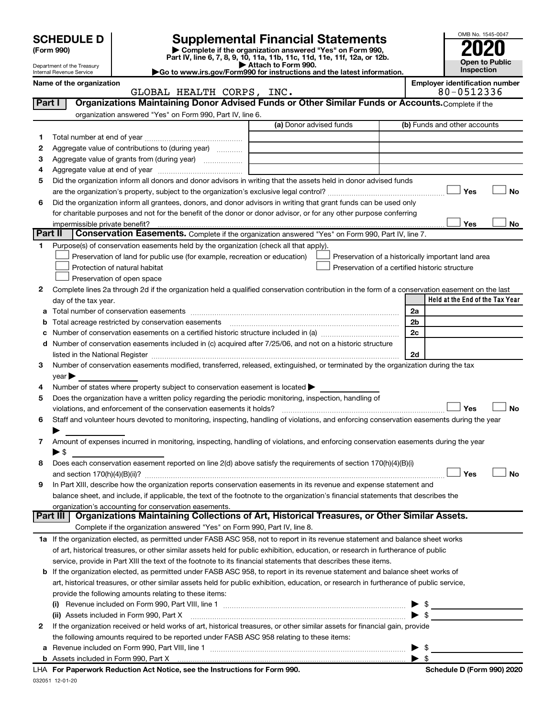# **SCHEDULE D Supplemental Financial Statements**<br> **Form 990 2020**<br> **Part IV** line 6.7.8.9.10, 11a, 11b, 11d, 11d, 11d, 11d, 11d, 12a, 0r, 12b

**(Form 990) | Complete if the organization answered "Yes" on Form 990, Part IV, line 6, 7, 8, 9, 10, 11a, 11b, 11c, 11d, 11e, 11f, 12a, or 12b.**

**| Attach to Form 990. |Go to www.irs.gov/Form990 for instructions and the latest information.**



Department of the Treasury Internal Revenue Service

| ALTH CORPS, | INC. |  |
|-------------|------|--|
|             |      |  |

Name of the organization<br>**GLOBAL HEALTH CORPS, INC.** Employer identification number<br>80-0512336 80-0512336

| Part I          | Organizations Maintaining Donor Advised Funds or Other Similar Funds or Accounts. Complete if the                                                                                                                             |                         |                                                    |
|-----------------|-------------------------------------------------------------------------------------------------------------------------------------------------------------------------------------------------------------------------------|-------------------------|----------------------------------------------------|
|                 | organization answered "Yes" on Form 990, Part IV, line 6.                                                                                                                                                                     |                         |                                                    |
|                 |                                                                                                                                                                                                                               | (a) Donor advised funds | (b) Funds and other accounts                       |
| 1.              |                                                                                                                                                                                                                               |                         |                                                    |
| 2               | Aggregate value of contributions to (during year)                                                                                                                                                                             |                         |                                                    |
| з               | Aggregate value of grants from (during year)                                                                                                                                                                                  |                         |                                                    |
| 4               |                                                                                                                                                                                                                               |                         |                                                    |
| 5               | Did the organization inform all donors and donor advisors in writing that the assets held in donor advised funds                                                                                                              |                         |                                                    |
|                 |                                                                                                                                                                                                                               |                         | Yes<br>No                                          |
| 6               | Did the organization inform all grantees, donors, and donor advisors in writing that grant funds can be used only                                                                                                             |                         |                                                    |
|                 | for charitable purposes and not for the benefit of the donor or donor advisor, or for any other purpose conferring                                                                                                            |                         |                                                    |
|                 | impermissible private benefit?                                                                                                                                                                                                |                         | Yes<br>No                                          |
| ∣ Part II       | Conservation Easements. Complete if the organization answered "Yes" on Form 990, Part IV, line 7.                                                                                                                             |                         |                                                    |
| 1.              | Purpose(s) of conservation easements held by the organization (check all that apply).                                                                                                                                         |                         |                                                    |
|                 | Preservation of land for public use (for example, recreation or education)                                                                                                                                                    |                         | Preservation of a historically important land area |
|                 | Protection of natural habitat                                                                                                                                                                                                 |                         | Preservation of a certified historic structure     |
|                 | Preservation of open space                                                                                                                                                                                                    |                         |                                                    |
| 2               | Complete lines 2a through 2d if the organization held a qualified conservation contribution in the form of a conservation easement on the last                                                                                |                         |                                                    |
|                 | day of the tax year.                                                                                                                                                                                                          |                         | Held at the End of the Tax Year                    |
| a               |                                                                                                                                                                                                                               |                         | 2a                                                 |
| b               | Total acreage restricted by conservation easements                                                                                                                                                                            |                         | 2b                                                 |
| c               | Number of conservation easements on a certified historic structure included in (a) manufacture included in (a)                                                                                                                |                         | 2c                                                 |
| d               | Number of conservation easements included in (c) acquired after 7/25/06, and not on a historic structure                                                                                                                      |                         |                                                    |
|                 | listed in the National Register [111] Marshall Register [11] Marshall Register [11] Marshall Register [11] Marshall Register [11] Marshall Register [11] Marshall Register [11] Marshall Register [11] Marshall Register [11] |                         | 2d                                                 |
| 3               | Number of conservation easements modified, transferred, released, extinguished, or terminated by the organization during the tax                                                                                              |                         |                                                    |
|                 | $year \triangleright$                                                                                                                                                                                                         |                         |                                                    |
| 4               | Number of states where property subject to conservation easement is located >                                                                                                                                                 |                         |                                                    |
| 5               | Does the organization have a written policy regarding the periodic monitoring, inspection, handling of                                                                                                                        |                         |                                                    |
|                 | violations, and enforcement of the conservation easements it holds?                                                                                                                                                           |                         | Yes<br>No                                          |
| 6               | Staff and volunteer hours devoted to monitoring, inspecting, handling of violations, and enforcing conservation easements during the year                                                                                     |                         |                                                    |
|                 |                                                                                                                                                                                                                               |                         |                                                    |
| 7               | Amount of expenses incurred in monitoring, inspecting, handling of violations, and enforcing conservation easements during the year                                                                                           |                         |                                                    |
|                 | $\blacktriangleright$ \$                                                                                                                                                                                                      |                         |                                                    |
| 8               | Does each conservation easement reported on line 2(d) above satisfy the requirements of section 170(h)(4)(B)(i)                                                                                                               |                         |                                                    |
|                 |                                                                                                                                                                                                                               |                         | No<br>Yes                                          |
| 9               | In Part XIII, describe how the organization reports conservation easements in its revenue and expense statement and                                                                                                           |                         |                                                    |
|                 | balance sheet, and include, if applicable, the text of the footnote to the organization's financial statements that describes the                                                                                             |                         |                                                    |
|                 | organization's accounting for conservation easements.                                                                                                                                                                         |                         |                                                    |
| <b>Part III</b> | Organizations Maintaining Collections of Art, Historical Treasures, or Other Similar Assets.                                                                                                                                  |                         |                                                    |
|                 | Complete if the organization answered "Yes" on Form 990, Part IV, line 8.                                                                                                                                                     |                         |                                                    |
|                 | 1a If the organization elected, as permitted under FASB ASC 958, not to report in its revenue statement and balance sheet works                                                                                               |                         |                                                    |
|                 | of art, historical treasures, or other similar assets held for public exhibition, education, or research in furtherance of public                                                                                             |                         |                                                    |
|                 | service, provide in Part XIII the text of the footnote to its financial statements that describes these items.                                                                                                                |                         |                                                    |
|                 | <b>b</b> If the organization elected, as permitted under FASB ASC 958, to report in its revenue statement and balance sheet works of                                                                                          |                         |                                                    |
|                 | art, historical treasures, or other similar assets held for public exhibition, education, or research in furtherance of public service,                                                                                       |                         |                                                    |
|                 | provide the following amounts relating to these items:                                                                                                                                                                        |                         |                                                    |
|                 | (i)                                                                                                                                                                                                                           |                         | $\frac{1}{2}$                                      |
|                 | (ii) Assets included in Form 990, Part X <b>manual construction control and all construction</b> construction construction                                                                                                    |                         | $\blacktriangleright$ \$                           |
| 2               | If the organization received or held works of art, historical treasures, or other similar assets for financial gain, provide                                                                                                  |                         |                                                    |
|                 | the following amounts required to be reported under FASB ASC 958 relating to these items:                                                                                                                                     |                         |                                                    |
|                 |                                                                                                                                                                                                                               |                         | $\blacktriangleright$ \$                           |

| \$

|  | <b>b</b> Assets included in Form 990, Part X |
|--|----------------------------------------------|
|  |                                              |

| LHA For Paperwork Reduction Act Notice, see the Instructions for Form 990. |  |
|----------------------------------------------------------------------------|--|
| 032051 12-01-20                                                            |  |

**Schedule D (Form 990) 2020**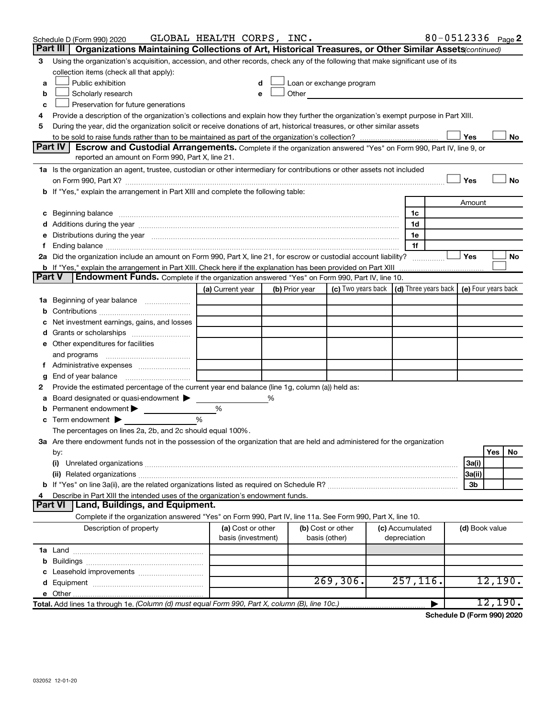|        | Schedule D (Form 990) 2020                                                                                                                                                                                                     | GLOBAL HEALTH CORPS, INC.               |                |                                                                                                                                                                                                                               |                                 |   |                | 80-0512336 Page 2 |
|--------|--------------------------------------------------------------------------------------------------------------------------------------------------------------------------------------------------------------------------------|-----------------------------------------|----------------|-------------------------------------------------------------------------------------------------------------------------------------------------------------------------------------------------------------------------------|---------------------------------|---|----------------|-------------------|
|        | Organizations Maintaining Collections of Art, Historical Treasures, or Other Similar Assets (continued)<br>Part III                                                                                                            |                                         |                |                                                                                                                                                                                                                               |                                 |   |                |                   |
| 3      | Using the organization's acquisition, accession, and other records, check any of the following that make significant use of its                                                                                                |                                         |                |                                                                                                                                                                                                                               |                                 |   |                |                   |
|        | collection items (check all that apply):                                                                                                                                                                                       |                                         |                |                                                                                                                                                                                                                               |                                 |   |                |                   |
| a      | Public exhibition                                                                                                                                                                                                              | d                                       |                | Loan or exchange program                                                                                                                                                                                                      |                                 |   |                |                   |
| b      | Scholarly research                                                                                                                                                                                                             | e                                       |                | Other and the contract of the contract of the contract of the contract of the contract of the contract of the contract of the contract of the contract of the contract of the contract of the contract of the contract of the |                                 |   |                |                   |
| c      | Preservation for future generations                                                                                                                                                                                            |                                         |                |                                                                                                                                                                                                                               |                                 |   |                |                   |
| 4      | Provide a description of the organization's collections and explain how they further the organization's exempt purpose in Part XIII.                                                                                           |                                         |                |                                                                                                                                                                                                                               |                                 |   |                |                   |
| 5      | During the year, did the organization solicit or receive donations of art, historical treasures, or other similar assets                                                                                                       |                                         |                |                                                                                                                                                                                                                               |                                 |   |                |                   |
|        |                                                                                                                                                                                                                                |                                         |                |                                                                                                                                                                                                                               |                                 |   | Yes            | No                |
|        | Part IV<br>Escrow and Custodial Arrangements. Complete if the organization answered "Yes" on Form 990, Part IV, line 9, or                                                                                                     |                                         |                |                                                                                                                                                                                                                               |                                 |   |                |                   |
|        | reported an amount on Form 990, Part X, line 21.                                                                                                                                                                               |                                         |                |                                                                                                                                                                                                                               |                                 |   |                |                   |
|        | 1a Is the organization an agent, trustee, custodian or other intermediary for contributions or other assets not included                                                                                                       |                                         |                |                                                                                                                                                                                                                               |                                 |   |                |                   |
|        |                                                                                                                                                                                                                                |                                         |                |                                                                                                                                                                                                                               |                                 |   | Yes            | No                |
|        | b If "Yes," explain the arrangement in Part XIII and complete the following table:                                                                                                                                             |                                         |                |                                                                                                                                                                                                                               |                                 |   |                |                   |
|        |                                                                                                                                                                                                                                |                                         |                |                                                                                                                                                                                                                               |                                 |   | Amount         |                   |
|        | c Beginning balance measurements and the contract of the contract of the contract of the contract of the contract of the contract of the contract of the contract of the contract of the contract of the contract of the contr |                                         |                |                                                                                                                                                                                                                               | 1c                              |   |                |                   |
|        |                                                                                                                                                                                                                                |                                         |                |                                                                                                                                                                                                                               | 1d                              |   |                |                   |
| е      | Distributions during the year manufactured and an account of the year manufactured and the year manufactured and the year manufactured and the year manufactured and the year manufactured and the year manufactured and the y |                                         |                |                                                                                                                                                                                                                               | 1e<br>1f                        |   |                |                   |
|        | 2a Did the organization include an amount on Form 990, Part X, line 21, for escrow or custodial account liability?                                                                                                             |                                         |                |                                                                                                                                                                                                                               |                                 |   | Yes            | No                |
|        | <b>b</b> If "Yes," explain the arrangement in Part XIII. Check here if the explanation has been provided on Part XIII                                                                                                          |                                         |                |                                                                                                                                                                                                                               |                                 | . |                |                   |
| Part V | Endowment Funds. Complete if the organization answered "Yes" on Form 990, Part IV, line 10.                                                                                                                                    |                                         |                |                                                                                                                                                                                                                               |                                 |   |                |                   |
|        |                                                                                                                                                                                                                                | (a) Current year                        | (b) Prior year | (c) Two years back $\vert$ (d) Three years back $\vert$ (e) Four years back                                                                                                                                                   |                                 |   |                |                   |
|        | <b>1a</b> Beginning of year balance                                                                                                                                                                                            |                                         |                |                                                                                                                                                                                                                               |                                 |   |                |                   |
|        |                                                                                                                                                                                                                                |                                         |                |                                                                                                                                                                                                                               |                                 |   |                |                   |
| с      | Net investment earnings, gains, and losses                                                                                                                                                                                     |                                         |                |                                                                                                                                                                                                                               |                                 |   |                |                   |
|        | d Grants or scholarships                                                                                                                                                                                                       |                                         |                |                                                                                                                                                                                                                               |                                 |   |                |                   |
|        | e Other expenditures for facilities                                                                                                                                                                                            |                                         |                |                                                                                                                                                                                                                               |                                 |   |                |                   |
|        | and programs                                                                                                                                                                                                                   |                                         |                |                                                                                                                                                                                                                               |                                 |   |                |                   |
|        | Administrative expenses                                                                                                                                                                                                        |                                         |                |                                                                                                                                                                                                                               |                                 |   |                |                   |
| g      |                                                                                                                                                                                                                                |                                         |                |                                                                                                                                                                                                                               |                                 |   |                |                   |
| 2      | Provide the estimated percentage of the current year end balance (line 1g, column (a)) held as:                                                                                                                                |                                         |                |                                                                                                                                                                                                                               |                                 |   |                |                   |
| а      | Board designated or quasi-endowment                                                                                                                                                                                            |                                         | %              |                                                                                                                                                                                                                               |                                 |   |                |                   |
| b      | Permanent endowment                                                                                                                                                                                                            | %                                       |                |                                                                                                                                                                                                                               |                                 |   |                |                   |
| с      | Term endowment $\blacktriangleright$                                                                                                                                                                                           | %                                       |                |                                                                                                                                                                                                                               |                                 |   |                |                   |
|        | The percentages on lines 2a, 2b, and 2c should equal 100%.                                                                                                                                                                     |                                         |                |                                                                                                                                                                                                                               |                                 |   |                |                   |
|        | 3a Are there endowment funds not in the possession of the organization that are held and administered for the organization                                                                                                     |                                         |                |                                                                                                                                                                                                                               |                                 |   |                |                   |
|        | by:                                                                                                                                                                                                                            |                                         |                |                                                                                                                                                                                                                               |                                 |   |                | Yes<br>No         |
|        | (i)                                                                                                                                                                                                                            |                                         |                |                                                                                                                                                                                                                               |                                 |   | 3a(i)          |                   |
|        |                                                                                                                                                                                                                                |                                         |                |                                                                                                                                                                                                                               |                                 |   | 3a(ii)         |                   |
|        |                                                                                                                                                                                                                                |                                         |                |                                                                                                                                                                                                                               |                                 |   | 3b             |                   |
| 4      | Describe in Part XIII the intended uses of the organization's endowment funds.                                                                                                                                                 |                                         |                |                                                                                                                                                                                                                               |                                 |   |                |                   |
|        | Land, Buildings, and Equipment.<br><b>Part VI</b>                                                                                                                                                                              |                                         |                |                                                                                                                                                                                                                               |                                 |   |                |                   |
|        | Complete if the organization answered "Yes" on Form 990, Part IV, line 11a. See Form 990, Part X, line 10.                                                                                                                     |                                         |                |                                                                                                                                                                                                                               |                                 |   |                |                   |
|        | Description of property                                                                                                                                                                                                        | (a) Cost or other<br>basis (investment) |                | (b) Cost or other<br>basis (other)                                                                                                                                                                                            | (c) Accumulated<br>depreciation |   | (d) Book value |                   |
|        |                                                                                                                                                                                                                                |                                         |                |                                                                                                                                                                                                                               |                                 |   |                |                   |
|        |                                                                                                                                                                                                                                |                                         |                |                                                                                                                                                                                                                               |                                 |   |                |                   |
|        |                                                                                                                                                                                                                                |                                         |                |                                                                                                                                                                                                                               |                                 |   |                |                   |
|        |                                                                                                                                                                                                                                |                                         |                | 269, 306.                                                                                                                                                                                                                     | 257, 116.                       |   |                | 12,190.           |
|        |                                                                                                                                                                                                                                |                                         |                |                                                                                                                                                                                                                               |                                 |   |                |                   |
|        | Total. Add lines 1a through 1e. (Column (d) must equal Form 990, Part X, column (B), line 10c.)                                                                                                                                |                                         |                |                                                                                                                                                                                                                               |                                 |   |                | 12,190.           |

**Schedule D (Form 990) 2020**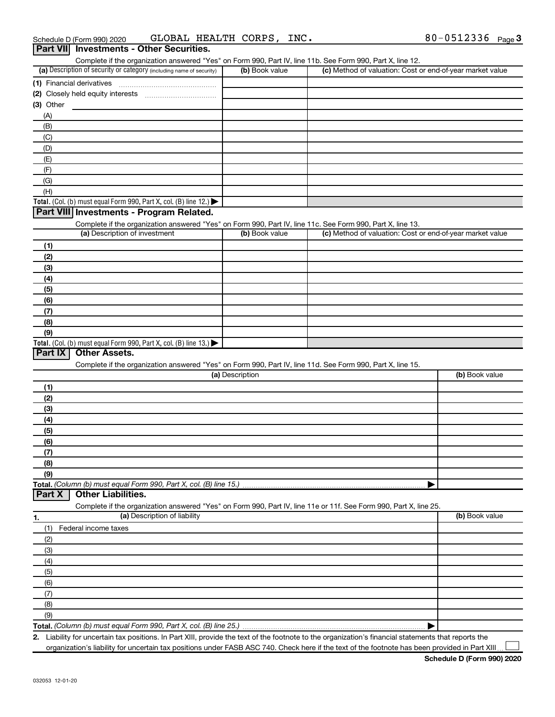| Complete if the organization answered "Yes" on Form 990, Part IV, line 11b. See Form 990, Part X, line 12.        |                 |                                                           |                |
|-------------------------------------------------------------------------------------------------------------------|-----------------|-----------------------------------------------------------|----------------|
| (a) Description of security or category (including name of security)                                              | (b) Book value  | (c) Method of valuation: Cost or end-of-year market value |                |
|                                                                                                                   |                 |                                                           |                |
|                                                                                                                   |                 |                                                           |                |
| $(3)$ Other                                                                                                       |                 |                                                           |                |
| (A)                                                                                                               |                 |                                                           |                |
| (B)                                                                                                               |                 |                                                           |                |
| (C)                                                                                                               |                 |                                                           |                |
| (D)                                                                                                               |                 |                                                           |                |
| (E)                                                                                                               |                 |                                                           |                |
| (F)                                                                                                               |                 |                                                           |                |
| (G)                                                                                                               |                 |                                                           |                |
| (H)                                                                                                               |                 |                                                           |                |
|                                                                                                                   |                 |                                                           |                |
| Total. (Col. (b) must equal Form 990, Part X, col. (B) line 12.)                                                  |                 |                                                           |                |
| Part VIII Investments - Program Related.                                                                          |                 |                                                           |                |
| Complete if the organization answered "Yes" on Form 990, Part IV, line 11c. See Form 990, Part X, line 13.        |                 |                                                           |                |
| (a) Description of investment                                                                                     | (b) Book value  | (c) Method of valuation: Cost or end-of-year market value |                |
| (1)                                                                                                               |                 |                                                           |                |
| (2)                                                                                                               |                 |                                                           |                |
| (3)                                                                                                               |                 |                                                           |                |
| (4)                                                                                                               |                 |                                                           |                |
| (5)                                                                                                               |                 |                                                           |                |
| (6)                                                                                                               |                 |                                                           |                |
| (7)                                                                                                               |                 |                                                           |                |
| (8)                                                                                                               |                 |                                                           |                |
| (9)                                                                                                               |                 |                                                           |                |
| Total. (Col. (b) must equal Form 990, Part X, col. (B) line 13.) $\blacktriangleright$                            |                 |                                                           |                |
| Part IX<br><b>Other Assets.</b>                                                                                   |                 |                                                           |                |
| Complete if the organization answered "Yes" on Form 990, Part IV, line 11d. See Form 990, Part X, line 15.        |                 |                                                           |                |
|                                                                                                                   | (a) Description |                                                           | (b) Book value |
| (1)                                                                                                               |                 |                                                           |                |
| (2)                                                                                                               |                 |                                                           |                |
| (3)                                                                                                               |                 |                                                           |                |
|                                                                                                                   |                 |                                                           |                |
| (4)                                                                                                               |                 |                                                           |                |
| (5)                                                                                                               |                 |                                                           |                |
| (6)                                                                                                               |                 |                                                           |                |
| (7)                                                                                                               |                 |                                                           |                |
| (8)                                                                                                               |                 |                                                           |                |
| (9)                                                                                                               |                 |                                                           |                |
| Total. (Column (b) must equal Form 990, Part X, col. (B) line 15.)                                                |                 |                                                           |                |
| <b>Other Liabilities.</b><br>Part X                                                                               |                 |                                                           |                |
| Complete if the organization answered "Yes" on Form 990, Part IV, line 11e or 11f. See Form 990, Part X, line 25. |                 |                                                           |                |
| (a) Description of liability<br>1.                                                                                |                 |                                                           | (b) Book value |
| (1)<br>Federal income taxes                                                                                       |                 |                                                           |                |
| (2)                                                                                                               |                 |                                                           |                |
| (3)                                                                                                               |                 |                                                           |                |
| (4)                                                                                                               |                 |                                                           |                |
| (5)                                                                                                               |                 |                                                           |                |
| (6)                                                                                                               |                 |                                                           |                |
| (7)                                                                                                               |                 |                                                           |                |
| (8)                                                                                                               |                 |                                                           |                |
| (9)                                                                                                               |                 |                                                           |                |
|                                                                                                                   |                 |                                                           |                |
|                                                                                                                   |                 |                                                           |                |

**2.** Liability for uncertain tax positions. In Part XIII, provide the text of the footnote to the organization's financial statements that reports the organization's liability for uncertain tax positions under FASB ASC 740. Check here if the text of the footnote has been provided in Part XIII

 $\perp$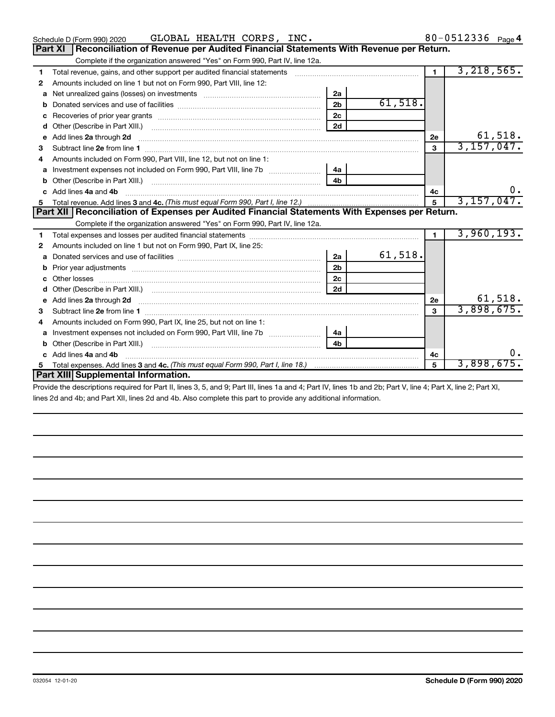|    | GLOBAL HEALTH CORPS, INC.<br>Schedule D (Form 990) 2020                                                       |                |         |                | 80-0512336 Page 4          |
|----|---------------------------------------------------------------------------------------------------------------|----------------|---------|----------------|----------------------------|
|    | Reconciliation of Revenue per Audited Financial Statements With Revenue per Return.<br>Part XI                |                |         |                |                            |
|    | Complete if the organization answered "Yes" on Form 990, Part IV, line 12a.                                   |                |         |                |                            |
| 1  | Total revenue, gains, and other support per audited financial statements [[[[[[[[[[[[[[[[[[[[[[[[[]]]]]]]]]]] |                |         | $\blacksquare$ | 3,218,565.                 |
| 2  | Amounts included on line 1 but not on Form 990, Part VIII, line 12:                                           |                |         |                |                            |
| a  |                                                                                                               | 2a             |         |                |                            |
| b  |                                                                                                               | 2 <sub>b</sub> | 61,518. |                |                            |
| c  |                                                                                                               | 2c             |         |                |                            |
| d  |                                                                                                               | 2d             |         |                |                            |
| e  | Add lines 2a through 2d                                                                                       |                |         | 2e             | 61,518.                    |
| 3  |                                                                                                               |                |         | $\mathbf{3}$   | 3,157,047.                 |
| 4  | Amounts included on Form 990, Part VIII, line 12, but not on line 1:                                          |                |         |                |                            |
| a  | Investment expenses not included on Form 990, Part VIII, line 7b                                              | 4a             |         |                |                            |
| b  |                                                                                                               | 4 <sub>h</sub> |         |                |                            |
| c. | Add lines 4a and 4b                                                                                           |                |         | 4с             |                            |
| 5  |                                                                                                               |                |         | $5\phantom{a}$ | 3,157,047.                 |
|    |                                                                                                               |                |         |                |                            |
|    | Part XII   Reconciliation of Expenses per Audited Financial Statements With Expenses per Return.              |                |         |                |                            |
|    | Complete if the organization answered "Yes" on Form 990, Part IV, line 12a.                                   |                |         |                |                            |
| 1  |                                                                                                               |                |         | $\mathbf{1}$   | 3,960,193.                 |
| 2  | Amounts included on line 1 but not on Form 990, Part IX, line 25:                                             |                |         |                |                            |
| a  |                                                                                                               | 2a             | 61,518. |                |                            |
| b  |                                                                                                               | 2 <sub>b</sub> |         |                |                            |
| c  |                                                                                                               | 2c             |         |                |                            |
| d  |                                                                                                               | 2d             |         |                |                            |
|    | Add lines 2a through 2d                                                                                       |                |         | 2e             |                            |
| 3  |                                                                                                               |                |         | $\mathbf{a}$   | $\frac{61,518}{3,898,675}$ |
| 4  | Amounts included on Form 990, Part IX, line 25, but not on line 1:                                            |                |         |                |                            |
| a  | Investment expenses not included on Form 990, Part VIII, line 7b                                              | 4a             |         |                |                            |
| b  |                                                                                                               | 4 <sub>h</sub> |         |                |                            |
| c. | Add lines 4a and 4b                                                                                           |                |         | 4с             |                            |
|    | Part XIII Supplemental Information.                                                                           |                |         | 5              | 3,898,675.                 |

Provide the descriptions required for Part II, lines 3, 5, and 9; Part III, lines 1a and 4; Part IV, lines 1b and 2b; Part V, line 4; Part X, line 2; Part XI, lines 2d and 4b; and Part XII, lines 2d and 4b. Also complete this part to provide any additional information.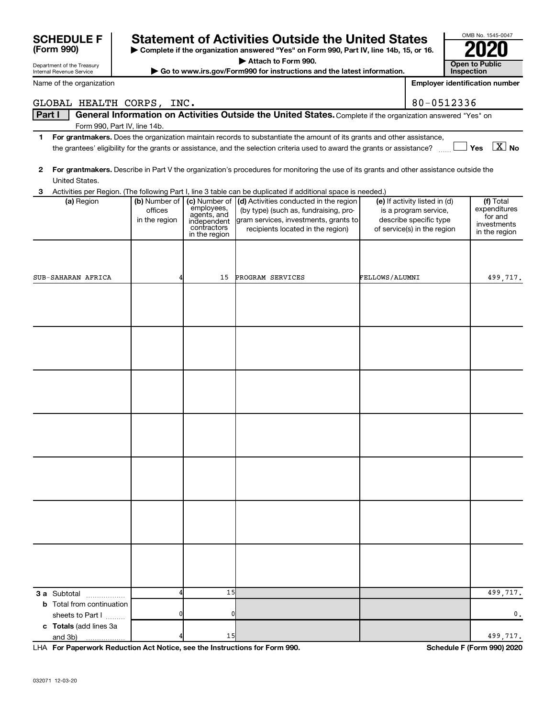|   | Name of the organization          |                                           |                                                                          |                                                                                                                                                                                                                                                               |                |                                                                                                                 | <b>Employer identification number</b>                                |
|---|-----------------------------------|-------------------------------------------|--------------------------------------------------------------------------|---------------------------------------------------------------------------------------------------------------------------------------------------------------------------------------------------------------------------------------------------------------|----------------|-----------------------------------------------------------------------------------------------------------------|----------------------------------------------------------------------|
|   | GLOBAL HEALTH CORPS, INC.         |                                           |                                                                          |                                                                                                                                                                                                                                                               |                | 80-0512336                                                                                                      |                                                                      |
|   | Part I                            |                                           |                                                                          | General Information on Activities Outside the United States. Complete if the organization answered "Yes" on                                                                                                                                                   |                |                                                                                                                 |                                                                      |
|   | Form 990, Part IV, line 14b.      |                                           |                                                                          |                                                                                                                                                                                                                                                               |                |                                                                                                                 |                                                                      |
| 1 |                                   |                                           |                                                                          | For grantmakers. Does the organization maintain records to substantiate the amount of its grants and other assistance,<br>the grantees' eligibility for the grants or assistance, and the selection criteria used to award the grants or assistance? [11] Yes |                |                                                                                                                 | $\boxed{\text{X}}$ No                                                |
|   |                                   |                                           |                                                                          |                                                                                                                                                                                                                                                               |                |                                                                                                                 |                                                                      |
| 2 |                                   |                                           |                                                                          | For grantmakers. Describe in Part V the organization's procedures for monitoring the use of its grants and other assistance outside the                                                                                                                       |                |                                                                                                                 |                                                                      |
|   | United States.                    |                                           |                                                                          |                                                                                                                                                                                                                                                               |                |                                                                                                                 |                                                                      |
|   |                                   |                                           |                                                                          | 3 Activities per Region. (The following Part I, line 3 table can be duplicated if additional space is needed.)                                                                                                                                                |                |                                                                                                                 |                                                                      |
|   | (a) Region                        | (b) Number of<br>offices<br>in the region | employees,<br>agents, and<br>independent<br>contractors<br>in the region | (c) Number of   (d) Activities conducted in the region<br>(by type) (such as, fundraising, pro-<br>gram services, investments, grants to<br>recipients located in the region)                                                                                 |                | (e) If activity listed in (d)<br>is a program service,<br>describe specific type<br>of service(s) in the region | (f) Total<br>expenditures<br>for and<br>investments<br>in the region |
|   |                                   |                                           |                                                                          |                                                                                                                                                                                                                                                               |                |                                                                                                                 |                                                                      |
|   |                                   |                                           |                                                                          |                                                                                                                                                                                                                                                               |                |                                                                                                                 |                                                                      |
|   |                                   |                                           |                                                                          |                                                                                                                                                                                                                                                               |                |                                                                                                                 |                                                                      |
|   | SUB-SAHARAN AFRICA                |                                           | 15                                                                       | PROGRAM SERVICES                                                                                                                                                                                                                                              | FELLOWS/ALUMNI |                                                                                                                 | 499,717.                                                             |
|   |                                   |                                           |                                                                          |                                                                                                                                                                                                                                                               |                |                                                                                                                 |                                                                      |
|   |                                   |                                           |                                                                          |                                                                                                                                                                                                                                                               |                |                                                                                                                 |                                                                      |
|   |                                   |                                           |                                                                          |                                                                                                                                                                                                                                                               |                |                                                                                                                 |                                                                      |
|   |                                   |                                           |                                                                          |                                                                                                                                                                                                                                                               |                |                                                                                                                 |                                                                      |
|   |                                   |                                           |                                                                          |                                                                                                                                                                                                                                                               |                |                                                                                                                 |                                                                      |
|   |                                   |                                           |                                                                          |                                                                                                                                                                                                                                                               |                |                                                                                                                 |                                                                      |
|   |                                   |                                           |                                                                          |                                                                                                                                                                                                                                                               |                |                                                                                                                 |                                                                      |
|   |                                   |                                           |                                                                          |                                                                                                                                                                                                                                                               |                |                                                                                                                 |                                                                      |
|   |                                   |                                           |                                                                          |                                                                                                                                                                                                                                                               |                |                                                                                                                 |                                                                      |
|   |                                   |                                           |                                                                          |                                                                                                                                                                                                                                                               |                |                                                                                                                 |                                                                      |
|   |                                   |                                           |                                                                          |                                                                                                                                                                                                                                                               |                |                                                                                                                 |                                                                      |
|   |                                   |                                           |                                                                          |                                                                                                                                                                                                                                                               |                |                                                                                                                 |                                                                      |
|   |                                   |                                           |                                                                          |                                                                                                                                                                                                                                                               |                |                                                                                                                 |                                                                      |
|   |                                   |                                           |                                                                          |                                                                                                                                                                                                                                                               |                |                                                                                                                 |                                                                      |
|   |                                   |                                           |                                                                          |                                                                                                                                                                                                                                                               |                |                                                                                                                 |                                                                      |
|   |                                   |                                           |                                                                          |                                                                                                                                                                                                                                                               |                |                                                                                                                 |                                                                      |
|   |                                   |                                           |                                                                          |                                                                                                                                                                                                                                                               |                |                                                                                                                 |                                                                      |
|   |                                   |                                           |                                                                          |                                                                                                                                                                                                                                                               |                |                                                                                                                 |                                                                      |
|   |                                   |                                           |                                                                          |                                                                                                                                                                                                                                                               |                |                                                                                                                 |                                                                      |
|   |                                   |                                           |                                                                          |                                                                                                                                                                                                                                                               |                |                                                                                                                 |                                                                      |
|   |                                   |                                           |                                                                          |                                                                                                                                                                                                                                                               |                |                                                                                                                 |                                                                      |
|   |                                   |                                           |                                                                          |                                                                                                                                                                                                                                                               |                |                                                                                                                 |                                                                      |
|   |                                   |                                           |                                                                          |                                                                                                                                                                                                                                                               |                |                                                                                                                 |                                                                      |
|   | 3 a Subtotal                      |                                           | 15                                                                       |                                                                                                                                                                                                                                                               |                |                                                                                                                 | 499,717.                                                             |
|   | <b>b</b> Total from continuation  |                                           |                                                                          |                                                                                                                                                                                                                                                               |                |                                                                                                                 |                                                                      |
|   | sheets to Part I                  |                                           | 0                                                                        |                                                                                                                                                                                                                                                               |                |                                                                                                                 | 0.                                                                   |
|   | c Totals (add lines 3a<br>and 3b) |                                           | 15                                                                       |                                                                                                                                                                                                                                                               |                |                                                                                                                 | 499,717.                                                             |
|   | .                                 |                                           |                                                                          |                                                                                                                                                                                                                                                               |                |                                                                                                                 |                                                                      |

**| Complete if the organization answered "Yes" on Form 990, Part IV, line 14b, 15, or 16. | Attach to Form 990.**

**Statement of Activities Outside the United States**  $\begin{bmatrix} 2000 \\ 2000 \end{bmatrix}$  Complete if the organization answered "Yes" on Form 990, Part IV, line 14b, 15, or 16.

**| Go to www.irs.gov/Form990 for instructions and the latest information. Open to Public** 

**For Paperwork Reduction Act Notice, see the Instructions for Form 990. Schedule F (Form 990) 2020** LHA

OMB No. 1545-0047

**Inspection**

Department of the Treasury Internal Revenue Service

**(Form 990)**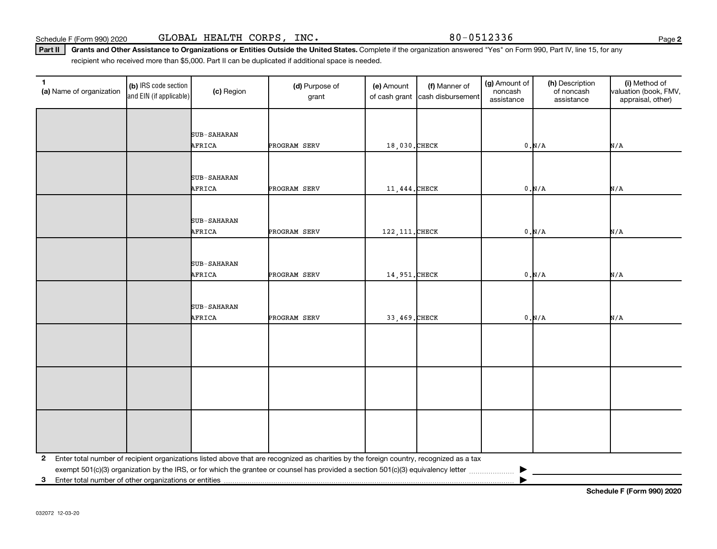032072 12-03-20

Schedule F (Form 990) 2020 GLOBAL HEALTH CORPS, INC. 80-0512336

Part II | Grants and Other Assistance to Organizations or Entities Outside the United States. Complete if the organization answered "Yes" on Form 990, Part IV, line 15, for any recipient who received more than \$5,000. Part II can be duplicated if additional space is needed.

| $\mathbf{1}$<br>(a) Name of organization                   | (b) IRS code section<br>and EIN (if applicable) | (c) Region  | (d) Purpose of<br>grant                                                                                                                 | (e) Amount<br>of cash grant | (f) Manner of<br>cash disbursement | (g) Amount of<br>noncash<br>assistance | (h) Description<br>of noncash<br>assistance | (i) Method of<br>valuation (book, FMV,<br>appraisal, other) |
|------------------------------------------------------------|-------------------------------------------------|-------------|-----------------------------------------------------------------------------------------------------------------------------------------|-----------------------------|------------------------------------|----------------------------------------|---------------------------------------------|-------------------------------------------------------------|
|                                                            |                                                 |             |                                                                                                                                         |                             |                                    |                                        |                                             |                                                             |
|                                                            |                                                 | SUB-SAHARAN |                                                                                                                                         |                             |                                    |                                        |                                             |                                                             |
|                                                            |                                                 | AFRICA      | PROGRAM SERV                                                                                                                            | 18,030.CHECK                |                                    |                                        | 0.N/A                                       | N/A                                                         |
|                                                            |                                                 |             |                                                                                                                                         |                             |                                    |                                        |                                             |                                                             |
|                                                            |                                                 | SUB-SAHARAN |                                                                                                                                         |                             |                                    |                                        |                                             |                                                             |
|                                                            |                                                 | AFRICA      | PROGRAM SERV                                                                                                                            | 11,444. CHECK               |                                    |                                        | 0.N/A                                       | N/A                                                         |
|                                                            |                                                 |             |                                                                                                                                         |                             |                                    |                                        |                                             |                                                             |
|                                                            |                                                 | SUB-SAHARAN |                                                                                                                                         |                             |                                    |                                        |                                             |                                                             |
|                                                            |                                                 | AFRICA      | PROGRAM SERV                                                                                                                            | 122, 111. CHECK             |                                    |                                        | 0.N/A                                       | N/A                                                         |
|                                                            |                                                 |             |                                                                                                                                         |                             |                                    |                                        |                                             |                                                             |
|                                                            |                                                 | SUB-SAHARAN |                                                                                                                                         |                             |                                    |                                        |                                             |                                                             |
|                                                            |                                                 | AFRICA      | PROGRAM SERV                                                                                                                            | 14,951. CHECK               |                                    |                                        | 0.N/A                                       | N/A                                                         |
|                                                            |                                                 |             |                                                                                                                                         |                             |                                    |                                        |                                             |                                                             |
|                                                            |                                                 | SUB-SAHARAN |                                                                                                                                         |                             |                                    |                                        |                                             |                                                             |
|                                                            |                                                 | AFRICA      | PROGRAM SERV                                                                                                                            | 33,469. CHECK               |                                    |                                        | 0.N/A                                       | N/A                                                         |
|                                                            |                                                 |             |                                                                                                                                         |                             |                                    |                                        |                                             |                                                             |
|                                                            |                                                 |             |                                                                                                                                         |                             |                                    |                                        |                                             |                                                             |
|                                                            |                                                 |             |                                                                                                                                         |                             |                                    |                                        |                                             |                                                             |
|                                                            |                                                 |             |                                                                                                                                         |                             |                                    |                                        |                                             |                                                             |
|                                                            |                                                 |             |                                                                                                                                         |                             |                                    |                                        |                                             |                                                             |
|                                                            |                                                 |             |                                                                                                                                         |                             |                                    |                                        |                                             |                                                             |
|                                                            |                                                 |             |                                                                                                                                         |                             |                                    |                                        |                                             |                                                             |
|                                                            |                                                 |             |                                                                                                                                         |                             |                                    |                                        |                                             |                                                             |
|                                                            |                                                 |             |                                                                                                                                         |                             |                                    |                                        |                                             |                                                             |
| 2                                                          |                                                 |             | Enter total number of recipient organizations listed above that are recognized as charities by the foreign country, recognized as a tax |                             |                                    |                                        |                                             |                                                             |
| Enter total number of other organizations or entities<br>3 |                                                 |             |                                                                                                                                         |                             |                                    |                                        |                                             |                                                             |

**Schedule F (Form 990) 2020**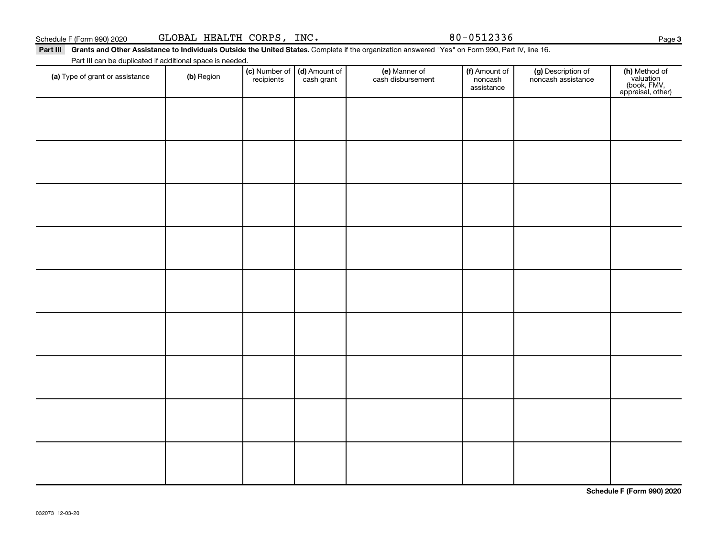| Schedule F (Form 990) 2020                                | GLOBAL HEALTH CORPS, INC. |                             |                             |                                                                                                                                                  | 80-0512336                             |                                          | Page                                                           |
|-----------------------------------------------------------|---------------------------|-----------------------------|-----------------------------|--------------------------------------------------------------------------------------------------------------------------------------------------|----------------------------------------|------------------------------------------|----------------------------------------------------------------|
| Part III                                                  |                           |                             |                             | Grants and Other Assistance to Individuals Outside the United States. Complete if the organization answered "Yes" on Form 990, Part IV, line 16. |                                        |                                          |                                                                |
| Part III can be duplicated if additional space is needed. |                           |                             |                             |                                                                                                                                                  |                                        |                                          |                                                                |
| (a) Type of grant or assistance                           | (b) Region                | (c) Number of<br>recipients | (d) Amount of<br>cash grant | (e) Manner of<br>cash disbursement                                                                                                               | (f) Amount of<br>noncash<br>assistance | (g) Description of<br>noncash assistance | (h) Method of<br>valuation<br>(book, FMV,<br>appraisal, other) |
|                                                           |                           |                             |                             |                                                                                                                                                  |                                        |                                          |                                                                |
|                                                           |                           |                             |                             |                                                                                                                                                  |                                        |                                          |                                                                |
|                                                           |                           |                             |                             |                                                                                                                                                  |                                        |                                          |                                                                |

**Schedule F (Form 990) 2020**

**3**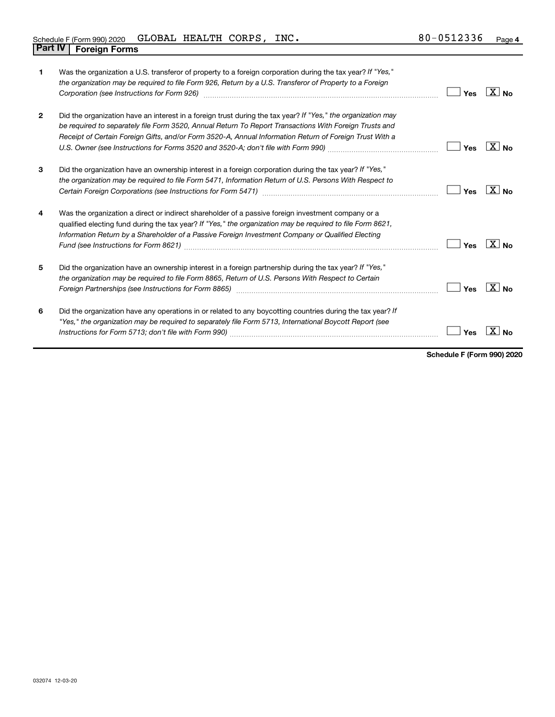| Schedule F (Form 990) 2020     | GLOBAL HEALTH CORPS, |  | INC. | 80-0512336 | Page 4 |
|--------------------------------|----------------------|--|------|------------|--------|
| <b>Part IV   Foreign Forms</b> |                      |  |      |            |        |

| 1              | Was the organization a U.S. transferor of property to a foreign corporation during the tax year? If "Yes,"<br>the organization may be required to file Form 926, Return by a U.S. Transferor of Property to a Foreign<br>Corporation (see Instructions for Form 926) manufactured control and the control of the control of the control of the control of the control of the control of the control of the control of the control of the control of the | Yes | $\overline{X}$ No |
|----------------|---------------------------------------------------------------------------------------------------------------------------------------------------------------------------------------------------------------------------------------------------------------------------------------------------------------------------------------------------------------------------------------------------------------------------------------------------------|-----|-------------------|
| $\overline{2}$ | Did the organization have an interest in a foreign trust during the tax year? If "Yes," the organization may<br>be required to separately file Form 3520, Annual Return To Report Transactions With Foreign Trusts and<br>Receipt of Certain Foreign Gifts, and/or Form 3520-A, Annual Information Return of Foreign Trust With a<br>U.S. Owner (see Instructions for Forms 3520 and 3520-A; don't file with Form 990) manual content content content   | Yes | $X _{N_{\Omega}}$ |
| 3              | Did the organization have an ownership interest in a foreign corporation during the tax year? If "Yes,"<br>the organization may be required to file Form 5471, Information Return of U.S. Persons With Respect to                                                                                                                                                                                                                                       | Yes | $X _{\text{No}}$  |
| 4              | Was the organization a direct or indirect shareholder of a passive foreign investment company or a<br>qualified electing fund during the tax year? If "Yes," the organization may be required to file Form 8621,<br>Information Return by a Shareholder of a Passive Foreign Investment Company or Qualified Electing                                                                                                                                   | Yes | $X _{\text{No}}$  |
| 5              | Did the organization have an ownership interest in a foreign partnership during the tax year? If "Yes,"<br>the organization may be required to file Form 8865, Return of U.S. Persons With Respect to Certain                                                                                                                                                                                                                                           | Yes | $\overline{X}$ No |
| 6              | Did the organization have any operations in or related to any boycotting countries during the tax year? If<br>"Yes," the organization may be required to separately file Form 5713, International Boycott Report (see                                                                                                                                                                                                                                   | Yes |                   |

**Schedule F (Form 990) 2020**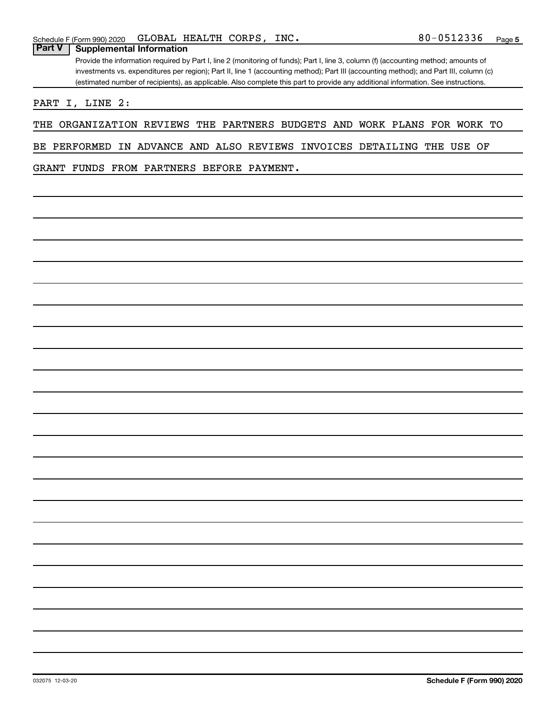### **Part V Supplemental Information**

Provide the information required by Part I, line 2 (monitoring of funds); Part I, line 3, column (f) (accounting method; amounts of investments vs. expenditures per region); Part II, line 1 (accounting method); Part III (accounting method); and Part III, column (c) (estimated number of recipients), as applicable. Also complete this part to provide any additional information. See instructions.

PART I, LINE 2:

THE ORGANIZATION REVIEWS THE PARTNERS BUDGETS AND WORK PLANS FOR WORK TO

BE PERFORMED IN ADVANCE AND ALSO REVIEWS INVOICES DETAILING THE USE OF

GRANT FUNDS FROM PARTNERS BEFORE PAYMENT.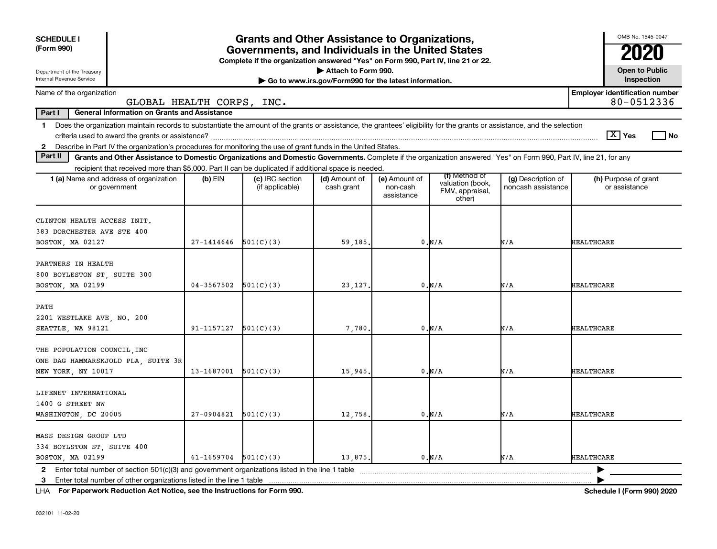| <b>SCHEDULE I</b><br>(Form 990)                                                                                                                                                                                                                                                                  | <b>Grants and Other Assistance to Organizations,</b>                                                                                  | OMB No. 1545-0047                                   |                             |                                         |                                                                |                                          |                                       |  |  |
|--------------------------------------------------------------------------------------------------------------------------------------------------------------------------------------------------------------------------------------------------------------------------------------------------|---------------------------------------------------------------------------------------------------------------------------------------|-----------------------------------------------------|-----------------------------|-----------------------------------------|----------------------------------------------------------------|------------------------------------------|---------------------------------------|--|--|
|                                                                                                                                                                                                                                                                                                  | Governments, and Individuals in the United States<br>Complete if the organization answered "Yes" on Form 990, Part IV, line 21 or 22. |                                                     |                             |                                         |                                                                |                                          |                                       |  |  |
| Department of the Treasury<br>Internal Revenue Service                                                                                                                                                                                                                                           |                                                                                                                                       | <b>Open to Public</b><br>Inspection                 |                             |                                         |                                                                |                                          |                                       |  |  |
| Name of the organization<br>GLOBAL HEALTH CORPS, INC.                                                                                                                                                                                                                                            |                                                                                                                                       | <b>Employer identification number</b><br>80-0512336 |                             |                                         |                                                                |                                          |                                       |  |  |
| Part I<br><b>General Information on Grants and Assistance</b>                                                                                                                                                                                                                                    |                                                                                                                                       |                                                     |                             |                                         |                                                                |                                          |                                       |  |  |
| Does the organization maintain records to substantiate the amount of the grants or assistance, the grantees' eligibility for the grants or assistance, and the selection<br>$\mathbf 1$                                                                                                          |                                                                                                                                       |                                                     |                             |                                         |                                                                |                                          | $ \mathbf{X} $ Yes<br>l No            |  |  |
| 2 Describe in Part IV the organization's procedures for monitoring the use of grant funds in the United States.<br>Part II<br>Grants and Other Assistance to Domestic Organizations and Domestic Governments. Complete if the organization answered "Yes" on Form 990, Part IV, line 21, for any |                                                                                                                                       |                                                     |                             |                                         |                                                                |                                          |                                       |  |  |
| recipient that received more than \$5,000. Part II can be duplicated if additional space is needed.                                                                                                                                                                                              |                                                                                                                                       |                                                     |                             |                                         |                                                                |                                          |                                       |  |  |
| <b>1 (a)</b> Name and address of organization<br>or government                                                                                                                                                                                                                                   | $(b)$ EIN                                                                                                                             | (c) IRC section<br>(if applicable)                  | (d) Amount of<br>cash grant | (e) Amount of<br>non-cash<br>assistance | (f) Method of<br>valuation (book,<br>FMV, appraisal,<br>other) | (g) Description of<br>noncash assistance | (h) Purpose of grant<br>or assistance |  |  |
| CLINTON HEALTH ACCESS INIT.<br>383 DORCHESTER AVE STE 400<br>BOSTON, MA 02127                                                                                                                                                                                                                    | $27 - 1414646$                                                                                                                        | 501(C)(3)                                           | 59,185.                     |                                         | 0.N/A                                                          | N/A                                      | <b>HEALTHCARE</b>                     |  |  |
| PARTNERS IN HEALTH<br>800 BOYLESTON ST, SUITE 300<br>BOSTON, MA 02199                                                                                                                                                                                                                            | $04 - 3567502$                                                                                                                        | 501(C)(3)                                           | 23, 127.                    |                                         | 0.N/A                                                          | N/A                                      | <b>HEALTHCARE</b>                     |  |  |
| PATH<br>2201 WESTLAKE AVE, NO. 200<br>SEATTLE, WA 98121                                                                                                                                                                                                                                          | 91-1157127                                                                                                                            | 501(C)(3)                                           | 7,780                       |                                         | 0.N/A                                                          | N/A                                      | <b>HEALTHCARE</b>                     |  |  |
| THE POPULATION COUNCIL, INC<br>ONE DAG HAMMARSKJOLD PLA, SUITE 3R<br>NEW YORK, NY 10017                                                                                                                                                                                                          | 13-1687001                                                                                                                            | 501(C)(3)                                           | 15,945                      |                                         | 0.N/A                                                          | N/A                                      | <b>HEALTHCARE</b>                     |  |  |
| LIFENET INTERNATIONAL<br>1400 G STREET NW<br>WASHINGTON, DC 20005                                                                                                                                                                                                                                | 27-0904821                                                                                                                            | 501(C)(3)                                           | 12,758.                     |                                         | 0.N/A                                                          | N/A                                      | <b>HEALTHCARE</b>                     |  |  |
| MASS DESIGN GROUP LTD<br>334 BOYLSTON ST, SUITE 400<br>BOSTON, MA 02199                                                                                                                                                                                                                          | 61-1659704 $501(C)(3)$                                                                                                                |                                                     | 13,875.                     |                                         | 0.N/A                                                          | N/A                                      | <b>HEALTHCARE</b>                     |  |  |
| 2 Enter total number of section 501(c)(3) and government organizations listed in the line 1 table<br>Enter total number of other organizations listed in the line 1 table<br>3                                                                                                                   |                                                                                                                                       |                                                     |                             |                                         |                                                                |                                          |                                       |  |  |

**For Paperwork Reduction Act Notice, see the Instructions for Form 990. Schedule I (Form 990) 2020** LHA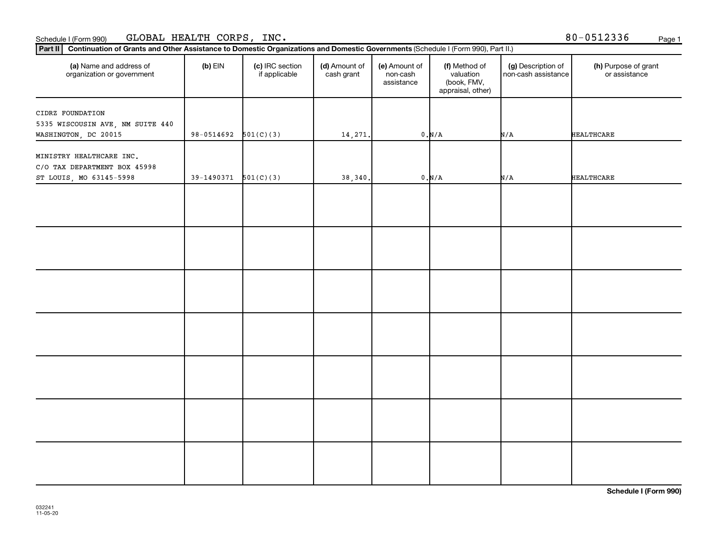### Schedule I (Form 990) GLDBAL HEALTH CORPS, INC • 8 U−UวIZ336 Page 1  $\rm GLOBAL$  HEALTH  $\rm CORPS$ , INC.  $\rm S0-0512336$

| (a) Name and address of<br>organization or government    | $(b)$ EIN                | (c) IRC section<br>if applicable | (d) Amount of<br>cash grant | (e) Amount of<br>non-cash<br>assistance | (f) Method of<br>valuation<br>(book, FMV,<br>appraisal, other) | (g) Description of<br>non-cash assistance | (h) Purpose of grant<br>or assistance |
|----------------------------------------------------------|--------------------------|----------------------------------|-----------------------------|-----------------------------------------|----------------------------------------------------------------|-------------------------------------------|---------------------------------------|
| CIDRZ FOUNDATION<br>5335 WISCOUSIN AVE, NM SUITE 440     |                          |                                  |                             |                                         |                                                                |                                           |                                       |
| WASHINGTON, DC 20015                                     | $98-0514692$ $501(C)(3)$ |                                  | 14,271.                     |                                         | 0.N/A                                                          | N/A                                       | <b>HEALTHCARE</b>                     |
| MINISTRY HEALTHCARE INC.<br>C/O TAX DEPARTMENT BOX 45998 |                          |                                  |                             |                                         |                                                                |                                           |                                       |
| ST LOUIS, MO 63145-5998                                  | $39-1490371$ $501(C)(3)$ |                                  | 38,340.                     |                                         | $0. N/A$                                                       | N/A                                       | <b>HEALTHCARE</b>                     |
|                                                          |                          |                                  |                             |                                         |                                                                |                                           |                                       |
|                                                          |                          |                                  |                             |                                         |                                                                |                                           |                                       |
|                                                          |                          |                                  |                             |                                         |                                                                |                                           |                                       |
|                                                          |                          |                                  |                             |                                         |                                                                |                                           |                                       |
|                                                          |                          |                                  |                             |                                         |                                                                |                                           |                                       |
|                                                          |                          |                                  |                             |                                         |                                                                |                                           |                                       |
|                                                          |                          |                                  |                             |                                         |                                                                |                                           |                                       |
|                                                          |                          |                                  |                             |                                         |                                                                |                                           |                                       |
|                                                          |                          |                                  |                             |                                         |                                                                |                                           |                                       |
|                                                          |                          |                                  |                             |                                         |                                                                |                                           |                                       |
|                                                          |                          |                                  |                             |                                         |                                                                |                                           |                                       |

**Schedule I (Form 990)**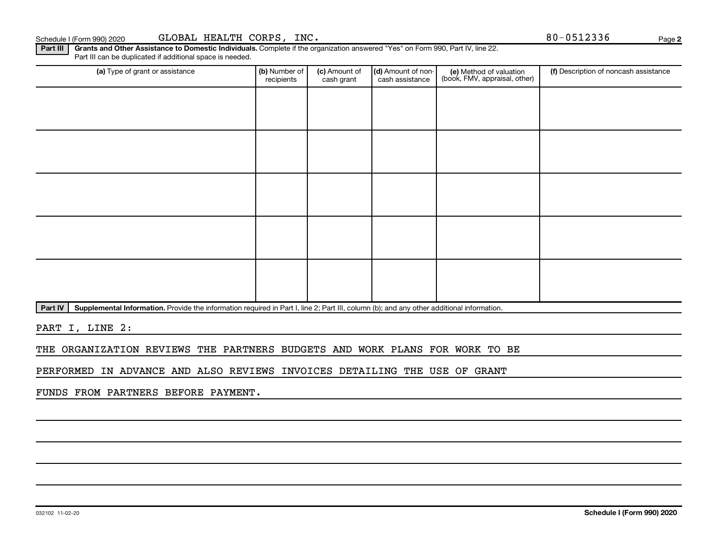### Schedule I (Form 990) 2020 GLOBAL HEALTH CORPS,INC. Notify the state of the state of the state of the Page

Part III | Grants and Other Assistance to Domestic Individuals. Complete if the organization answered "Yes" on Form 990, Part IV, line 22. Part III can be duplicated if additional space is needed.

| (a) Type of grant or assistance | (b) Number of<br>recipients | (c) Amount of<br>cash grant | (d) Amount of non-<br>cash assistance | (e) Method of valuation<br>(book, FMV, appraisal, other) | (f) Description of noncash assistance |
|---------------------------------|-----------------------------|-----------------------------|---------------------------------------|----------------------------------------------------------|---------------------------------------|
|                                 |                             |                             |                                       |                                                          |                                       |
|                                 |                             |                             |                                       |                                                          |                                       |
|                                 |                             |                             |                                       |                                                          |                                       |
|                                 |                             |                             |                                       |                                                          |                                       |
|                                 |                             |                             |                                       |                                                          |                                       |
|                                 |                             |                             |                                       |                                                          |                                       |
|                                 |                             |                             |                                       |                                                          |                                       |
|                                 |                             |                             |                                       |                                                          |                                       |
|                                 |                             |                             |                                       |                                                          |                                       |
|                                 |                             |                             |                                       |                                                          |                                       |

Part IV | Supplemental Information. Provide the information required in Part I, line 2; Part III, column (b); and any other additional information.

PART I, LINE 2:

THE ORGANIZATION REVIEWS THE PARTNERS BUDGETS AND WORK PLANS FOR WORK TO BE

PERFORMED IN ADVANCE AND ALSO REVIEWS INVOICES DETAILING THE USE OF GRANT

FUNDS FROM PARTNERS BEFORE PAYMENT.

**2**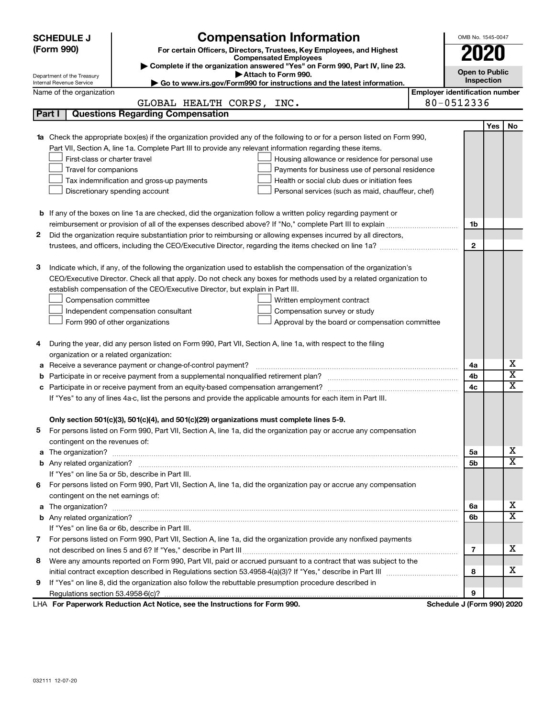|                          | <b>SCHEDULE J</b>                                                                                                  |                                                                                                                           | OMB No. 1545-0047     |                                       |     |                         |  |  |
|--------------------------|--------------------------------------------------------------------------------------------------------------------|---------------------------------------------------------------------------------------------------------------------------|-----------------------|---------------------------------------|-----|-------------------------|--|--|
|                          | (Form 990)                                                                                                         | For certain Officers, Directors, Trustees, Key Employees, and Highest<br><b>Compensated Employees</b>                     |                       | 2020                                  |     |                         |  |  |
|                          |                                                                                                                    |                                                                                                                           |                       |                                       |     |                         |  |  |
|                          | Department of the Treasury                                                                                         |                                                                                                                           | <b>Open to Public</b> |                                       |     |                         |  |  |
| Internal Revenue Service |                                                                                                                    | Inspection                                                                                                                |                       |                                       |     |                         |  |  |
|                          | Name of the organization                                                                                           |                                                                                                                           |                       | <b>Employer identification number</b> |     |                         |  |  |
|                          |                                                                                                                    | GLOBAL HEALTH CORPS,<br>INC.                                                                                              |                       | 80-0512336                            |     |                         |  |  |
|                          | Part I                                                                                                             | <b>Questions Regarding Compensation</b>                                                                                   |                       |                                       |     |                         |  |  |
|                          |                                                                                                                    |                                                                                                                           |                       |                                       | Yes | No                      |  |  |
|                          |                                                                                                                    | 1a Check the appropriate box(es) if the organization provided any of the following to or for a person listed on Form 990, |                       |                                       |     |                         |  |  |
|                          |                                                                                                                    | Part VII, Section A, line 1a. Complete Part III to provide any relevant information regarding these items.                |                       |                                       |     |                         |  |  |
|                          | First-class or charter travel                                                                                      | Housing allowance or residence for personal use                                                                           |                       |                                       |     |                         |  |  |
|                          | Travel for companions                                                                                              | Payments for business use of personal residence                                                                           |                       |                                       |     |                         |  |  |
|                          |                                                                                                                    | Health or social club dues or initiation fees<br>Tax indemnification and gross-up payments                                |                       |                                       |     |                         |  |  |
|                          |                                                                                                                    | Discretionary spending account<br>Personal services (such as maid, chauffeur, chef)                                       |                       |                                       |     |                         |  |  |
|                          |                                                                                                                    |                                                                                                                           |                       |                                       |     |                         |  |  |
|                          |                                                                                                                    | <b>b</b> If any of the boxes on line 1a are checked, did the organization follow a written policy regarding payment or    |                       |                                       |     |                         |  |  |
|                          |                                                                                                                    |                                                                                                                           |                       | 1b                                    |     |                         |  |  |
| 2                        | Did the organization require substantiation prior to reimbursing or allowing expenses incurred by all directors,   |                                                                                                                           |                       |                                       |     |                         |  |  |
|                          |                                                                                                                    | trustees, and officers, including the CEO/Executive Director, regarding the items checked on line 1a?                     |                       | $\mathbf{2}$                          |     |                         |  |  |
|                          |                                                                                                                    |                                                                                                                           |                       |                                       |     |                         |  |  |
| з                        |                                                                                                                    | Indicate which, if any, of the following the organization used to establish the compensation of the organization's        |                       |                                       |     |                         |  |  |
|                          | CEO/Executive Director. Check all that apply. Do not check any boxes for methods used by a related organization to |                                                                                                                           |                       |                                       |     |                         |  |  |
|                          | establish compensation of the CEO/Executive Director, but explain in Part III.                                     |                                                                                                                           |                       |                                       |     |                         |  |  |
|                          | Compensation committee                                                                                             | Written employment contract                                                                                               |                       |                                       |     |                         |  |  |
|                          |                                                                                                                    | Independent compensation consultant<br>Compensation survey or study                                                       |                       |                                       |     |                         |  |  |
|                          |                                                                                                                    | Form 990 of other organizations<br>Approval by the board or compensation committee                                        |                       |                                       |     |                         |  |  |
| 4                        |                                                                                                                    | During the year, did any person listed on Form 990, Part VII, Section A, line 1a, with respect to the filing              |                       |                                       |     |                         |  |  |
|                          |                                                                                                                    | organization or a related organization:                                                                                   |                       |                                       |     |                         |  |  |
| а                        |                                                                                                                    | Receive a severance payment or change-of-control payment?                                                                 |                       | 4a                                    |     | х                       |  |  |
| b                        |                                                                                                                    |                                                                                                                           |                       | 4b                                    |     | $\overline{\textbf{x}}$ |  |  |
| c                        |                                                                                                                    |                                                                                                                           |                       | 4c                                    |     | $\overline{\textbf{x}}$ |  |  |
|                          |                                                                                                                    | If "Yes" to any of lines 4a-c, list the persons and provide the applicable amounts for each item in Part III.             |                       |                                       |     |                         |  |  |
|                          |                                                                                                                    |                                                                                                                           |                       |                                       |     |                         |  |  |
|                          |                                                                                                                    | Only section 501(c)(3), 501(c)(4), and 501(c)(29) organizations must complete lines 5-9.                                  |                       |                                       |     |                         |  |  |
|                          |                                                                                                                    | For persons listed on Form 990, Part VII, Section A, line 1a, did the organization pay or accrue any compensation         |                       |                                       |     |                         |  |  |
|                          | contingent on the revenues of:                                                                                     |                                                                                                                           |                       |                                       |     |                         |  |  |
|                          |                                                                                                                    | a The organization? <b>Entitation</b> 2008 Communication of the organization of the organization?                         |                       | 5а                                    |     | х                       |  |  |
|                          |                                                                                                                    |                                                                                                                           |                       | 5b                                    |     | х                       |  |  |
|                          |                                                                                                                    | If "Yes" on line 5a or 5b, describe in Part III.                                                                          |                       |                                       |     |                         |  |  |
|                          |                                                                                                                    | 6 For persons listed on Form 990, Part VII, Section A, line 1a, did the organization pay or accrue any compensation       |                       |                                       |     |                         |  |  |
|                          | contingent on the net earnings of:                                                                                 |                                                                                                                           |                       |                                       |     |                         |  |  |
|                          |                                                                                                                    |                                                                                                                           |                       | 6a                                    |     | х                       |  |  |
|                          |                                                                                                                    |                                                                                                                           |                       | 6b                                    |     | х                       |  |  |
|                          |                                                                                                                    | If "Yes" on line 6a or 6b, describe in Part III.                                                                          |                       |                                       |     |                         |  |  |
|                          |                                                                                                                    | 7 For persons listed on Form 990, Part VII, Section A, line 1a, did the organization provide any nonfixed payments        |                       |                                       |     |                         |  |  |
|                          |                                                                                                                    |                                                                                                                           |                       | 7                                     |     | х                       |  |  |
| 8                        |                                                                                                                    | Were any amounts reported on Form 990, Part VII, paid or accrued pursuant to a contract that was subject to the           |                       |                                       |     |                         |  |  |
|                          |                                                                                                                    |                                                                                                                           |                       | 8                                     |     | х                       |  |  |
| 9                        | If "Yes" on line 8, did the organization also follow the rebuttable presumption procedure described in             |                                                                                                                           |                       |                                       |     |                         |  |  |
|                          |                                                                                                                    |                                                                                                                           |                       | 9                                     |     |                         |  |  |
|                          |                                                                                                                    | LHA For Paperwork Reduction Act Notice, see the Instructions for Form 990.                                                |                       | Schedule J (Form 990) 2020            |     |                         |  |  |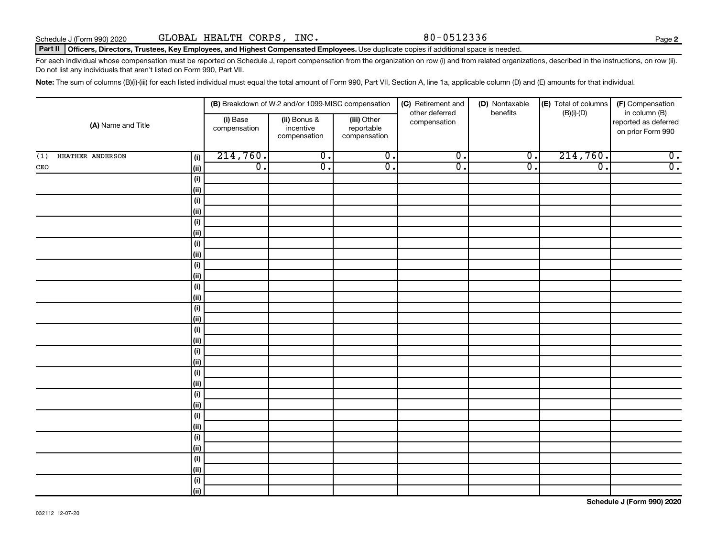### Part II | Officers, Directors, Trustees, Key Employees, and Highest Compensated Employees. Use duplicate copies if additional space is needed.

For each individual whose compensation must be reported on Schedule J, report compensation from the organization on row (i) and from related organizations, described in the instructions, on row (ii). Do not list any individuals that aren't listed on Form 990, Part VII.

Note: The sum of columns (B)(i)-(iii) for each listed individual must equal the total amount of Form 990, Part VII, Section A, line 1a, applicable column (D) and (E) amounts for that individual.

|                         |                              |                          | (B) Breakdown of W-2 and/or 1099-MISC compensation |                                           | (C) Retirement and<br>other deferred | (D) Nontaxable<br>benefits | (E) Total of columns<br>$(B)(i)$ - $(D)$ | (F) Compensation<br>in column (B)         |  |
|-------------------------|------------------------------|--------------------------|----------------------------------------------------|-------------------------------------------|--------------------------------------|----------------------------|------------------------------------------|-------------------------------------------|--|
| (A) Name and Title      |                              | (i) Base<br>compensation | (ii) Bonus &<br>incentive<br>compensation          | (iii) Other<br>reportable<br>compensation | compensation                         |                            |                                          | reported as deferred<br>on prior Form 990 |  |
| HEATHER ANDERSON<br>(1) | (i)                          | 214,760.                 | $\overline{0}$ .                                   | $\overline{0}$ .                          | $\overline{0}$ .                     | $\overline{0}$ .           | 214,760.                                 | $\overline{0}$ .                          |  |
| $\mathtt{CEO}$          | (ii)                         | $\overline{0}$ .         | $\overline{0}$ .                                   | $\overline{0}$ .                          | $\overline{0}$ .                     | $\overline{0}$ .           | $\overline{\mathfrak{o}}$ .              | $\overline{0}$ .                          |  |
|                         | $\qquad \qquad \textbf{(i)}$ |                          |                                                    |                                           |                                      |                            |                                          |                                           |  |
|                         | (ii)                         |                          |                                                    |                                           |                                      |                            |                                          |                                           |  |
|                         | $(\sf{i})$                   |                          |                                                    |                                           |                                      |                            |                                          |                                           |  |
|                         | (ii)                         |                          |                                                    |                                           |                                      |                            |                                          |                                           |  |
|                         | $(\sf{i})$                   |                          |                                                    |                                           |                                      |                            |                                          |                                           |  |
|                         | (ii)                         |                          |                                                    |                                           |                                      |                            |                                          |                                           |  |
|                         | $(\sf{i})$                   |                          |                                                    |                                           |                                      |                            |                                          |                                           |  |
|                         | (ii)                         |                          |                                                    |                                           |                                      |                            |                                          |                                           |  |
|                         | $(\sf{i})$                   |                          |                                                    |                                           |                                      |                            |                                          |                                           |  |
|                         | (i)                          |                          |                                                    |                                           |                                      |                            |                                          |                                           |  |
|                         | $(\sf{i})$                   |                          |                                                    |                                           |                                      |                            |                                          |                                           |  |
|                         | (ii)                         |                          |                                                    |                                           |                                      |                            |                                          |                                           |  |
|                         | $(\sf{i})$                   |                          |                                                    |                                           |                                      |                            |                                          |                                           |  |
|                         | (ii)                         |                          |                                                    |                                           |                                      |                            |                                          |                                           |  |
|                         | $(\sf{i})$                   |                          |                                                    |                                           |                                      |                            |                                          |                                           |  |
|                         | (ii)                         |                          |                                                    |                                           |                                      |                            |                                          |                                           |  |
|                         | $(\sf{i})$<br>(i)            |                          |                                                    |                                           |                                      |                            |                                          |                                           |  |
|                         | $(\sf{i})$                   |                          |                                                    |                                           |                                      |                            |                                          |                                           |  |
|                         | (i)                          |                          |                                                    |                                           |                                      |                            |                                          |                                           |  |
|                         | $(\sf{i})$                   |                          |                                                    |                                           |                                      |                            |                                          |                                           |  |
|                         | (ii)                         |                          |                                                    |                                           |                                      |                            |                                          |                                           |  |
|                         | (i)                          |                          |                                                    |                                           |                                      |                            |                                          |                                           |  |
|                         | (ii)                         |                          |                                                    |                                           |                                      |                            |                                          |                                           |  |
|                         | (i)                          |                          |                                                    |                                           |                                      |                            |                                          |                                           |  |
|                         | (ii)                         |                          |                                                    |                                           |                                      |                            |                                          |                                           |  |
|                         | $(\sf{i})$                   |                          |                                                    |                                           |                                      |                            |                                          |                                           |  |
|                         | (ii)                         |                          |                                                    |                                           |                                      |                            |                                          |                                           |  |
|                         | $(\sf{i})$                   |                          |                                                    |                                           |                                      |                            |                                          |                                           |  |
|                         | (ii)                         |                          |                                                    |                                           |                                      |                            |                                          |                                           |  |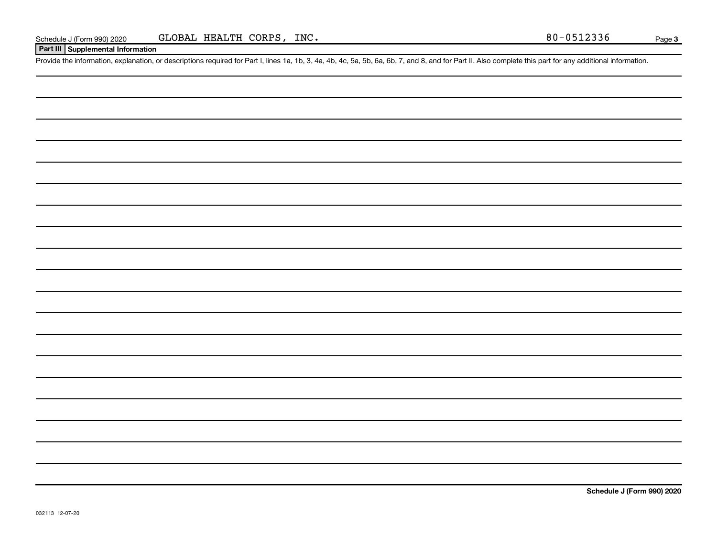### **Part III Supplemental Information**

Provide the information, explanation, or descriptions required for Part I, lines 1a, 1b, 3, 4a, 4b, 4c, 5a, 5b, 6a, 6b, 7, and 8, and for Part II. Also complete this part for any additional information.

**Schedule J (Form 990) 2020**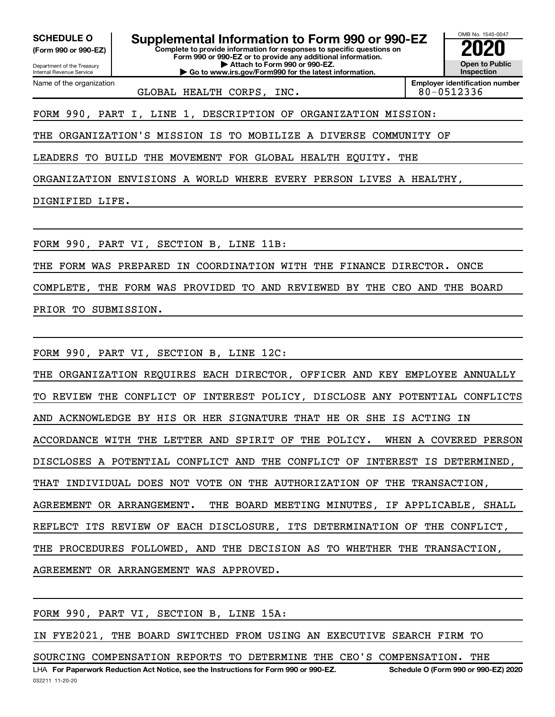**(Form 990 or 990-EZ)**

Department of the Treasury Internal Revenue Service Name of the organization

**Complete to provide information for responses to specific questions on Form 990 or 990-EZ or to provide any additional information. | Attach to Form 990 or 990-EZ. | Go to www.irs.gov/Form990 for the latest information. SCHEDULE O Supplemental Information to Form 990 or 990-EZ 2020**<br>(Form 990 or 990-EZ) Complete to provide information for responses to specific questions on



GLOBAL HEALTH CORPS, INC. | 80-0512336

**Employer identification number**

FORM 990, PART I, LINE 1, DESCRIPTION OF ORGANIZATION MISSION:

THE ORGANIZATION'S MISSION IS TO MOBILIZE A DIVERSE COMMUNITY OF

LEADERS TO BUILD THE MOVEMENT FOR GLOBAL HEALTH EQUITY. THE

ORGANIZATION ENVISIONS A WORLD WHERE EVERY PERSON LIVES A HEALTHY,

DIGNIFIED LIFE.

FORM 990, PART VI, SECTION B, LINE 11B:

THE FORM WAS PREPARED IN COORDINATION WITH THE FINANCE DIRECTOR. ONCE

COMPLETE, THE FORM WAS PROVIDED TO AND REVIEWED BY THE CEO AND THE BOARD

PRIOR TO SUBMISSION.

FORM 990, PART VI, SECTION B, LINE 12C:

THE ORGANIZATION REQUIRES EACH DIRECTOR, OFFICER AND KEY EMPLOYEE ANNUALLY TO REVIEW THE CONFLICT OF INTEREST POLICY, DISCLOSE ANY POTENTIAL CONFLICTS AND ACKNOWLEDGE BY HIS OR HER SIGNATURE THAT HE OR SHE IS ACTING IN ACCORDANCE WITH THE LETTER AND SPIRIT OF THE POLICY. WHEN A COVERED PERSON DISCLOSES A POTENTIAL CONFLICT AND THE CONFLICT OF INTEREST IS DETERMINED, THAT INDIVIDUAL DOES NOT VOTE ON THE AUTHORIZATION OF THE TRANSACTION, AGREEMENT OR ARRANGEMENT. THE BOARD MEETING MINUTES, IF APPLICABLE, SHALL REFLECT ITS REVIEW OF EACH DISCLOSURE, ITS DETERMINATION OF THE CONFLICT, THE PROCEDURES FOLLOWED, AND THE DECISION AS TO WHETHER THE TRANSACTION, AGREEMENT OR ARRANGEMENT WAS APPROVED.

FORM 990, PART VI, SECTION B, LINE 15A:

IN FYE2021, THE BOARD SWITCHED FROM USING AN EXECUTIVE SEARCH FIRM TO